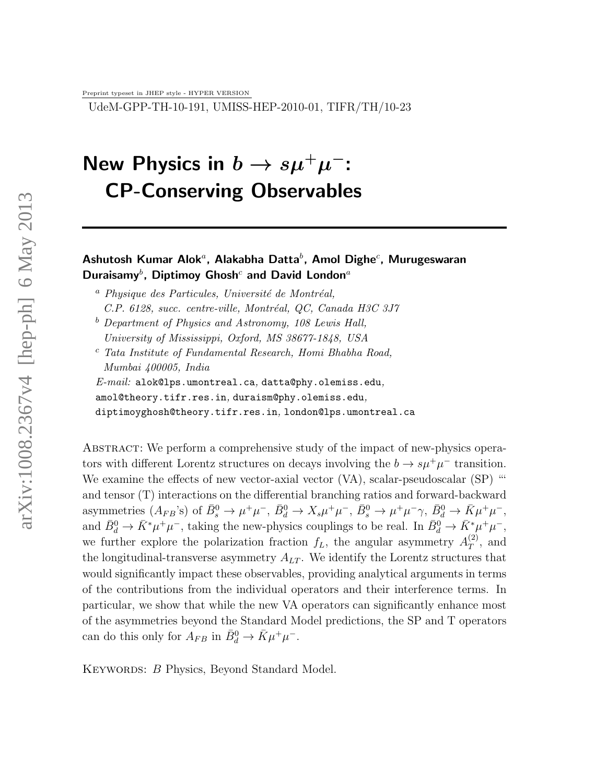Preprint typeset in JHEP style - HYPER VERSION

UdeM-GPP-TH-10-191, UMISS-HEP-2010-01, TIFR/TH/10-23

# New Physics in  $b \to s \mu^+ \mu^-$ : CP-Conserving Observables

### Ashutosh Kumar Alok ${}^a$ , Alakabha Datta ${}^b$ , Amol Dighe ${}^c$ , Murugeswaran Duraisamy<sup>b</sup>, Diptimoy Ghosh<sup>c</sup> and David London<sup>a</sup>

- <sup>a</sup> Physique des Particules, Université de Montréal, *C.P. 6128, succ. centre-ville, Montréal, QC, Canada H3C 3J7*
- <sup>b</sup> *Department of Physics and Astronomy, 108 Lewis Hall, University of Mississippi, Oxford, MS 38677-1848, USA*
- <sup>c</sup> *Tata Institute of Fundamental Research, Homi Bhabha Road, Mumbai 400005, India*

*E-mail:* alok@lps.umontreal.ca*,* datta@phy.olemiss.edu*,*

amol@theory.tifr.res.in*,* duraism@phy.olemiss.edu*,*

diptimoyghosh@theory.tifr.res.in*,* london@lps.umontreal.ca

Abstract: We perform a comprehensive study of the impact of new-physics operators with different Lorentz structures on decays involving the  $b \to s\mu^+\mu^-$  transition. We examine the effects of new vector-axial vector (VA), scalar-pseudoscalar (SP) " and tensor (T) interactions on the differential branching ratios and forward-backward asymmetries  $(A_{FB}^{\circ})$  of  $\bar{B}^0_s \to \mu^+\mu^-$ ,  $\bar{B}^0_d \to X_s\mu^+\mu^-$ ,  $\bar{B}^0_s \to \mu^+\mu^-\gamma$ ,  $\bar{B}^0_d \to \bar{K}\mu^+\mu^-$ , and  $\bar{B}_d^0 \to \bar{K}^* \mu^+ \mu^-$ , taking the new-physics couplings to be real. In  $\bar{B}_d^0 \to \bar{K}^* \mu^+ \mu^-$ , we further explore the polarization fraction  $f_L$ , the angular asymmetry  $A_T^{(2)}$  $T^{(2)}$ , and the longitudinal-transverse asymmetry  $A_{LT}$ . We identify the Lorentz structures that would significantly impact these observables, providing analytical arguments in terms of the contributions from the individual operators and their interference terms. In particular, we show that while the new VA operators can significantly enhance most of the asymmetries beyond the Standard Model predictions, the SP and T operators can do this only for  $A_{FB}$  in  $\bar{B}^0_d \to \bar{K} \mu^+ \mu^-$ .

KEYWORDS: B Physics, Beyond Standard Model.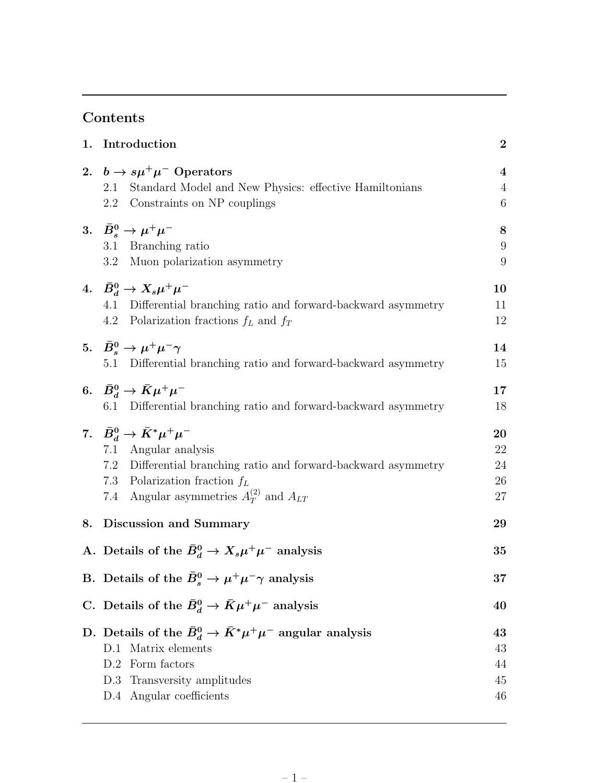### Contents

| 1. | Introduction                                                                                                        |                                    |  |  |
|----|---------------------------------------------------------------------------------------------------------------------|------------------------------------|--|--|
|    | 2. $b \rightarrow s\mu^+\mu^-$ Operators                                                                            | $\overline{\mathbf{4}}$            |  |  |
|    | Standard Model and New Physics: effective Hamiltonians<br>2.1<br>2.2<br>Constraints on NP couplings                 | $\sqrt{4}$<br>$\boldsymbol{6}$     |  |  |
|    | 3. $\bar{B}_s^0 \to \mu^+ \mu^-$                                                                                    | $\bf 8$                            |  |  |
|    | 3.1 Branching ratio<br>$3.2\,$<br>Muon polarization asymmetry                                                       | $\boldsymbol{9}$<br>$\overline{9}$ |  |  |
|    | 4. $\bar{B}_d^0 \to X_s \mu^+ \mu^-$                                                                                | 10                                 |  |  |
|    | 4.1<br>Differential branching ratio and forward-backward asymmetry<br>Polarization fractions $f_L$ and $f_T$<br>4.2 | 11<br>12                           |  |  |
|    | 5. $\bar{B}_s^0 \to \mu^+ \mu^- \gamma$                                                                             | 14                                 |  |  |
|    | Differential branching ratio and forward-backward asymmetry<br>5.1                                                  | 15                                 |  |  |
|    | 6. $\bar{B}_d^0 \to \bar{K} \mu^+ \mu^-$                                                                            | 17                                 |  |  |
|    | 6.1<br>Differential branching ratio and forward-backward asymmetry                                                  | 18                                 |  |  |
|    | 7. $\bar{B}_d^0 \to \bar{K}^* \mu^+ \mu^-$                                                                          | 20                                 |  |  |
|    | Angular analysis<br>7.1                                                                                             | 22                                 |  |  |
|    | 7.2 Differential branching ratio and forward-backward asymmetry<br>7.3 Polarization fraction $f_L$                  | 24<br>26                           |  |  |
|    | 7.4 Angular asymmetries $A_T^{(2)}$ and $A_{LT}$                                                                    | 27                                 |  |  |
| 8. | Discussion and Summary                                                                                              | 29                                 |  |  |
|    | A. Details of the $\bar{B}_d^0 \to X_s \mu^+ \mu^-$ analysis                                                        | 35                                 |  |  |
|    |                                                                                                                     | 37                                 |  |  |
|    | B. Details of the $\bar{B}_s^0 \to \mu^+ \mu^- \gamma$ analysis                                                     |                                    |  |  |
|    | C. Details of the $\bar{B}_d^0 \to \bar{K} \mu^+ \mu^-$ analysis                                                    | 40                                 |  |  |
|    | D. Details of the $\bar{B}_d^0 \to \bar{K}^* \mu^+ \mu^-$ angular analysis                                          | 43                                 |  |  |
|    | Matrix elements<br>D.1                                                                                              | 43                                 |  |  |
|    | Form factors<br>D.2                                                                                                 | 44                                 |  |  |
|    | Transversity amplitudes<br>D.3<br>D.4 Angular coefficients                                                          | 45<br>46                           |  |  |
|    |                                                                                                                     |                                    |  |  |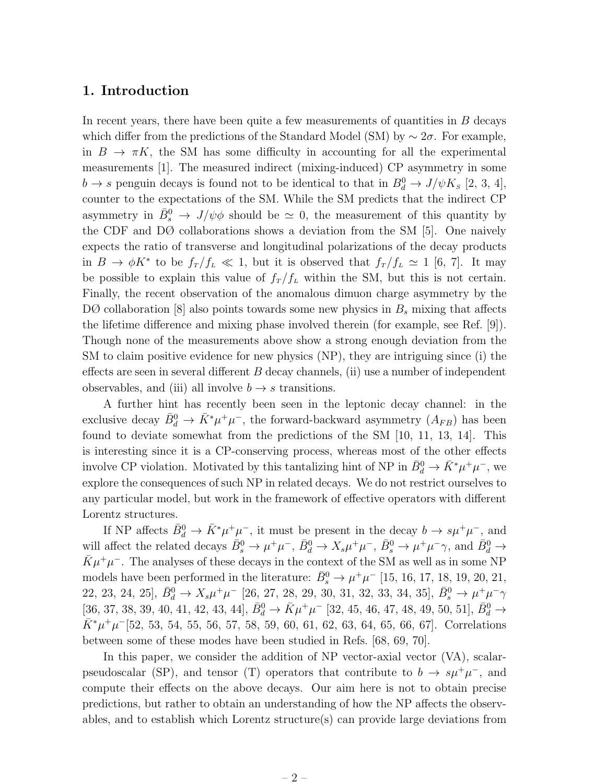### 1. Introduction

In recent years, there have been quite a few measurements of quantities in  $B$  decays which differ from the predictions of the Standard Model (SM) by  $\sim 2\sigma$ . For example, in  $B \to \pi K$ , the SM has some difficulty in accounting for all the experimental measurements [1]. The measured indirect (mixing-induced) CP asymmetry in some  $b \to s$  penguin decays is found not to be identical to that in  $B_d^0 \to J/\psi K_s$  [2, 3, 4], counter to the expectations of the SM. While the SM predicts that the indirect CP asymmetry in  $\bar{B}_s^0 \to J/\psi \phi$  should be  $\simeq 0$ , the measurement of this quantity by the CDF and DØ collaborations shows a deviation from the SM [5]. One naively expects the ratio of transverse and longitudinal polarizations of the decay products in  $B \to \phi K^*$  to be  $f_T / f_L \ll 1$ , but it is observed that  $f_T / f_L \simeq 1$  [6, 7]. It may be possible to explain this value of  $f_T / f_L$  within the SM, but this is not certain. Finally, the recent observation of the anomalous dimuon charge asymmetry by the  $D\mathcal{O}$  collaboration [8] also points towards some new physics in  $B_s$  mixing that affects the lifetime difference and mixing phase involved therein (for example, see Ref. [9]). Though none of the measurements above show a strong enough deviation from the SM to claim positive evidence for new physics (NP), they are intriguing since (i) the effects are seen in several different  $B$  decay channels, (ii) use a number of independent observables, and (iii) all involve  $b \rightarrow s$  transitions.

A further hint has recently been seen in the leptonic decay channel: in the exclusive decay  $\bar{B}_d^0 \to \bar{K}^* \mu^+ \mu^-$ , the forward-backward asymmetry  $(A_{FB})$  has been found to deviate somewhat from the predictions of the SM [10, 11, 13, 14]. This is interesting since it is a CP-conserving process, whereas most of the other effects involve CP violation. Motivated by this tantalizing hint of NP in  $\bar{B}_d^0 \to \bar{K}^* \mu^+ \mu^-$ , we explore the consequences of such NP in related decays. We do not restrict ourselves to any particular model, but work in the framework of effective operators with different Lorentz structures.

If NP affects  $\bar{B}_d^0 \to \bar{K}^* \mu^+ \mu^-$ , it must be present in the decay  $b \to s \mu^+ \mu^-$ , and will affect the related decays  $\bar{B}_s^0 \to \mu^+ \mu^-$ ,  $\bar{B}_d^0 \to X_s \mu^+ \mu^-$ ,  $\bar{B}_s^0 \to \mu^+ \mu^- \gamma$ , and  $\bar{B}_d^0 \to \bar{\mathcal{B}}_s$  $\bar{K}\mu^{+}\mu^{-}$ . The analyses of these decays in the context of the SM as well as in some NP models have been performed in the literature:  $\bar{B}_s^0 \to \mu^+ \mu^-$  [15, 16, 17, 18, 19, 20, 21, 22, 23, 24, 25],  $\bar{B}_d^0 \to X_s \mu^+ \mu^-$  [26, 27, 28, 29, 30, 31, 32, 33, 34, 35],  $\bar{B}_s^0 \to \mu^+ \mu^- \gamma$  $[ \bar{3}6, 37, 38, 39, 40, 41, 42, 43, 44], \, \bar{B}^0_d \rightarrow \bar{K} \mu^+ \mu^- \, [32, 45, 46, 47, 48, 49, 50, 51], \, \bar{B}^0_d \rightarrow$  $\bar{K}^* \mu^+ \mu^-$ [52, 53, 54, 55, 56, 57, 58, 59, 60, 61, 62, 63, 64, 65, 66, 67]. Correlations between some of these modes have been studied in Refs. [68, 69, 70].

In this paper, we consider the addition of NP vector-axial vector (VA), scalarpseudoscalar (SP), and tensor (T) operators that contribute to  $b \to s\mu^+\mu^-$ , and compute their effects on the above decays. Our aim here is not to obtain precise predictions, but rather to obtain an understanding of how the NP affects the observables, and to establish which Lorentz structure(s) can provide large deviations from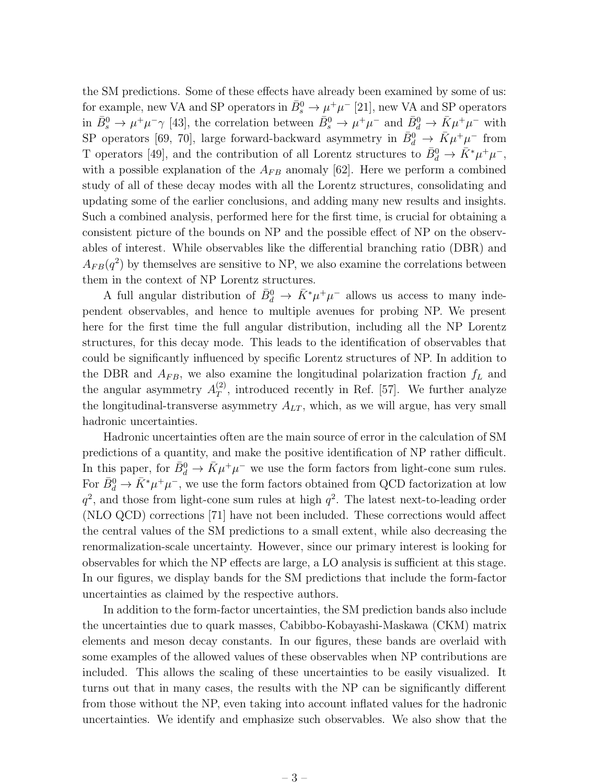the SM predictions. Some of these effects have already been examined by some of us: for example, new VA and SP operators in  $\bar{B}^0_s \to \mu^+\mu^-$  [21], new VA and SP operators in  $\bar{B}_s^0 \to \mu^+ \mu^- \gamma$  [43], the correlation between  $\bar{B}_s^0 \to \mu^+ \mu^-$  and  $\bar{B}_d^0 \to \bar{K} \mu^+ \mu^-$  with SP operators [69, 70], large forward-backward asymmetry in  $\bar{B}^0_d \to \bar{K} \mu^+ \mu^-$  from T operators [49], and the contribution of all Lorentz structures to  $\bar{B}_d^0 \to \bar{K}^* \mu^+ \mu^-$ , with a possible explanation of the  $A_{FB}$  anomaly [62]. Here we perform a combined study of all of these decay modes with all the Lorentz structures, consolidating and updating some of the earlier conclusions, and adding many new results and insights. Such a combined analysis, performed here for the first time, is crucial for obtaining a consistent picture of the bounds on NP and the possible effect of NP on the observables of interest. While observables like the differential branching ratio (DBR) and  $A_{FB}(q^2)$  by themselves are sensitive to NP, we also examine the correlations between them in the context of NP Lorentz structures.

A full angular distribution of  $\bar{B}_d^0 \to \bar{K}^* \mu^+ \mu^-$  allows us access to many independent observables, and hence to multiple avenues for probing NP. We present here for the first time the full angular distribution, including all the NP Lorentz structures, for this decay mode. This leads to the identification of observables that could be significantly influenced by specific Lorentz structures of NP. In addition to the DBR and  $A_{FB}$ , we also examine the longitudinal polarization fraction  $f_L$  and the angular asymmetry  $A_T^{(2)}$  $T$ , introduced recently in Ref. [57]. We further analyze the longitudinal-transverse asymmetry  $A_{LT}$ , which, as we will argue, has very small hadronic uncertainties.

Hadronic uncertainties often are the main source of error in the calculation of SM predictions of a quantity, and make the positive identification of NP rather difficult. In this paper, for  $\bar{B}_d^0 \to \bar{K} \mu^+ \mu^-$  we use the form factors from light-cone sum rules. For  $\bar{B}_d^0 \to \bar{K}^* \mu^+ \mu^-$ , we use the form factors obtained from QCD factorization at low  $q^2$ , and those from light-cone sum rules at high  $q^2$ . The latest next-to-leading order (NLO QCD) corrections [71] have not been included. These corrections would affect the central values of the SM predictions to a small extent, while also decreasing the renormalization-scale uncertainty. However, since our primary interest is looking for observables for which the NP effects are large, a LO analysis is sufficient at this stage. In our figures, we display bands for the SM predictions that include the form-factor uncertainties as claimed by the respective authors.

In addition to the form-factor uncertainties, the SM prediction bands also include the uncertainties due to quark masses, Cabibbo-Kobayashi-Maskawa (CKM) matrix elements and meson decay constants. In our figures, these bands are overlaid with some examples of the allowed values of these observables when NP contributions are included. This allows the scaling of these uncertainties to be easily visualized. It turns out that in many cases, the results with the NP can be significantly different from those without the NP, even taking into account inflated values for the hadronic uncertainties. We identify and emphasize such observables. We also show that the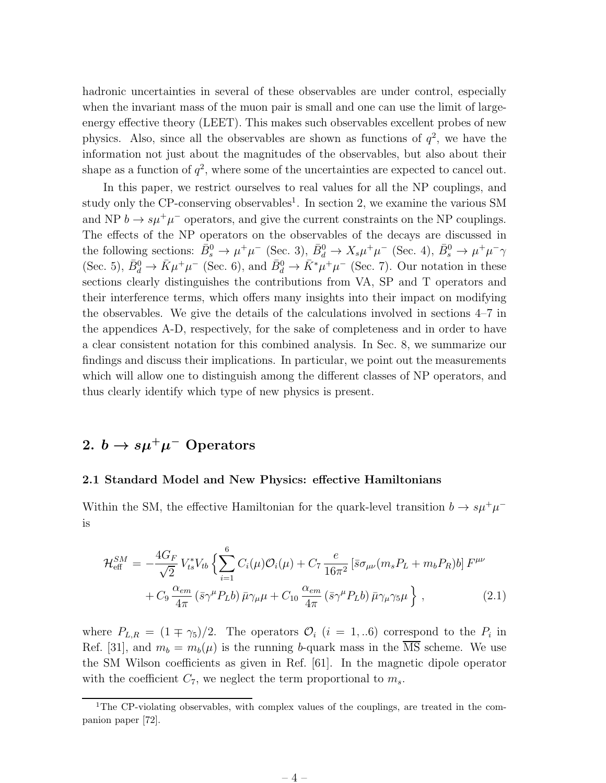hadronic uncertainties in several of these observables are under control, especially when the invariant mass of the muon pair is small and one can use the limit of largeenergy effective theory (LEET). This makes such observables excellent probes of new physics. Also, since all the observables are shown as functions of  $q^2$ , we have the information not just about the magnitudes of the observables, but also about their shape as a function of  $q^2$ , where some of the uncertainties are expected to cancel out.

In this paper, we restrict ourselves to real values for all the NP couplings, and study only the CP-conserving observables<sup>1</sup>. In section 2, we examine the various SM and NP  $b \to s\mu^+\mu^-$  operators, and give the current constraints on the NP couplings. The effects of the NP operators on the observables of the decays are discussed in the following sections:  $\bar{B}_s^0 \to \mu^+\mu^-$  (Sec. 3),  $\bar{B}_d^0 \to X_s\mu^+\mu^-$  (Sec. 4),  $\bar{B}_s^0 \to \mu^+\mu^-\gamma$ (Sec. 5),  $\bar{B}_d^0 \to \bar{K} \mu^+ \mu^-$  (Sec. 6), and  $\bar{B}_d^0 \to \bar{K}^* \mu^+ \mu^-$  (Sec. 7). Our notation in these sections clearly distinguishes the contributions from VA, SP and T operators and their interference terms, which offers many insights into their impact on modifying the observables. We give the details of the calculations involved in sections 4–7 in the appendices A-D, respectively, for the sake of completeness and in order to have a clear consistent notation for this combined analysis. In Sec. 8, we summarize our findings and discuss their implications. In particular, we point out the measurements which will allow one to distinguish among the different classes of NP operators, and thus clearly identify which type of new physics is present.

### 2.  $b \to s \mu^+ \mu^-$  Operators

#### 2.1 Standard Model and New Physics: effective Hamiltonians

Within the SM, the effective Hamiltonian for the quark-level transition  $b \to s \mu^+ \mu^$ is

$$
\mathcal{H}_{\text{eff}}^{SM} = -\frac{4G_F}{\sqrt{2}} V_{ts}^* V_{tb} \left\{ \sum_{i=1}^6 C_i(\mu) \mathcal{O}_i(\mu) + C_7 \frac{e}{16\pi^2} \left[ \bar{s} \sigma_{\mu\nu} (m_s P_L + m_b P_R) b \right] F^{\mu\nu} + C_9 \frac{\alpha_{em}}{4\pi} \left( \bar{s} \gamma^\mu P_L b \right) \bar{\mu} \gamma_\mu \mu + C_{10} \frac{\alpha_{em}}{4\pi} \left( \bar{s} \gamma^\mu P_L b \right) \bar{\mu} \gamma_\mu \gamma_5 \mu \right\} , \qquad (2.1)
$$

where  $P_{L,R} = (1 \mp \gamma_5)/2$ . The operators  $\mathcal{O}_i$   $(i = 1,..6)$  correspond to the  $P_i$  in Ref. [31], and  $m_b = m_b(\mu)$  is the running b-quark mass in the  $\overline{\text{MS}}$  scheme. We use the SM Wilson coefficients as given in Ref. [61]. In the magnetic dipole operator with the coefficient  $C_7$ , we neglect the term proportional to  $m_s$ .

<sup>&</sup>lt;sup>1</sup>The CP-violating observables, with complex values of the couplings, are treated in the companion paper [72].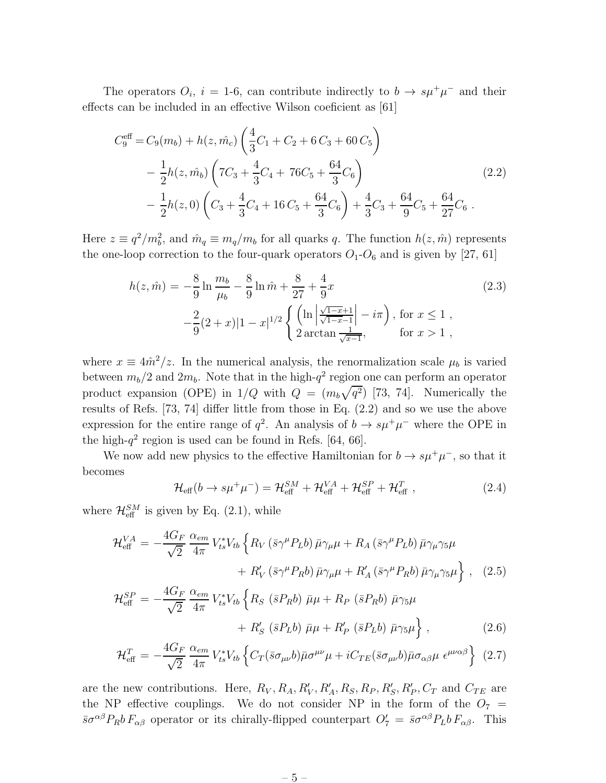The operators  $O_i$ ,  $i = 1$ -6, can contribute indirectly to  $b \to s\mu^+\mu^-$  and their effects can be included in an effective Wilson coeficient as [61]

$$
C_9^{\text{eff}} = C_9(m_b) + h(z, \hat{m_c}) \left( \frac{4}{3} C_1 + C_2 + 6 C_3 + 60 C_5 \right)
$$
  

$$
- \frac{1}{2} h(z, \hat{m_b}) \left( 7 C_3 + \frac{4}{3} C_4 + 76 C_5 + \frac{64}{3} C_6 \right)
$$
  

$$
- \frac{1}{2} h(z, 0) \left( C_3 + \frac{4}{3} C_4 + 16 C_5 + \frac{64}{3} C_6 \right) + \frac{4}{3} C_3 + \frac{64}{9} C_5 + \frac{64}{27} C_6 .
$$
 (2.2)

Here  $z \equiv q^2/m_b^2$ , and  $\hat{m}_q \equiv m_q/m_b$  for all quarks q. The function  $h(z, \hat{m})$  represents the one-loop correction to the four-quark operators  $O_1-O_6$  and is given by [27, 61]

$$
h(z, \hat{m}) = -\frac{8}{9} \ln \frac{m_b}{\mu_b} - \frac{8}{9} \ln \hat{m} + \frac{8}{27} + \frac{4}{9} x
$$
  

$$
-\frac{2}{9} (2+x) |1-x|^{1/2} \left\{ \left( \ln \left| \frac{\sqrt{1-x}+1}{\sqrt{1-x}-1} \right| - i\pi \right), \text{ for } x \le 1 ,\right. \\ 2 \arctan \frac{1}{\sqrt{x-1}}, \quad \text{ for } x > 1 ,
$$

where  $x \equiv 4\hat{m}^2/z$ . In the numerical analysis, the renormalization scale  $\mu_b$  is varied between  $m_b/2$  and  $2m_b$ . Note that in the high- $q^2$  region one can perform an operator product expansion (OPE) in  $1/Q$  with  $Q = (m_b\sqrt{q^2})$  [73, 74]. Numerically the results of Refs. [73, 74] differ little from those in Eq. (2.2) and so we use the above expression for the entire range of  $q^2$ . An analysis of  $b \to s\mu^+\mu^-$  where the OPE in the high- $q^2$  region is used can be found in Refs. [64, 66].

We now add new physics to the effective Hamiltonian for  $b \to s\mu^+\mu^-$ , so that it becomes

$$
\mathcal{H}_{\text{eff}}(b \to s\mu^{+}\mu^{-}) = \mathcal{H}_{\text{eff}}^{SM} + \mathcal{H}_{\text{eff}}^{VA} + \mathcal{H}_{\text{eff}}^{SP} + \mathcal{H}_{\text{eff}}^{T} , \qquad (2.4)
$$

where  $\mathcal{H}_{\text{eff}}^{SM}$  is given by Eq. (2.1), while

$$
\mathcal{H}_{\text{eff}}^{VA} = -\frac{4G_F}{\sqrt{2}} \frac{\alpha_{em}}{4\pi} V_{ts}^* V_{tb} \left\{ R_V \left( \bar{s} \gamma^\mu P_L b \right) \bar{\mu} \gamma_\mu \mu + R_A \left( \bar{s} \gamma^\mu P_L b \right) \bar{\mu} \gamma_\mu \gamma_5 \mu \right. \\ \left. + R_V' \left( \bar{s} \gamma^\mu P_R b \right) \bar{\mu} \gamma_\mu \mu + R_A' \left( \bar{s} \gamma^\mu P_R b \right) \bar{\mu} \gamma_\mu \gamma_5 \mu \right\} \,, \tag{2.5}
$$

$$
\mathcal{H}_{\text{eff}}^{SP} = -\frac{4G_F}{\sqrt{2}} \frac{\alpha_{em}}{4\pi} V_{ts}^* V_{tb} \left\{ R_S \left( \bar{s} P_R b \right) \bar{\mu} \mu + R_P \left( \bar{s} P_R b \right) \bar{\mu} \gamma_5 \mu \right. \\ \left. + R_S' \left( \bar{s} P_L b \right) \bar{\mu} \mu + R_P' \left( \bar{s} P_L b \right) \bar{\mu} \gamma_5 \mu \right\} \,, \tag{2.6}
$$

$$
\mathcal{H}_{\text{eff}}^{T} = -\frac{4G_{F}}{\sqrt{2}} \frac{\alpha_{em}}{4\pi} V_{ts}^{*} V_{tb} \left\{ C_{T} (\bar{s}\sigma_{\mu\nu}b) \bar{\mu}\sigma^{\mu\nu}\mu + iC_{TE} (\bar{s}\sigma_{\mu\nu}b) \bar{\mu}\sigma_{\alpha\beta}\mu \epsilon^{\mu\nu\alpha\beta} \right\} (2.7)
$$

are the new contributions. Here,  $R_V, R_A, R'_V, R'_A, R_S, R_P, R'_S, R'_P, C_T$  and  $C_{TE}$  are the NP effective couplings. We do not consider NP in the form of the  $O_7$  =  $\bar{s}\sigma^{\alpha\beta}P_Rb F_{\alpha\beta}$  operator or its chirally-flipped counterpart  $O'_7 = \bar{s}\sigma^{\alpha\beta}P_Lb F_{\alpha\beta}$ . This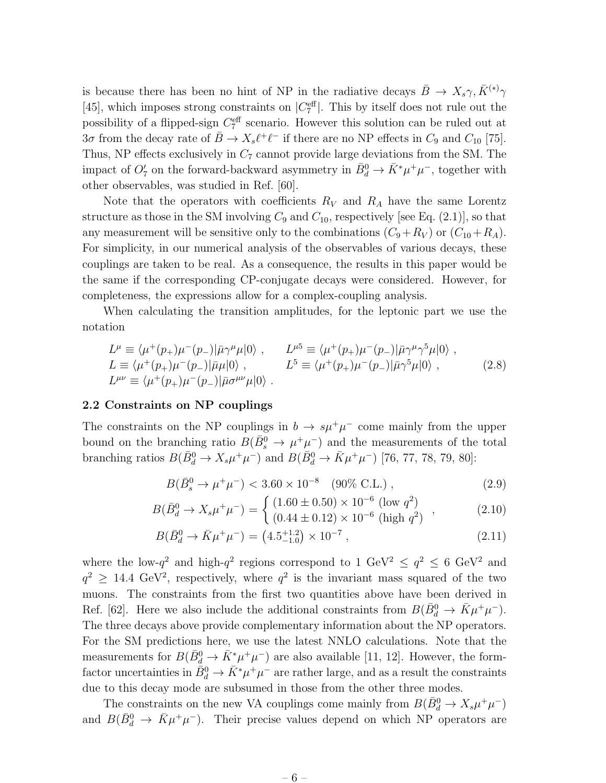is because there has been no hint of NP in the radiative decays  $\bar{B} \to X_s \gamma, \bar{K}^{(*)} \gamma$ [45], which imposes strong constraints on  $|C_7^{\text{eff}}|$ . This by itself does not rule out the possibility of a flipped-sign  $C_7^{\text{eff}}$  scenario. However this solution can be ruled out at  $3\sigma$  from the decay rate of  $\bar{B} \to X_s \ell^+ \ell^-$  if there are no NP effects in  $C_9$  and  $C_{10}$  [75]. Thus, NP effects exclusively in  $C_7$  cannot provide large deviations from the SM. The impact of  $O'_7$  on the forward-backward asymmetry in  $\bar{B}_d^0 \to \bar{K}^* \mu^+ \mu^-$ , together with other observables, was studied in Ref. [60].

Note that the operators with coefficients  $R_V$  and  $R_A$  have the same Lorentz structure as those in the SM involving  $C_9$  and  $C_{10}$ , respectively [see Eq. (2.1)], so that any measurement will be sensitive only to the combinations  $(C_9+R_V)$  or  $(C_{10}+R_A)$ . For simplicity, in our numerical analysis of the observables of various decays, these couplings are taken to be real. As a consequence, the results in this paper would be the same if the corresponding CP-conjugate decays were considered. However, for completeness, the expressions allow for a complex-coupling analysis.

When calculating the transition amplitudes, for the leptonic part we use the notation

$$
L^{\mu} \equiv \langle \mu^{+}(p_{+})\mu^{-}(p_{-})|\bar{\mu}\gamma^{\mu}\mu|0\rangle , \qquad L^{\mu 5} \equiv \langle \mu^{+}(p_{+})\mu^{-}(p_{-})|\bar{\mu}\gamma^{\mu}\gamma^{5}\mu|0\rangle ,
$$
  
\n
$$
L \equiv \langle \mu^{+}(p_{+})\mu^{-}(p_{-})|\bar{\mu}\mu|0\rangle , \qquad L^{5} \equiv \langle \mu^{+}(p_{+})\mu^{-}(p_{-})|\bar{\mu}\gamma^{5}\mu|0\rangle ,
$$
  
\n
$$
L^{\mu\nu} \equiv \langle \mu^{+}(p_{+})\mu^{-}(p_{-})|\bar{\mu}\sigma^{\mu\nu}\mu|0\rangle .
$$
\n(2.8)

#### 2.2 Constraints on NP couplings

The constraints on the NP couplings in  $b \to s\mu^+\mu^-$  come mainly from the upper bound on the branching ratio  $B(\bar{B}^0_s \to \mu^+\mu^-)$  and the measurements of the total branching ratios  $B(\bar{B}_{d}^{0} \to X_{s}\mu^{+}\mu^{-})$  and  $B(\bar{B}_{d}^{0} \to \bar{K}\mu^{+}\mu^{-})$  [76, 77, 78, 79, 80]:

$$
B(\bar{B}_s^0 \to \mu^+ \mu^-) < 3.60 \times 10^{-8} \quad (90\% \text{ C.L.}), \tag{2.9}
$$

$$
B(\bar{B}_d^0 \to X_s \mu^+ \mu^-) = \begin{cases} (1.60 \pm 0.50) \times 10^{-6} \text{ (low } q^2) \\ (0.44 \pm 0.12) \times 10^{-6} \text{ (high } q^2) \end{cases}, \tag{2.10}
$$

$$
B(\bar{B}_d^0 \to \bar{K}\mu^+\mu^-) = (4.5^{+1.2}_{-1.0}) \times 10^{-7} , \qquad (2.11)
$$

where the low- $q^2$  and high- $q^2$  regions correspond to 1 GeV<sup>2</sup>  $\leq q^2 \leq 6$  GeV<sup>2</sup> and  $q^2 \geq 14.4 \text{ GeV}^2$ , respectively, where  $q^2$  is the invariant mass squared of the two muons. The constraints from the first two quantities above have been derived in Ref. [62]. Here we also include the additional constraints from  $B(\bar{B}_d^0 \to \bar{K}\mu^+\mu^-)$ . The three decays above provide complementary information about the NP operators. For the SM predictions here, we use the latest NNLO calculations. Note that the measurements for  $B(\bar{B}_{d}^{0} \to \bar{K}_{\perp}^{*}\mu^{+}\mu^{-})$  are also available [11, 12]. However, the formfactor uncertainties in  $\bar{B}_d^0 \to \bar{K}^* \mu^+ \mu^-$  are rather large, and as a result the constraints due to this decay mode are subsumed in those from the other three modes.

The constraints on the new VA couplings come mainly from  $B(\bar{B}_d^0 \to X_s \mu^+ \mu^-)$ and  $B(\bar{B}_{d}^{0} \to \bar{K}\mu^{+}\mu^{-})$ . Their precise values depend on which NP operators are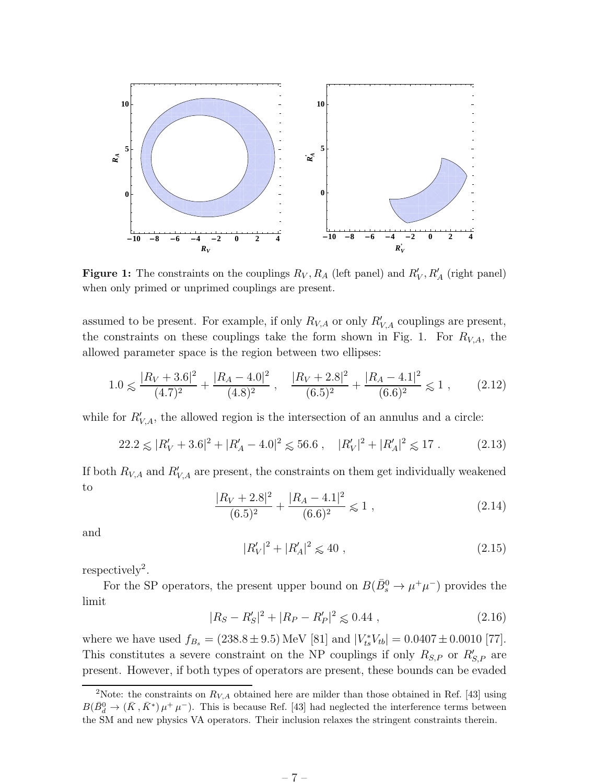

**Figure 1:** The constraints on the couplings  $R_V, R_A$  (left panel) and  $R'_V, R'_A$  (right panel) when only primed or unprimed couplings are present.

assumed to be present. For example, if only  $R_{V,A}$  or only  $R'_{V,A}$  couplings are present, the constraints on these couplings take the form shown in Fig. 1. For  $R_{V,A}$ , the allowed parameter space is the region between two ellipses:

$$
1.0 \le \frac{|R_V + 3.6|^2}{(4.7)^2} + \frac{|R_A - 4.0|^2}{(4.8)^2}, \quad \frac{|R_V + 2.8|^2}{(6.5)^2} + \frac{|R_A - 4.1|^2}{(6.6)^2} \le 1 ,\qquad(2.12)
$$

while for  $R'_{V,A}$ , the allowed region is the intersection of an annulus and a circle:

$$
22.2 \le |R_V' + 3.6|^2 + |R_A' - 4.0|^2 \le 56.6 , \quad |R_V'|^2 + |R_A'|^2 \le 17 . \tag{2.13}
$$

If both  $R_{V,A}$  and  $R'_{V,A}$  are present, the constraints on them get individually weakened to

$$
\frac{|R_V + 2.8|^2}{(6.5)^2} + \frac{|R_A - 4.1|^2}{(6.6)^2} \le 1 ,
$$
\n(2.14)

and

$$
|R_V'|^2 + |R_A'|^2 \leq 40 \tag{2.15}
$$

 $respectively<sup>2</sup>.$ 

For the SP operators, the present upper bound on  $B(\bar{B}^0_s \to \mu^+\mu^-)$  provides the limit

$$
|R_S - R'_S|^2 + |R_P - R'_P|^2 \le 0.44 , \qquad (2.16)
$$

where we have used  $f_{B_s} = (238.8 \pm 9.5) \,\text{MeV}$  [81] and  $|V_{ts}^* V_{tb}| = 0.0407 \pm 0.0010$  [77]. This constitutes a severe constraint on the NP couplings if only  $R_{S,P}$  or  $R'_{S,P}$  are present. However, if both types of operators are present, these bounds can be evaded

<sup>&</sup>lt;sup>2</sup>Note: the constraints on  $R_{V,A}$  obtained here are milder than those obtained in Ref. [43] using  $B(\bar{B}_{d}^{0} \to (\bar{K}, \bar{K}^{*}) \mu^{+} \mu^{-})$ . This is because Ref. [43] had neglected the interference terms between the SM and new physics VA operators. Their inclusion relaxes the stringent constraints therein.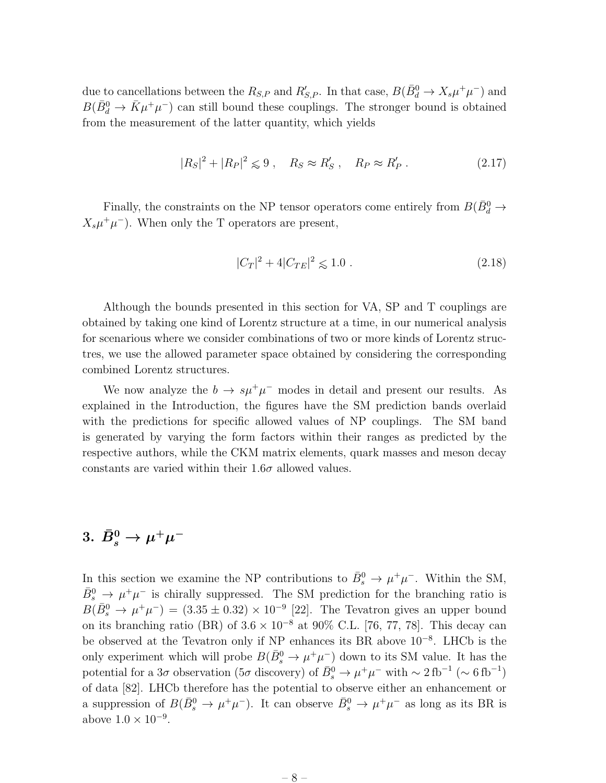due to cancellations between the  $R_{S,P}$  and  $R'_{S,P}$ . In that case,  $B(\bar{B}_{d}^{0} \to X_{s}\mu^{+}\mu^{-})$  and  $B(\bar{B}_d^0 \to \bar{K}\mu^+\mu^-)$  can still bound these couplings. The stronger bound is obtained from the measurement of the latter quantity, which yields

$$
|R_S|^2 + |R_P|^2 \leq 9 \ , \quad R_S \approx R'_S \ , \quad R_P \approx R'_P \ . \tag{2.17}
$$

Finally, the constraints on the NP tensor operators come entirely from  $B(\bar{B}^0_d \rightarrow$  $X_s \mu^+ \mu^-$ ). When only the T operators are present,

$$
|C_T|^2 + 4|C_{TE}|^2 \le 1.0 \tag{2.18}
$$

Although the bounds presented in this section for VA, SP and T couplings are obtained by taking one kind of Lorentz structure at a time, in our numerical analysis for scenarious where we consider combinations of two or more kinds of Lorentz structres, we use the allowed parameter space obtained by considering the corresponding combined Lorentz structures.

We now analyze the  $b \to s\mu^+\mu^-$  modes in detail and present our results. As explained in the Introduction, the figures have the SM prediction bands overlaid with the predictions for specific allowed values of NP couplings. The SM band is generated by varying the form factors within their ranges as predicted by the respective authors, while the CKM matrix elements, quark masses and meson decay constants are varied within their  $1.6\sigma$  allowed values.

## $3. \ \bar{B}^0_s \rightarrow \mu^+\mu^-$

In this section we examine the NP contributions to  $\bar{B}_s^0 \to \mu^+\mu^-$ . Within the SM,  $\bar{B}_{s}^{0} \rightarrow \mu^{+}\mu^{-}$  is chirally suppressed. The SM prediction for the branching ratio is  $B(\bar{B}_s^0 \to \mu^+\mu^-) = (3.35 \pm 0.32) \times 10^{-9}$  [22]. The Tevatron gives an upper bound on its branching ratio (BR) of  $3.6 \times 10^{-8}$  at 90% C.L. [76, 77, 78]. This decay can be observed at the Tevatron only if NP enhances its BR above 10−<sup>8</sup> . LHCb is the only experiment which will probe  $B(\bar{B}^0_s \to \mu^+ \mu^-)$  down to its SM value. It has the potential for a 3σ observation (5σ discovery) of  $\bar{B}^0_s \to \mu^+\mu^-$  with  $\sim 2 \text{ fb}^{-1} (\sim 6 \text{ fb}^{-1})$ of data [82]. LHCb therefore has the potential to observe either an enhancement or a suppression of  $B(\bar{B}^0_s \to \mu^+\mu^-)$ . It can observe  $\bar{B}^0_s \to \mu^+\mu^-$  as long as its BR is above  $1.0 \times 10^{-9}$ .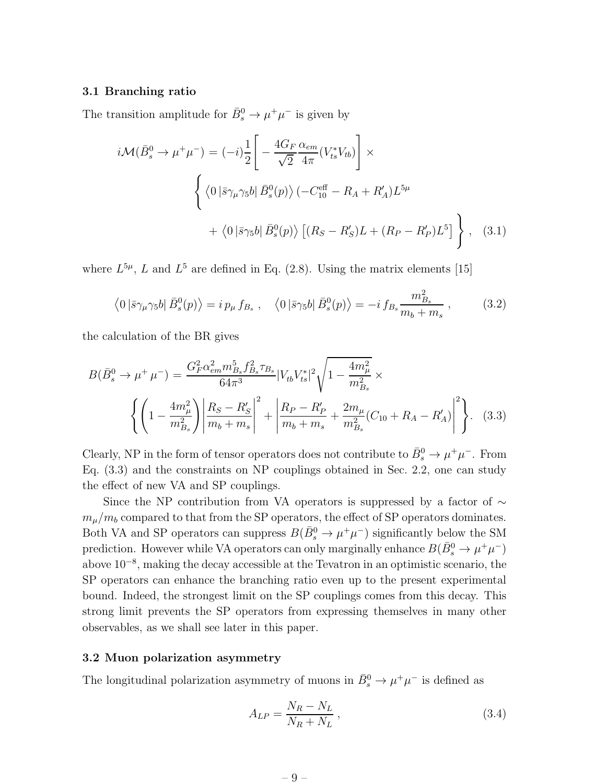#### 3.1 Branching ratio

The transition amplitude for  $\bar{B}_s^0 \to \mu^+ \mu^-$  is given by

$$
i\mathcal{M}(\bar{B}_s^0 \to \mu^+ \mu^-) = (-i)\frac{1}{2} \left[ -\frac{4G_F}{\sqrt{2}} \frac{\alpha_{em}}{4\pi} (V_{ts}^* V_{tb}) \right] \times
$$
  

$$
\left\{ \langle 0 \left| \bar{s} \gamma_\mu \gamma_5 b \right| \bar{B}_s^0(p) \rangle \left( -C_{10}^{\text{eff}} - R_A + R'_A \right) L^{5\mu} + \langle 0 \left| \bar{s} \gamma_5 b \right| \bar{B}_s^0(p) \rangle \left[ (R_S - R'_S) L + (R_P - R'_P) L^5 \right] \right\}, \quad (3.1)
$$

where  $L^{5\mu}$ , L and  $L^5$  are defined in Eq. (2.8). Using the matrix elements [15]

$$
\langle 0 \left| \bar{s} \gamma_{\mu} \gamma_5 b \right| \bar{B}_s^0(p) \rangle = i \, p_{\mu} \, f_{B_s} \;, \quad \langle 0 \left| \bar{s} \gamma_5 b \right| \bar{B}_s^0(p) \rangle = -i \, f_{B_s} \frac{m_{B_s}^2}{m_b + m_s} \;, \tag{3.2}
$$

the calculation of the BR gives

$$
B(\bar{B}_s^0 \to \mu^+ \mu^-) = \frac{G_F^2 \alpha_{em}^2 m_{Bs}^5 f_{Bs}^2 \tau_{Bs}}{64\pi^3} |V_{tb}V_{ts}^*|^2 \sqrt{1 - \frac{4m_\mu^2}{m_{Bs}^2}} \times \left\{ \left( 1 - \frac{4m_\mu^2}{m_{Bs}^2} \right) \left| \frac{R_S - R_S'}{m_b + m_s} \right|^2 + \left| \frac{R_P - R_P'}{m_b + m_s} + \frac{2m_\mu}{m_{Bs}^2} (C_{10} + R_A - R_A') \right|^2 \right\} .
$$
 (3.3)

Clearly, NP in the form of tensor operators does not contribute to  $\bar{B}^0_s \to \mu^+ \mu^-$ . From Eq. (3.3) and the constraints on NP couplings obtained in Sec. 2.2, one can study the effect of new VA and SP couplings.

Since the NP contribution from VA operators is suppressed by a factor of  $\sim$  $m_{\mu}/m_b$  compared to that from the SP operators, the effect of SP operators dominates. Both VA and SP operators can suppress  $B(\bar{B}^0_s \to \mu^+\mu^-)$  significantly below the SM prediction. However while VA operators can only marginally enhance  $B(\bar{B}^0_s \to \mu^+\mu^-)$ above 10−<sup>8</sup> , making the decay accessible at the Tevatron in an optimistic scenario, the SP operators can enhance the branching ratio even up to the present experimental bound. Indeed, the strongest limit on the SP couplings comes from this decay. This strong limit prevents the SP operators from expressing themselves in many other observables, as we shall see later in this paper.

### 3.2 Muon polarization asymmetry

The longitudinal polarization asymmetry of muons in  $\bar{B}^0_s \to \mu^+\mu^-$  is defined as

$$
A_{LP} = \frac{N_R - N_L}{N_R + N_L} \,,\tag{3.4}
$$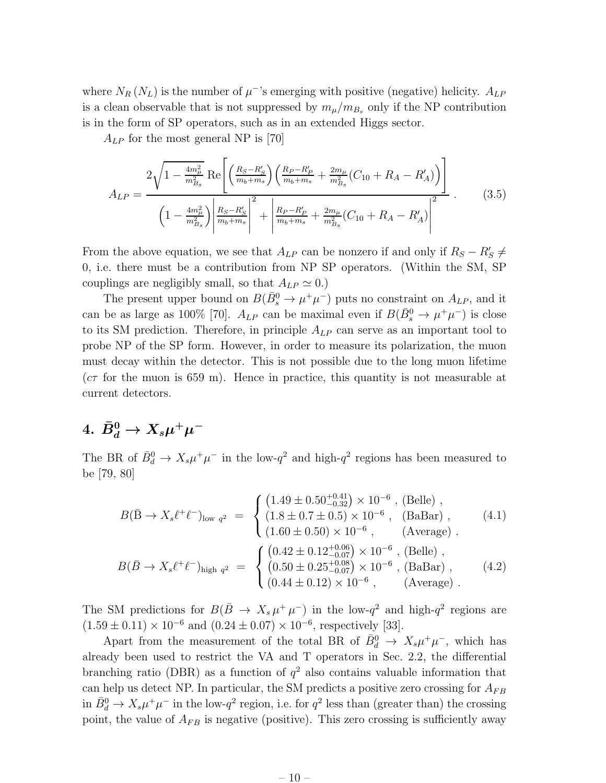where  $N_R(N_L)$  is the number of  $\mu$ <sup>-</sup>'s emerging with positive (negative) helicity.  $A_{LP}$ is a clean observable that is not suppressed by  $m_{\mu}/m_{B_s}$  only if the NP contribution is in the form of SP operators, such as in an extended Higgs sector.

 $A_{LP}$  for the most general NP is [70]

$$
A_{LP} = \frac{2\sqrt{1 - \frac{4m_{\mu}^2}{m_{B_s}^2}} \text{Re}\left[\left(\frac{R_S - R_S'}{m_b + m_s}\right)\left(\frac{R_P - R_P'}{m_b + m_s} + \frac{2m_{\mu}}{m_{B_s}^2}(C_{10} + R_A - R_A')\right)\right]}{\left(1 - \frac{4m_{\mu}^2}{m_{B_s}^2}\right)\left|\frac{R_S - R_S'}{m_b + m_s}\right|^2 + \left|\frac{R_P - R_P'}{m_b + m_s} + \frac{2m_{\mu}}{m_{B_s}^2}(C_{10} + R_A - R_A')\right|^2} \tag{3.5}
$$

From the above equation, we see that  $A_{LP}$  can be nonzero if and only if  $R_S - R'_S \neq$ 0, i.e. there must be a contribution from NP SP operators. (Within the SM, SP couplings are negligibly small, so that  $A_{LP} \simeq 0.$ )

The present upper bound on  $B(\bar{B}^0_s \to \mu^+\mu^-)$  puts no constraint on  $A_{LP}$ , and it can be as large as 100% [70].  $A_{LP}$  can be maximal even if  $B(\bar{B}^0_s \to \mu^+\mu^-)$  is close to its SM prediction. Therefore, in principle  $A_{LP}$  can serve as an important tool to probe NP of the SP form. However, in order to measure its polarization, the muon must decay within the detector. This is not possible due to the long muon lifetime  $(c\tau)$  for the muon is 659 m). Hence in practice, this quantity is not measurable at current detectors.

## $4. \,\, \bar{B}^0_d \rightarrow X_s \mu^+ \mu^-$

The BR of  $\bar{B}_d^0 \to X_s \mu^+ \mu^-$  in the low- $q^2$  and high- $q^2$  regions has been measured to be [79, 80]

$$
B(\bar{B} \to X_s \ell^+ \ell^-)_{\text{low }q^2} = \begin{cases} (1.49 \pm 0.50^{+0.41}_{-0.32}) \times 10^{-6}, \text{ (Belle)},\\ (1.8 \pm 0.7 \pm 0.5) \times 10^{-6}, \text{ (BaBar)},\\ (1.60 \pm 0.50) \times 10^{-6}, \text{ (Average)}. \end{cases} (4.1)
$$
  

$$
B(\bar{B} \to X_s \ell^+ \ell^-)_{\text{high }q^2} = \begin{cases} (0.42 \pm 0.12^{+0.06}_{-0.07}) \times 10^{-6}, \text{ (Belle)},\\ (0.50 \pm 0.25^{+0.08}_{-0.07}) \times 10^{-6}, \text{ (BaBar)},\\ (0.44 \pm 0.12) \times 10^{-6}, \text{ (Average)}. \end{cases} (4.2)
$$

The SM predictions for  $B(\bar{B} \to X_s \mu^+ \mu^-)$  in the low- $q^2$  and high- $q^2$  regions are  $(1.59 \pm 0.11) \times 10^{-6}$  and  $(0.24 \pm 0.07) \times 10^{-6}$ , respectively [33].

Apart from the measurement of the total BR of  $\bar{B}_d^0 \to X_s \mu^+ \mu^-$ , which has already been used to restrict the VA and T operators in Sec. 2.2, the differential branching ratio (DBR) as a function of  $q^2$  also contains valuable information that can help us detect NP. In particular, the SM predicts a positive zero crossing for  $A_{FB}$ in  $\bar{B}_d^0 \to X_s \mu^+ \mu^-$  in the low- $q^2$  region, i.e. for  $q^2$  less than (greater than) the crossing point, the value of  $A_{FB}$  is negative (positive). This zero crossing is sufficiently away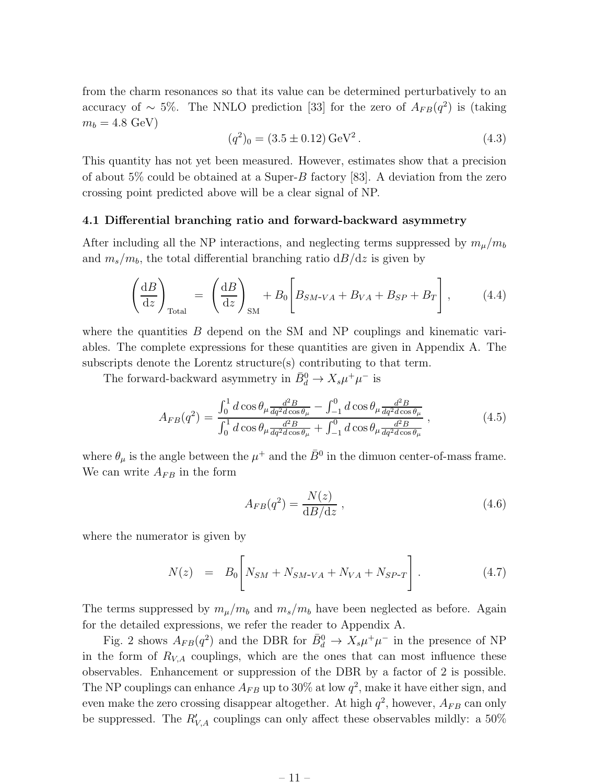from the charm resonances so that its value can be determined perturbatively to an accuracy of  $\sim 5\%$ . The NNLO prediction [33] for the zero of  $A_{FB}(q^2)$  is (taking  $m_b = 4.8 \text{ GeV}$ 

$$
(q2)0 = (3.5 \pm 0.12) \,\text{GeV}2.
$$
 (4.3)

This quantity has not yet been measured. However, estimates show that a precision of about 5% could be obtained at a Super-B factory [83]. A deviation from the zero crossing point predicted above will be a clear signal of NP.

#### 4.1 Differential branching ratio and forward-backward asymmetry

After including all the NP interactions, and neglecting terms suppressed by  $m_{\mu}/m_b$ and  $m_s/m_b$ , the total differential branching ratio  $dB/dz$  is given by

$$
\left(\frac{\mathrm{d}B}{\mathrm{d}z}\right)_{\text{Total}} = \left(\frac{\mathrm{d}B}{\mathrm{d}z}\right)_{\text{SM}} + B_0 \left[B_{SM\text{-}VA} + B_{VA} + B_{SP} + B_T\right],\tag{4.4}
$$

where the quantities  $B$  depend on the SM and NP couplings and kinematic variables. The complete expressions for these quantities are given in Appendix A. The subscripts denote the Lorentz structure(s) contributing to that term.

The forward-backward asymmetry in  $\bar{B}_d^0 \to X_s \mu^+ \mu^-$  is

$$
A_{FB}(q^2) = \frac{\int_0^1 d\cos\theta_\mu \frac{d^2B}{dq^2d\cos\theta_\mu} - \int_{-1}^0 d\cos\theta_\mu \frac{d^2B}{dq^2d\cos\theta_\mu}}{\int_0^1 d\cos\theta_\mu \frac{d^2B}{dq^2d\cos\theta_\mu} + \int_{-1}^0 d\cos\theta_\mu \frac{d^2B}{dq^2d\cos\theta_\mu}},
$$
(4.5)

where  $\theta_{\mu}$  is the angle between the  $\mu^{+}$  and the  $\bar{B}^{0}$  in the dimuon center-of-mass frame. We can write  $A_{FB}$  in the form

$$
A_{FB}(q^2) = \frac{N(z)}{\mathrm{d}B/\mathrm{d}z},\qquad(4.6)
$$

where the numerator is given by

$$
N(z) = B_0 \left[ N_{SM} + N_{SM-VA} + N_{VA} + N_{SP-T} \right].
$$
 (4.7)

The terms suppressed by  $m_{\mu}/m_b$  and  $m_s/m_b$  have been neglected as before. Again for the detailed expressions, we refer the reader to Appendix A.

Fig. 2 shows  $A_{FB}(q^2)$  and the DBR for  $\bar{B}^0_d \to X_s \mu^+ \mu^-$  in the presence of NP in the form of  $R_{V,A}$  couplings, which are the ones that can most influence these observables. Enhancement or suppression of the DBR by a factor of 2 is possible. The NP couplings can enhance  $A_{FB}$  up to 30% at low  $q^2$ , make it have either sign, and even make the zero crossing disappear altogether. At high  $q^2$ , however,  $A_{FB}$  can only be suppressed. The  $R'_{V,A}$  couplings can only affect these observables mildly: a 50%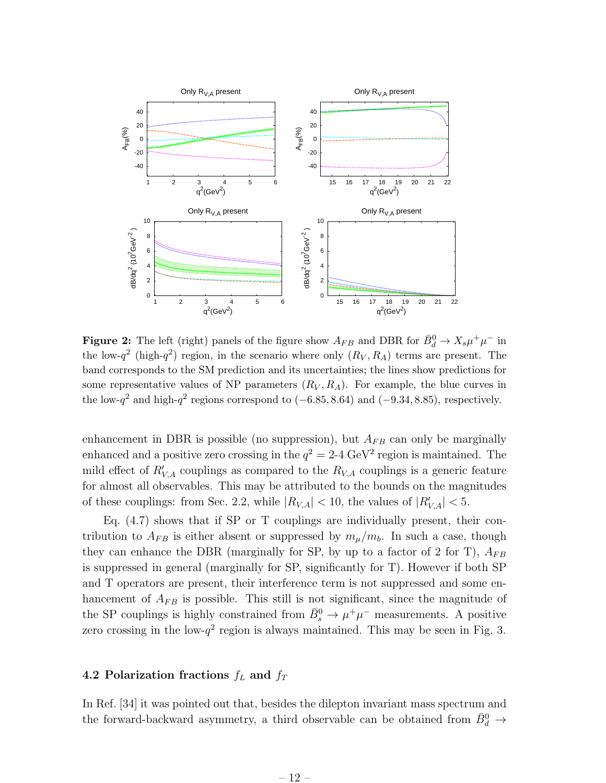

**Figure 2:** The left (right) panels of the figure show  $A_{FB}$  and DBR for  $\bar{B}_d^0 \to X_s \mu^+ \mu^-$  in the low- $q^2$  (high- $q^2$ ) region, in the scenario where only  $(R_V, R_A)$  terms are present. The band corresponds to the SM prediction and its uncertainties; the lines show predictions for some representative values of NP parameters  $(R_V, R_A)$ . For example, the blue curves in the low- $q^2$  and high- $q^2$  regions correspond to (-6.85, 8.64) and (-9.34, 8.85), respectively.

enhancement in DBR is possible (no suppression), but  $A_{FB}$  can only be marginally enhanced and a positive zero crossing in the  $q^2 = 2$ -4 GeV<sup>2</sup> region is maintained. The mild effect of  $R'_{V,A}$  couplings as compared to the  $R_{V,A}$  couplings is a generic feature for almost all observables. This may be attributed to the bounds on the magnitudes of these couplings: from Sec. 2.2, while  $|R_{V,A}| < 10$ , the values of  $|R'_{V,A}| < 5$ .

Eq. (4.7) shows that if SP or T couplings are individually present, their contribution to  $A_{FB}$  is either absent or suppressed by  $m_{\mu}/m_b$ . In such a case, though they can enhance the DBR (marginally for SP, by up to a factor of 2 for T),  $A_{FB}$ is suppressed in general (marginally for SP, significantly for T). However if both SP and T operators are present, their interference term is not suppressed and some enhancement of  $A_{FB}$  is possible. This still is not significant, since the magnitude of the SP couplings is highly constrained from  $\bar{B}_s^0 \to \mu^+\mu^-$  measurements. A positive zero crossing in the low- $q^2$  region is always maintained. This may be seen in Fig. 3.

### 4.2 Polarization fractions  $f_L$  and  $f_T$

In Ref. [34] it was pointed out that, besides the dilepton invariant mass spectrum and the forward-backward asymmetry, a third observable can be obtained from  $\bar{B}^0_d \rightarrow$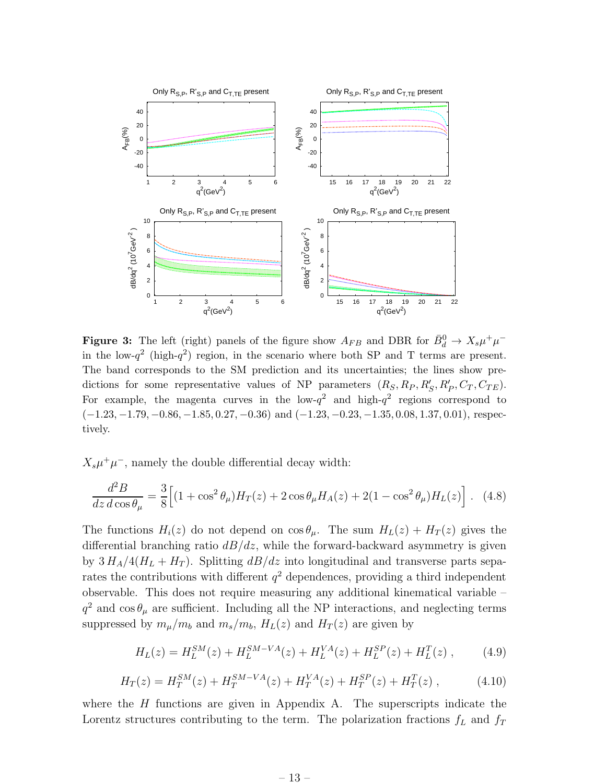

**Figure 3:** The left (right) panels of the figure show  $A_{FB}$  and DBR for  $\bar{B}^0_d \to X_s \mu^+ \mu^$ in the low- $q^2$  (high- $q^2$ ) region, in the scenario where both SP and T terms are present. The band corresponds to the SM prediction and its uncertainties; the lines show predictions for some representative values of NP parameters  $(R_S, R_P, R'_S, R'_P, C_T, C_{TE})$ . For example, the magenta curves in the low- $q^2$  and high- $q^2$  regions correspond to  $(-1.23, -1.79, -0.86, -1.85, 0.27, -0.36)$  and  $(-1.23, -0.23, -1.35, 0.08, 1.37, 0.01)$ , respectively.

 $X_s\mu^+\mu^-$ , namely the double differential decay width:

$$
\frac{d^2B}{dz d\cos\theta_\mu} = \frac{3}{8} \Big[ (1 + \cos^2\theta_\mu) H_T(z) + 2\cos\theta_\mu H_A(z) + 2(1 - \cos^2\theta_\mu) H_L(z) \Big]. \tag{4.8}
$$

The functions  $H_i(z)$  do not depend on  $\cos \theta_\mu$ . The sum  $H_L(z) + H_T(z)$  gives the differential branching ratio  $dB/dz$ , while the forward-backward asymmetry is given by  $3 H_A/4(H_L + H_T)$ . Splitting  $dB/dz$  into longitudinal and transverse parts separates the contributions with different  $q^2$  dependences, providing a third independent observable. This does not require measuring any additional kinematical variable –  $q^2$  and  $\cos \theta_{\mu}$  are sufficient. Including all the NP interactions, and neglecting terms suppressed by  $m_{\mu}/m_b$  and  $m_s/m_b$ ,  $H_L(z)$  and  $H_T(z)$  are given by

$$
H_L(z) = H_L^{SM}(z) + H_L^{SM-VA}(z) + H_L^{VA}(z) + H_L^{SP}(z) + H_L^{T}(z) ,\qquad(4.9)
$$

$$
H_T(z) = H_T^{SM}(z) + H_T^{SM-VA}(z) + H_T^{VA}(z) + H_T^{SP}(z) + H_T^{T}(z) ,\qquad (4.10)
$$

where the  $H$  functions are given in Appendix A. The superscripts indicate the Lorentz structures contributing to the term. The polarization fractions  $f<sub>L</sub>$  and  $f<sub>T</sub>$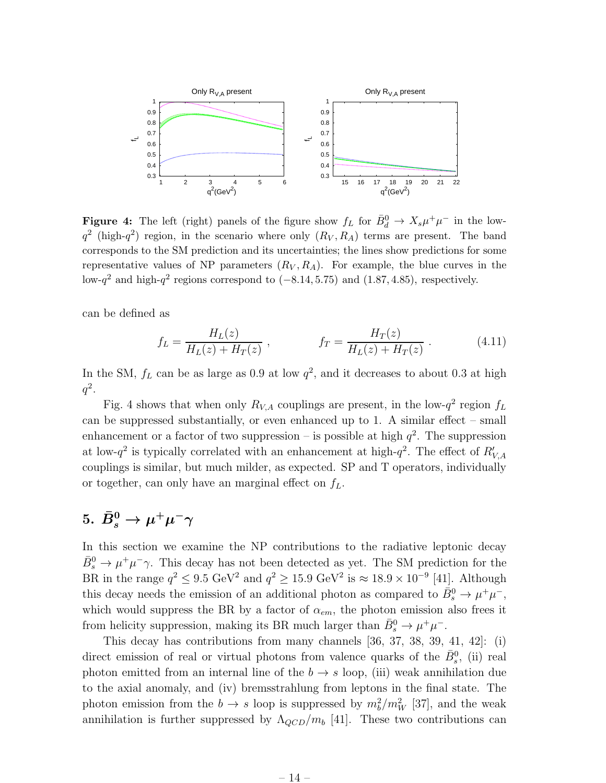

**Figure 4:** The left (right) panels of the figure show  $f_L$  for  $\bar{B}_d^0 \to X_s \mu^+ \mu^-$  in the low $q^2$  (high- $q^2$ ) region, in the scenario where only  $(R_V, R_A)$  terms are present. The band corresponds to the SM prediction and its uncertainties; the lines show predictions for some representative values of NP parameters  $(R_V, R_A)$ . For example, the blue curves in the low- $q^2$  and high- $q^2$  regions correspond to  $(-8.14, 5.75)$  and  $(1.87, 4.85)$ , respectively.

can be defined as

$$
f_L = \frac{H_L(z)}{H_L(z) + H_T(z)}, \qquad f_T = \frac{H_T(z)}{H_L(z) + H_T(z)}.
$$
 (4.11)

In the SM,  $f_L$  can be as large as 0.9 at low  $q^2$ , and it decreases to about 0.3 at high  $q^2$ .

Fig. 4 shows that when only  $R_{V,A}$  couplings are present, in the low- $q^2$  region  $f_L$ can be suppressed substantially, or even enhanced up to 1. A similar effect – small enhancement or a factor of two suppression – is possible at high  $q^2$ . The suppression at low- $q^2$  is typically correlated with an enhancement at high- $q^2$ . The effect of  $R'_{V,A}$ couplings is similar, but much milder, as expected. SP and T operators, individually or together, can only have an marginal effect on  $f<sub>L</sub>$ .

## $5. \,\, \bar{B}^0_s \rightarrow \mu^+ \mu^- \gamma$

In this section we examine the NP contributions to the radiative leptonic decay  $\bar{B}_s^0 \to \mu^+ \mu^- \gamma$ . This decay has not been detected as yet. The SM prediction for the BR in the range  $q^2 \leq 9.5 \text{ GeV}^2$  and  $q^2 \geq 15.9 \text{ GeV}^2$  is  $\approx 18.9 \times 10^{-9}$  [41]. Although this decay needs the emission of an additional photon as compared to  $\bar{B}^0_s \to \mu^+\mu^-$ , which would suppress the BR by a factor of  $\alpha_{em}$ , the photon emission also frees it from helicity suppression, making its BR much larger than  $\bar{B}_s^0 \to \mu^+ \mu^-$ .

This decay has contributions from many channels [36, 37, 38, 39, 41, 42]: (i) direct emission of real or virtual photons from valence quarks of the  $\bar{B}_s^0$ , (ii) real photon emitted from an internal line of the  $b \to s$  loop, (iii) weak annihilation due to the axial anomaly, and (iv) bremsstrahlung from leptons in the final state. The photon emission from the  $b \to s$  loop is suppressed by  $m_b^2/m_W^2$  [37], and the weak annihilation is further suppressed by  $\Lambda_{QCD}/m_b$  [41]. These two contributions can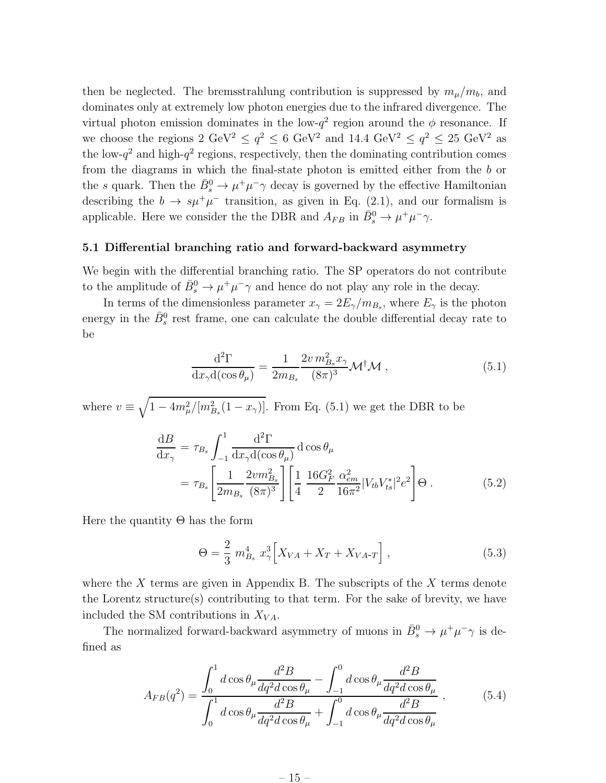then be neglected. The bremsstrahlung contribution is suppressed by  $m_{\mu}/m_b$ , and dominates only at extremely low photon energies due to the infrared divergence. The virtual photon emission dominates in the low- $q^2$  region around the  $\phi$  resonance. If we choose the regions  $2 \text{ GeV}^2 \le q^2 \le 6 \text{ GeV}^2$  and  $14.4 \text{ GeV}^2 \le q^2 \le 25 \text{ GeV}^2$  as the low- $q^2$  and high- $q^2$  regions, respectively, then the dominating contribution comes from the diagrams in which the final-state photon is emitted either from the b or the s quark. Then the  $\bar{B}_s^0 \to \mu^+ \mu^- \gamma$  decay is governed by the effective Hamiltonian describing the  $b \to s\mu^+\mu^-$  transition, as given in Eq. (2.1), and our formalism is applicable. Here we consider the the DBR and  $A_{FB}$  in  $\bar{B}^0_s \to \mu^+ \mu^- \gamma$ .

#### 5.1 Differential branching ratio and forward-backward asymmetry

We begin with the differential branching ratio. The SP operators do not contribute to the amplitude of  $\bar{B}_s^0 \to \mu^+ \mu^- \gamma$  and hence do not play any role in the decay.

In terms of the dimensionless parameter  $x_{\gamma} = 2E_{\gamma}/m_{B_s}$ , where  $E_{\gamma}$  is the photon energy in the  $\bar{B}^0_s$  rest frame, one can calculate the double differential decay rate to be

$$
\frac{\mathrm{d}^2 \Gamma}{\mathrm{d}x_\gamma \mathrm{d}(\cos \theta_\mu)} = \frac{1}{2m_{B_s}} \frac{2v \, m_{B_s}^2 x_\gamma}{(8\pi)^3} \mathcal{M}^\dagger \mathcal{M} \,, \tag{5.1}
$$

where  $v \equiv \sqrt{1-4m_{\mu}^2/[m_{B_s}^2(1-x_{\gamma})]}$ . From Eq. (5.1) we get the DBR to be

$$
\frac{dB}{dx_{\gamma}} = \tau_{B_s} \int_{-1}^{1} \frac{d^2 \Gamma}{dx_{\gamma} d(\cos \theta_{\mu})} d \cos \theta_{\mu}
$$
\n
$$
= \tau_{B_s} \left[ \frac{1}{2m_{B_s}} \frac{2 v m_{B_s}^2}{(8\pi)^3} \right] \left[ \frac{1}{4} \frac{16G_F^2}{2} \frac{\alpha_{em}^2}{16\pi^2} |V_{tb} V_{ts}^*|^2 e^2 \right] \Theta . \tag{5.2}
$$

Here the quantity  $\Theta$  has the form

$$
\Theta = \frac{2}{3} m_{B_s}^4 x_{\gamma}^3 \Big[ X_{VA} + X_T + X_{VA-T} \Big] , \qquad (5.3)
$$

where the  $X$  terms are given in Appendix B. The subscripts of the  $X$  terms denote the Lorentz structure(s) contributing to that term. For the sake of brevity, we have included the SM contributions in  $X_{VA}$ .

The normalized forward-backward asymmetry of muons in  $\bar{B}_s^0 \to \mu^+ \mu^- \gamma$  is defined as

$$
A_{FB}(q^2) = \frac{\int_0^1 d\cos\theta_\mu \frac{d^2B}{dq^2d\cos\theta_\mu} - \int_{-1}^0 d\cos\theta_\mu \frac{d^2B}{dq^2d\cos\theta_\mu}}{\int_0^1 d\cos\theta_\mu \frac{d^2B}{dq^2d\cos\theta_\mu} + \int_{-1}^0 d\cos\theta_\mu \frac{d^2B}{dq^2d\cos\theta_\mu}},
$$
(5.4)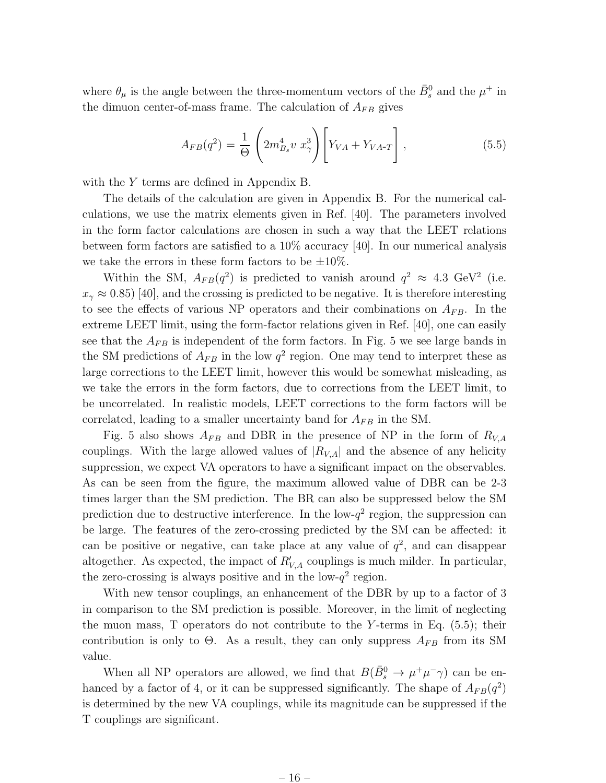where  $\theta_{\mu}$  is the angle between the three-momentum vectors of the  $\bar{B}^0_s$  and the  $\mu^+$  in the dimuon center-of-mass frame. The calculation of  $A_{FB}$  gives

$$
A_{FB}(q^2) = \frac{1}{\Theta} \left( 2m_{B_s}^4 v x_{\gamma}^3 \right) \left[ Y_{VA} + Y_{VA-T} \right], \tag{5.5}
$$

with the Y terms are defined in Appendix B.

The details of the calculation are given in Appendix B. For the numerical calculations, we use the matrix elements given in Ref. [40]. The parameters involved in the form factor calculations are chosen in such a way that the LEET relations between form factors are satisfied to a 10% accuracy [40]. In our numerical analysis we take the errors in these form factors to be  $\pm 10\%$ .

Within the SM,  $A_{FB}(q^2)$  is predicted to vanish around  $q^2 \approx 4.3 \text{ GeV}^2$  (i.e.  $x_{\gamma} \approx 0.85$ ) [40], and the crossing is predicted to be negative. It is therefore interesting to see the effects of various NP operators and their combinations on  $A_{FB}$ . In the extreme LEET limit, using the form-factor relations given in Ref. [40], one can easily see that the  $A_{FB}$  is independent of the form factors. In Fig. 5 we see large bands in the SM predictions of  $A_{FB}$  in the low  $q^2$  region. One may tend to interpret these as large corrections to the LEET limit, however this would be somewhat misleading, as we take the errors in the form factors, due to corrections from the LEET limit, to be uncorrelated. In realistic models, LEET corrections to the form factors will be correlated, leading to a smaller uncertainty band for  $A_{FB}$  in the SM.

Fig. 5 also shows  $A_{FB}$  and DBR in the presence of NP in the form of  $R_{V,A}$ couplings. With the large allowed values of  $|R_{V,A}|$  and the absence of any helicity suppression, we expect VA operators to have a significant impact on the observables. As can be seen from the figure, the maximum allowed value of DBR can be 2-3 times larger than the SM prediction. The BR can also be suppressed below the SM prediction due to destructive interference. In the low- $q^2$  region, the suppression can be large. The features of the zero-crossing predicted by the SM can be affected: it can be positive or negative, can take place at any value of  $q^2$ , and can disappear altogether. As expected, the impact of  $R'_{V,A}$  couplings is much milder. In particular, the zero-crossing is always positive and in the low- $q^2$  region.

With new tensor couplings, an enhancement of the DBR by up to a factor of 3 in comparison to the SM prediction is possible. Moreover, in the limit of neglecting the muon mass, T operators do not contribute to the Y-terms in Eq.  $(5.5)$ ; their contribution is only to  $\Theta$ . As a result, they can only suppress  $A_{FB}$  from its SM value.

When all NP operators are allowed, we find that  $B(\bar{B}^0_s \to \mu^+ \mu^- \gamma)$  can be enhanced by a factor of 4, or it can be suppressed significantly. The shape of  $A_{FB}(q^2)$ is determined by the new VA couplings, while its magnitude can be suppressed if the T couplings are significant.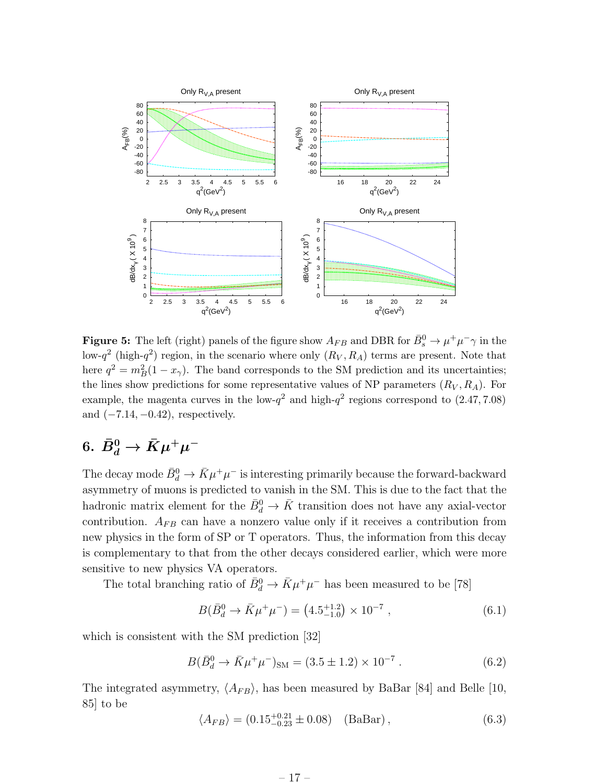

**Figure 5:** The left (right) panels of the figure show  $A_{FB}$  and DBR for  $\bar{B}^0_s \to \mu^+ \mu^- \gamma$  in the low- $q^2$  (high- $q^2$ ) region, in the scenario where only  $(R_V, R_A)$  terms are present. Note that here  $q^2 = m_B^2(1 - x_\gamma)$ . The band corresponds to the SM prediction and its uncertainties; the lines show predictions for some representative values of NP parameters  $(R_V, R_A)$ . For example, the magenta curves in the low- $q^2$  and high- $q^2$  regions correspond to  $(2.47, 7.08)$ and  $(-7.14, -0.42)$ , respectively.

## $6. \ \bar{B}^0_d \rightarrow \bar{K} \mu^+ \mu^-$

The decay mode  $\bar{B}^0_d \to \bar{K} \mu^+ \mu^-$  is interesting primarily because the forward-backward asymmetry of muons is predicted to vanish in the SM. This is due to the fact that the hadronic matrix element for the  $\bar{B}_d^0 \to \bar{K}$  transition does not have any axial-vector contribution.  $A_{FB}$  can have a nonzero value only if it receives a contribution from new physics in the form of SP or T operators. Thus, the information from this decay is complementary to that from the other decays considered earlier, which were more sensitive to new physics VA operators.

The total branching ratio of  $\bar{B}_d^0 \to \bar{K} \mu^+ \mu^-$  has been measured to be [78]

$$
B(\bar{B}_d^0 \to \bar{K}\mu^+\mu^-) = (4.5^{+1.2}_{-1.0}) \times 10^{-7} , \qquad (6.1)
$$

which is consistent with the SM prediction [32]

$$
B(\bar{B}_d^0 \to \bar{K}\mu^+\mu^-)_{\rm SM} = (3.5 \pm 1.2) \times 10^{-7} . \tag{6.2}
$$

The integrated asymmetry,  $\langle A_{FB} \rangle$ , has been measured by BaBar [84] and Belle [10, 85] to be

$$
\langle A_{FB} \rangle = (0.15^{+0.21}_{-0.23} \pm 0.08) \quad \text{(BaBar)}\,,\tag{6.3}
$$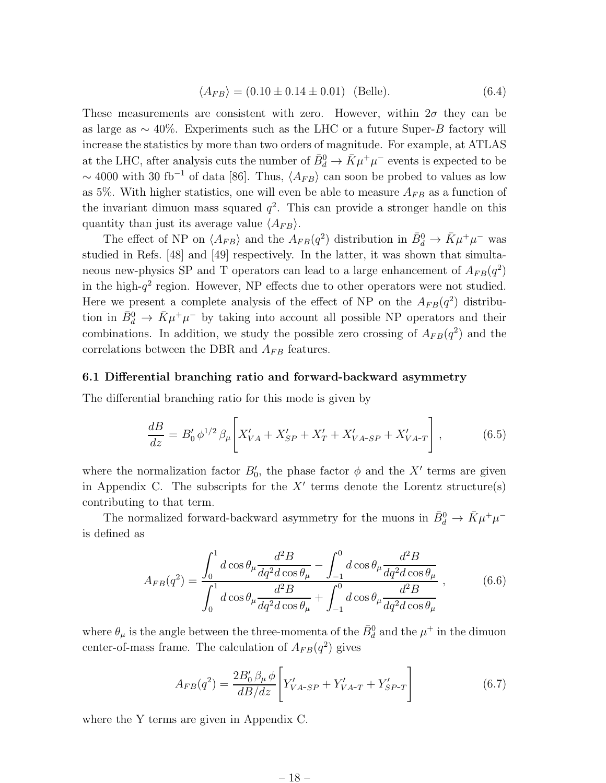$$
\langle A_{FB} \rangle = (0.10 \pm 0.14 \pm 0.01) \text{ (Belle)}.
$$
 (6.4)

These measurements are consistent with zero. However, within  $2\sigma$  they can be as large as  $\sim 40\%$ . Experiments such as the LHC or a future Super-B factory will increase the statistics by more than two orders of magnitude. For example, at ATLAS at the LHC, after analysis cuts the number of  $\bar{B}_d^0 \to \bar{K} \mu^+ \mu^-$  events is expected to be ~ 4000 with 30 fb<sup>-1</sup> of data [86]. Thus,  $\langle A_{FB} \rangle$  can soon be probed to values as low as 5%. With higher statistics, one will even be able to measure  $A_{FB}$  as a function of the invariant dimuon mass squared  $q^2$ . This can provide a stronger handle on this quantity than just its average value  $\langle A_{FB} \rangle$ .

The effect of NP on  $\langle A_{FB} \rangle$  and the  $A_{FB}(q^2)$  distribution in  $\bar{B}_d^0 \to \bar{K} \mu^+ \mu^-$  was studied in Refs. [48] and [49] respectively. In the latter, it was shown that simultaneous new-physics SP and T operators can lead to a large enhancement of  $A_{FB}(q^2)$ in the high- $q^2$  region. However, NP effects due to other operators were not studied. Here we present a complete analysis of the effect of NP on the  $A_{FB}(q^2)$  distribution in  $\bar{B}_d^0 \to \bar{K} \mu^+ \mu^-$  by taking into account all possible NP operators and their combinations. In addition, we study the possible zero crossing of  $A_{FB}(q^2)$  and the correlations between the DBR and  $A_{FB}$  features.

#### 6.1 Differential branching ratio and forward-backward asymmetry

The differential branching ratio for this mode is given by

$$
\frac{dB}{dz} = B_0' \phi^{1/2} \beta_\mu \left[ X_{VA}' + X_{SP}' + X_T' + X_{VA-SP}' + X_{VA-T}' \right],\tag{6.5}
$$

where the normalization factor  $B'_0$ , the phase factor  $\phi$  and the X' terms are given in Appendix C. The subscripts for the  $X'$  terms denote the Lorentz structure(s) contributing to that term.

The normalized forward-backward asymmetry for the muons in  $\bar{B}^0_d \to \bar{K} \mu^+ \mu^$ is defined as

$$
A_{FB}(q^2) = \frac{\int_0^1 d\cos\theta_\mu \frac{d^2B}{dq^2d\cos\theta_\mu} - \int_{-1}^0 d\cos\theta_\mu \frac{d^2B}{dq^2d\cos\theta_\mu}}{\int_0^1 d\cos\theta_\mu \frac{d^2B}{dq^2d\cos\theta_\mu} + \int_{-1}^0 d\cos\theta_\mu \frac{d^2B}{dq^2d\cos\theta_\mu}},
$$
(6.6)

where  $\theta_{\mu}$  is the angle between the three-momenta of the  $\bar{B}^0_d$  and the  $\mu^+$  in the dimuon center-of-mass frame. The calculation of  $A_{FB}(q^2)$  gives

$$
A_{FB}(q^2) = \frac{2B_0' \beta_\mu \phi}{dB/dz} \left[ Y'_{VA-SP} + Y'_{VA-T} + Y'_{SP-T} \right]
$$
 (6.7)

where the Y terms are given in Appendix C.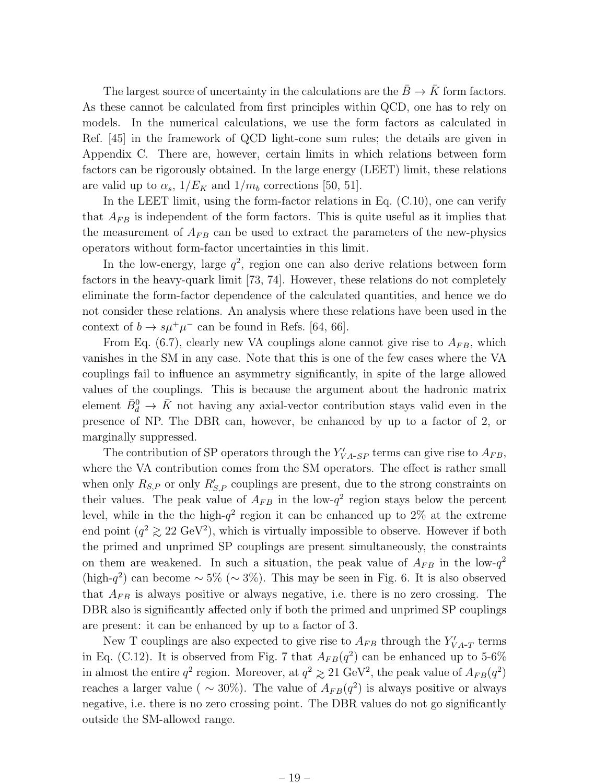The largest source of uncertainty in the calculations are the  $\bar{B} \to \bar{K}$  form factors. As these cannot be calculated from first principles within QCD, one has to rely on models. In the numerical calculations, we use the form factors as calculated in Ref. [45] in the framework of QCD light-cone sum rules; the details are given in Appendix C. There are, however, certain limits in which relations between form factors can be rigorously obtained. In the large energy (LEET) limit, these relations are valid up to  $\alpha_s$ ,  $1/E_K$  and  $1/m_b$  corrections [50, 51].

In the LEET limit, using the form-factor relations in Eq.  $(C.10)$ , one can verify that  $A_{FB}$  is independent of the form factors. This is quite useful as it implies that the measurement of  $A_{FB}$  can be used to extract the parameters of the new-physics operators without form-factor uncertainties in this limit.

In the low-energy, large  $q^2$ , region one can also derive relations between form factors in the heavy-quark limit [73, 74]. However, these relations do not completely eliminate the form-factor dependence of the calculated quantities, and hence we do not consider these relations. An analysis where these relations have been used in the context of  $b \to s\mu^+\mu^-$  can be found in Refs. [64, 66].

From Eq. (6.7), clearly new VA couplings alone cannot give rise to  $A_{FB}$ , which vanishes in the SM in any case. Note that this is one of the few cases where the VA couplings fail to influence an asymmetry significantly, in spite of the large allowed values of the couplings. This is because the argument about the hadronic matrix element  $\bar{B}_d^0 \to \bar{K}$  not having any axial-vector contribution stays valid even in the presence of NP. The DBR can, however, be enhanced by up to a factor of 2, or marginally suppressed.

The contribution of SP operators through the  $Y'_{VA-SP}$  terms can give rise to  $A_{FB}$ , where the VA contribution comes from the SM operators. The effect is rather small when only  $R_{S,P}$  or only  $R'_{S,P}$  couplings are present, due to the strong constraints on their values. The peak value of  $A_{FB}$  in the low- $q^2$  region stays below the percent level, while in the the high- $q^2$  region it can be enhanced up to 2% at the extreme end point  $(q^2 \geq 22 \text{ GeV}^2)$ , which is virtually impossible to observe. However if both the primed and unprimed SP couplings are present simultaneously, the constraints on them are weakened. In such a situation, the peak value of  $A_{FB}$  in the low- $q^2$ (high- $q^2$ ) can become ~ 5% (~ 3%). This may be seen in Fig. 6. It is also observed that  $A_{FB}$  is always positive or always negative, i.e. there is no zero crossing. The DBR also is significantly affected only if both the primed and unprimed SP couplings are present: it can be enhanced by up to a factor of 3.

New T couplings are also expected to give rise to  $A_{FB}$  through the  $Y'_{VA-T}$  terms in Eq. (C.12). It is observed from Fig. 7 that  $A_{FB}(q^2)$  can be enhanced up to 5-6% in almost the entire  $q^2$  region. Moreover, at  $q^2 \ge 21 \text{ GeV}^2$ , the peak value of  $A_{FB}(q^2)$ reaches a larger value (  $\sim 30\%$ ). The value of  $A_{FB}(q^2)$  is always positive or always negative, i.e. there is no zero crossing point. The DBR values do not go significantly outside the SM-allowed range.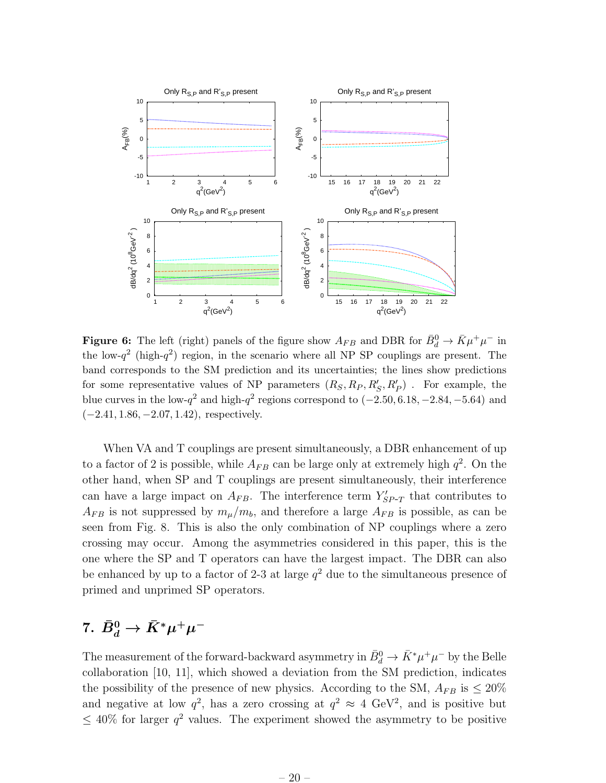

**Figure 6:** The left (right) panels of the figure show  $A_{FB}$  and DBR for  $\bar{B}_d^0 \to \bar{K} \mu^+ \mu^-$  in the low- $q^2$  (high- $q^2$ ) region, in the scenario where all NP SP couplings are present. The band corresponds to the SM prediction and its uncertainties; the lines show predictions for some representative values of NP parameters  $(R_S, R_P, R'_S, R'_P)$ . For example, the blue curves in the low- $q^2$  and high- $q^2$  regions correspond to  $(-2.50, 6.18, -2.84, -5.64)$  and  $(-2.41, 1.86, -2.07, 1.42)$ , respectively.

When VA and T couplings are present simultaneously, a DBR enhancement of up to a factor of 2 is possible, while  $A_{FB}$  can be large only at extremely high  $q^2$ . On the other hand, when SP and T couplings are present simultaneously, their interference can have a large impact on  $A_{FB}$ . The interference term  $Y'_{SP-T}$  that contributes to  $A_{FB}$  is not suppressed by  $m_{\mu}/m_b$ , and therefore a large  $A_{FB}$  is possible, as can be seen from Fig. 8. This is also the only combination of NP couplings where a zero crossing may occur. Among the asymmetries considered in this paper, this is the one where the SP and T operators can have the largest impact. The DBR can also be enhanced by up to a factor of 2-3 at large  $q^2$  due to the simultaneous presence of primed and unprimed SP operators.

## 7.  $\bar{B}^0_d \to \bar{K}^* \mu^+ \mu^-$

The measurement of the forward-backward asymmetry in  $\bar{B}^0_d \to \bar{K}^* \mu^+ \mu^-$  by the Belle collaboration [10, 11], which showed a deviation from the SM prediction, indicates the possibility of the presence of new physics. According to the SM,  $A_{FB}$  is  $\leq 20\%$ and negative at low  $q^2$ , has a zero crossing at  $q^2 \approx 4 \text{ GeV}^2$ , and is positive but  $\leq 40\%$  for larger  $q^2$  values. The experiment showed the asymmetry to be positive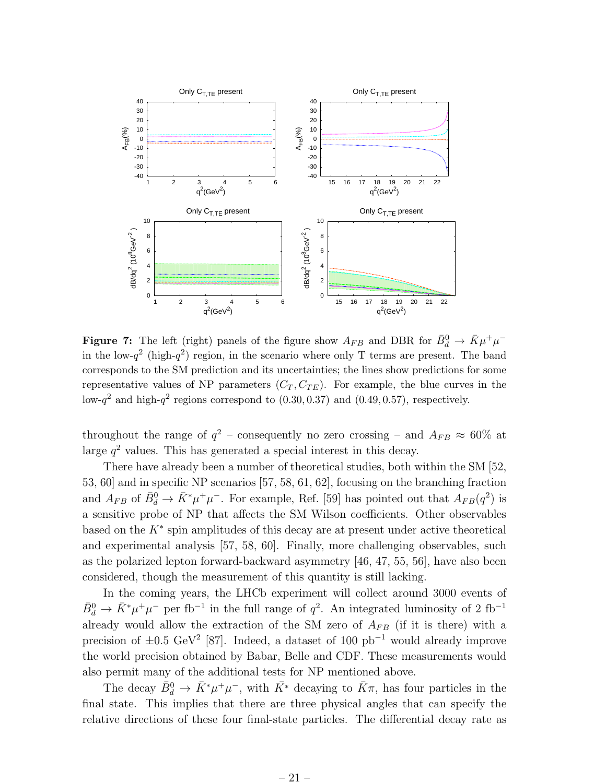

**Figure 7:** The left (right) panels of the figure show  $A_{FB}$  and DBR for  $\bar{B}^0_d \to \bar{K}\mu^+\mu^$ in the low- $q^2$  (high- $q^2$ ) region, in the scenario where only T terms are present. The band corresponds to the SM prediction and its uncertainties; the lines show predictions for some representative values of NP parameters  $(C_T, C_{TE})$ . For example, the blue curves in the low- $q^2$  and high- $q^2$  regions correspond to  $(0.30, 0.37)$  and  $(0.49, 0.57)$ , respectively.

throughout the range of  $q^2$  – consequently no zero crossing – and  $A_{FB} \approx 60\%$  at large  $q^2$  values. This has generated a special interest in this decay.

There have already been a number of theoretical studies, both within the SM [52, 53, 60] and in specific NP scenarios [57, 58, 61, 62], focusing on the branching fraction and  $A_{FB}$  of  $\bar{B}^0_d \to \bar{K}^* \mu^+ \mu^-$ . For example, Ref. [59] has pointed out that  $A_{FB}(q^2)$  is a sensitive probe of NP that affects the SM Wilson coefficients. Other observables based on the K<sup>∗</sup> spin amplitudes of this decay are at present under active theoretical and experimental analysis [57, 58, 60]. Finally, more challenging observables, such as the polarized lepton forward-backward asymmetry [46, 47, 55, 56], have also been considered, though the measurement of this quantity is still lacking.

In the coming years, the LHCb experiment will collect around 3000 events of  $\bar{B}^0_d \to \bar{K}^* \mu^+ \mu^-$  per fb<sup>-1</sup> in the full range of  $q^2$ . An integrated luminosity of 2 fb<sup>-1</sup> already would allow the extraction of the SM zero of  $A_{FB}$  (if it is there) with a precision of  $\pm 0.5$  GeV<sup>2</sup> [87]. Indeed, a dataset of 100 pb<sup>-1</sup> would already improve the world precision obtained by Babar, Belle and CDF. These measurements would also permit many of the additional tests for NP mentioned above.

The decay  $\bar{B}_d^0 \to \bar{K}^* \mu^+ \mu^-$ , with  $\bar{K}^*$  decaying to  $\bar{K}\pi$ , has four particles in the final state. This implies that there are three physical angles that can specify the relative directions of these four final-state particles. The differential decay rate as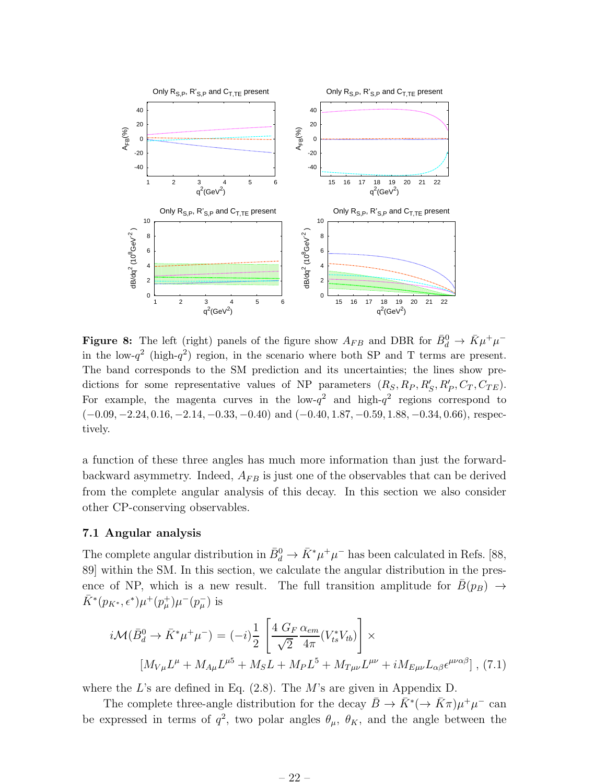

**Figure 8:** The left (right) panels of the figure show  $A_{FB}$  and DBR for  $\bar{B}^0_d \to \bar{K}\mu^+\mu^$ in the low- $q^2$  (high- $q^2$ ) region, in the scenario where both SP and T terms are present. The band corresponds to the SM prediction and its uncertainties; the lines show predictions for some representative values of NP parameters  $(R_S, R_P, R'_S, R'_P, C_T, C_{TE})$ . For example, the magenta curves in the low- $q^2$  and high- $q^2$  regions correspond to  $(-0.09, -2.24, 0.16, -2.14, -0.33, -0.40)$  and  $(-0.40, 1.87, -0.59, 1.88, -0.34, 0.66)$ , respectively.

a function of these three angles has much more information than just the forwardbackward asymmetry. Indeed,  $A_{FB}$  is just one of the observables that can be derived from the complete angular analysis of this decay. In this section we also consider other CP-conserving observables.

#### 7.1 Angular analysis

The complete angular distribution in  $\bar{B}^0_d \to \bar{K}^* \mu^+ \mu^-$  has been calculated in Refs. [88, 89] within the SM. In this section, we calculate the angular distribution in the presence of NP, which is a new result. The full transition amplitude for  $\bar{B}(p_B) \rightarrow$  $\bar{K}^{*}(p_{K^{*}}, \epsilon^{*})\mu^{+}(p_{\mu}^{+})\mu^{-}(p_{\mu}^{-})$  is

$$
i\mathcal{M}(\bar{B}_d^0 \to \bar{K}^* \mu^+ \mu^-) = (-i)\frac{1}{2} \left[ \frac{4 G_F \alpha_{em}}{\sqrt{2}} (V_{ts}^* V_{tb}) \right] \times
$$
  

$$
[M_{V\mu} L^{\mu} + M_{A\mu} L^{\mu 5} + M_S L + M_P L^5 + M_{T\mu\nu} L^{\mu\nu} + i M_{E\mu\nu} L_{\alpha\beta} \epsilon^{\mu\nu\alpha\beta}],
$$
(7.1)

where the L's are defined in Eq.  $(2.8)$ . The M's are given in Appendix D.

The complete three-angle distribution for the decay  $\bar{B} \to \bar{K}^* (\to \bar{K}\pi) \mu^+ \mu^-$  can be expressed in terms of  $q^2$ , two polar angles  $\theta_{\mu}$ ,  $\theta_{K}$ , and the angle between the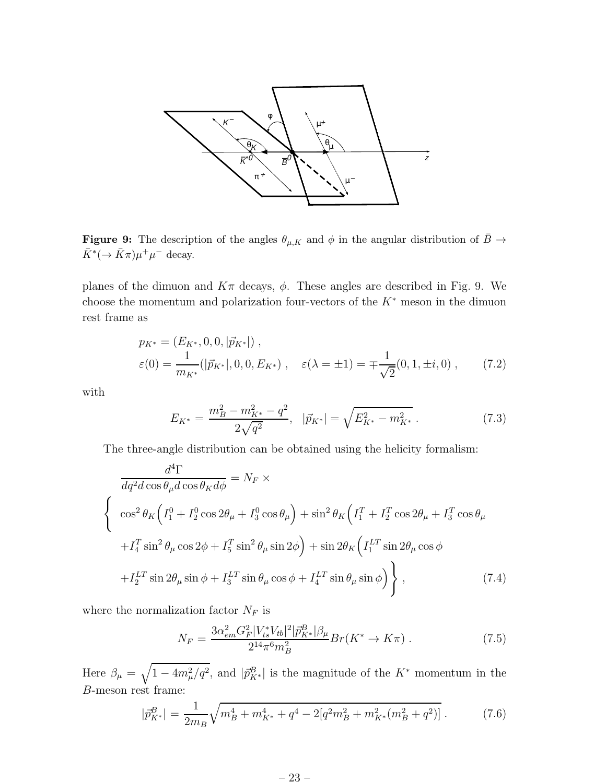

**Figure 9:** The description of the angles  $\theta_{\mu,K}$  and  $\phi$  in the angular distribution of  $\bar{B} \to$  $\bar{K}^* (\to \bar{K}\pi)\mu^+\mu^-$  decay.

planes of the dimuon and  $K\pi$  decays,  $\phi$ . These angles are described in Fig. 9. We choose the momentum and polarization four-vectors of the  $K^*$  meson in the dimuon rest frame as

$$
p_{K^*} = (E_{K^*}, 0, 0, |\vec{p}_{K^*}|),
$$
  
\n
$$
\varepsilon(0) = \frac{1}{m_{K^*}}(|\vec{p}_{K^*}|, 0, 0, E_{K^*}), \quad \varepsilon(\lambda = \pm 1) = \mp \frac{1}{\sqrt{2}}(0, 1, \pm i, 0), \quad (7.2)
$$

with

$$
E_{K^*} = \frac{m_B^2 - m_{K^*}^2 - q^2}{2\sqrt{q^2}}, \quad |\vec{p}_{K^*}| = \sqrt{E_{K^*}^2 - m_{K^*}^2} \,. \tag{7.3}
$$

The three-angle distribution can be obtained using the helicity formalism:

$$
\frac{d^4\Gamma}{dq^2d\cos\theta_{\mu}d\cos\theta_{K}d\phi} = N_F \times
$$
\n
$$
\begin{cases}\n\cos^2\theta_K \Big( I_1^0 + I_2^0 \cos 2\theta_{\mu} + I_3^0 \cos \theta_{\mu} \Big) + \sin^2\theta_K \Big( I_1^T + I_2^T \cos 2\theta_{\mu} + I_3^T \cos \theta_{\mu} \Big) \\
+ I_4^T \sin^2\theta_{\mu} \cos 2\phi + I_5^T \sin^2\theta_{\mu} \sin 2\phi \Big) + \sin 2\theta_K \Big( I_1^{LT} \sin 2\theta_{\mu} \cos \phi \Big) \\
+ I_2^{LT} \sin 2\theta_{\mu} \sin \phi + I_3^{LT} \sin \theta_{\mu} \cos \phi + I_4^{LT} \sin \theta_{\mu} \sin \phi \Big) \end{cases}
$$
\n(7.4)

where the normalization factor  $N_F$  is

$$
N_F = \frac{3\alpha_{em}^2 G_F^2 |V_{ts}^* V_{tb}|^2 |\vec{p}_{K^*}^B| \beta_\mu}{2^{14} \pi^6 m_B^2} Br(K^* \to K\pi) \,. \tag{7.5}
$$

Here  $\beta_{\mu} = \sqrt{1 - 4m_{\mu}^2/q^2}$ , and  $|\bar{p}_{K^*}^B|$  is the magnitude of the  $K^*$  momentum in the B-meson rest frame:

$$
|\vec{p}_{K^*}^B| = \frac{1}{2m_B} \sqrt{m_B^4 + m_{K^*}^4 + q^4 - 2[q^2m_B^2 + m_{K^*}^2(m_B^2 + q^2)]} \,. \tag{7.6}
$$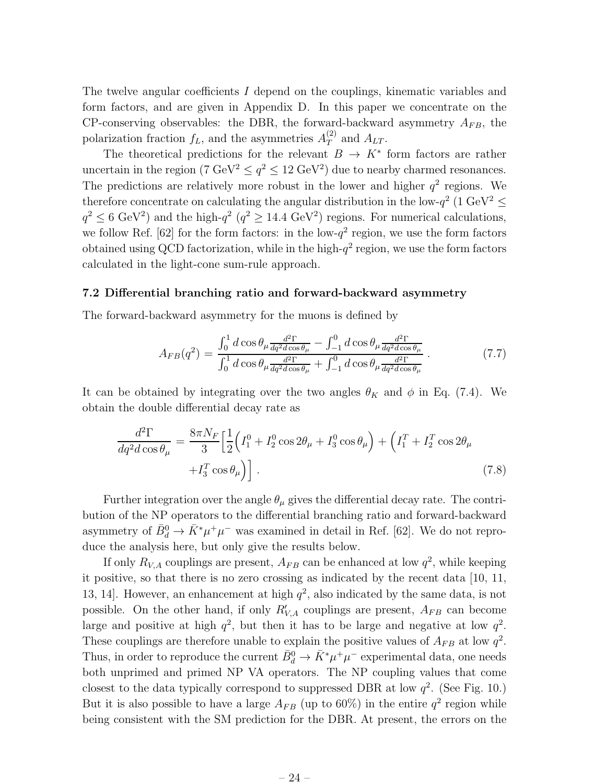The twelve angular coefficients I depend on the couplings, kinematic variables and form factors, and are given in Appendix D. In this paper we concentrate on the CP-conserving observables: the DBR, the forward-backward asymmetry  $A_{FB}$ , the polarization fraction  $f_L$ , and the asymmetries  $A_T^{(2)}$  $T^{(2)}$  and  $A_{LT}$ .

The theoretical predictions for the relevant  $B \to K^*$  form factors are rather uncertain in the region (7 GeV<sup>2</sup>  $\leq q^2 \leq 12$  GeV<sup>2</sup>) due to nearby charmed resonances. The predictions are relatively more robust in the lower and higher  $q^2$  regions. We therefore concentrate on calculating the angular distribution in the low- $q^2$  (1 GeV<sup>2</sup>  $\leq$  $q^2 \leq 6 \text{ GeV}^2$ ) and the high- $q^2$  ( $q^2 \geq 14.4 \text{ GeV}^2$ ) regions. For numerical calculations, we follow Ref. [62] for the form factors: in the low- $q^2$  region, we use the form factors obtained using QCD factorization, while in the high- $q^2$  region, we use the form factors calculated in the light-cone sum-rule approach.

#### 7.2 Differential branching ratio and forward-backward asymmetry

The forward-backward asymmetry for the muons is defined by

$$
A_{FB}(q^2) = \frac{\int_0^1 d\cos\theta_\mu \frac{d^2\Gamma}{dq^2 d\cos\theta_\mu} - \int_{-1}^0 d\cos\theta_\mu \frac{d^2\Gamma}{dq^2 d\cos\theta_\mu}}{\int_0^1 d\cos\theta_\mu \frac{d^2\Gamma}{dq^2 d\cos\theta_\mu} + \int_{-1}^0 d\cos\theta_\mu \frac{d^2\Gamma}{dq^2 d\cos\theta_\mu}}.
$$
(7.7)

It can be obtained by integrating over the two angles  $\theta_K$  and  $\phi$  in Eq. (7.4). We obtain the double differential decay rate as

$$
\frac{d^2\Gamma}{dq^2d\cos\theta_{\mu}} = \frac{8\pi N_F}{3} \left[ \frac{1}{2} \left( I_1^0 + I_2^0 \cos 2\theta_{\mu} + I_3^0 \cos \theta_{\mu} \right) + \left( I_1^T + I_2^T \cos 2\theta_{\mu} + I_3^T \cos \theta_{\mu} \right) \right].
$$
\n(7.8)

Further integration over the angle  $\theta_{\mu}$  gives the differential decay rate. The contribution of the NP operators to the differential branching ratio and forward-backward asymmetry of  $\bar{B}_d^0 \to \bar{K}^* \mu^+ \mu^-$  was examined in detail in Ref. [62]. We do not reproduce the analysis here, but only give the results below.

If only  $R_{V,A}$  couplings are present,  $A_{FB}$  can be enhanced at low  $q^2$ , while keeping it positive, so that there is no zero crossing as indicated by the recent data [10, 11, 13, 14]. However, an enhancement at high  $q^2$ , also indicated by the same data, is not possible. On the other hand, if only  $R'_{V,A}$  couplings are present,  $A_{FB}$  can become large and positive at high  $q^2$ , but then it has to be large and negative at low  $q^2$ . These couplings are therefore unable to explain the positive values of  $A_{FB}$  at low  $q^2$ . Thus, in order to reproduce the current  $\bar{B}_d^0 \to \bar{K}^* \mu^+ \mu^-$  experimental data, one needs both unprimed and primed NP VA operators. The NP coupling values that come closest to the data typically correspond to suppressed DBR at low  $q^2$ . (See Fig. 10.) But it is also possible to have a large  $A_{FB}$  (up to 60%) in the entire  $q^2$  region while being consistent with the SM prediction for the DBR. At present, the errors on the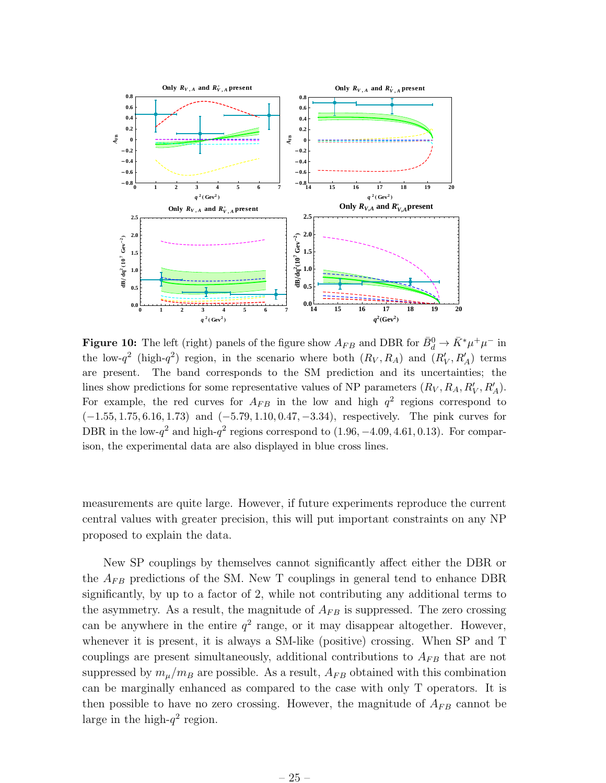

**Figure 10:** The left (right) panels of the figure show  $A_{FB}$  and DBR for  $\bar{B}_d^0 \to \bar{K}^* \mu^+ \mu^-$  in the low- $q^2$  (high- $q^2$ ) region, in the scenario where both  $(R_V, R_A)$  and  $(R'_V, R'_A)$  terms are present. The band corresponds to the SM prediction and its uncertainties; the lines show predictions for some representative values of NP parameters  $(R_V, R_A, R'_V, R'_A)$ . For example, the red curves for  $A_{FB}$  in the low and high  $q^2$  regions correspond to (−1.55, 1.75, 6.16, 1.73) and (−5.79, 1.10, 0.47, −3.34), respectively. The pink curves for DBR in the low- $q^2$  and high- $q^2$  regions correspond to  $(1.96, -4.09, 4.61, 0.13)$ . For comparison, the experimental data are also displayed in blue cross lines.

measurements are quite large. However, if future experiments reproduce the current central values with greater precision, this will put important constraints on any NP proposed to explain the data.

New SP couplings by themselves cannot significantly affect either the DBR or the  $A_{FB}$  predictions of the SM. New T couplings in general tend to enhance DBR significantly, by up to a factor of 2, while not contributing any additional terms to the asymmetry. As a result, the magnitude of  $A_{FB}$  is suppressed. The zero crossing can be anywhere in the entire  $q^2$  range, or it may disappear altogether. However, whenever it is present, it is always a SM-like (positive) crossing. When SP and T couplings are present simultaneously, additional contributions to  $A_{FB}$  that are not suppressed by  $m_{\mu}/m_B$  are possible. As a result,  $A_{FB}$  obtained with this combination can be marginally enhanced as compared to the case with only T operators. It is then possible to have no zero crossing. However, the magnitude of  $A_{FB}$  cannot be large in the high- $q^2$  region.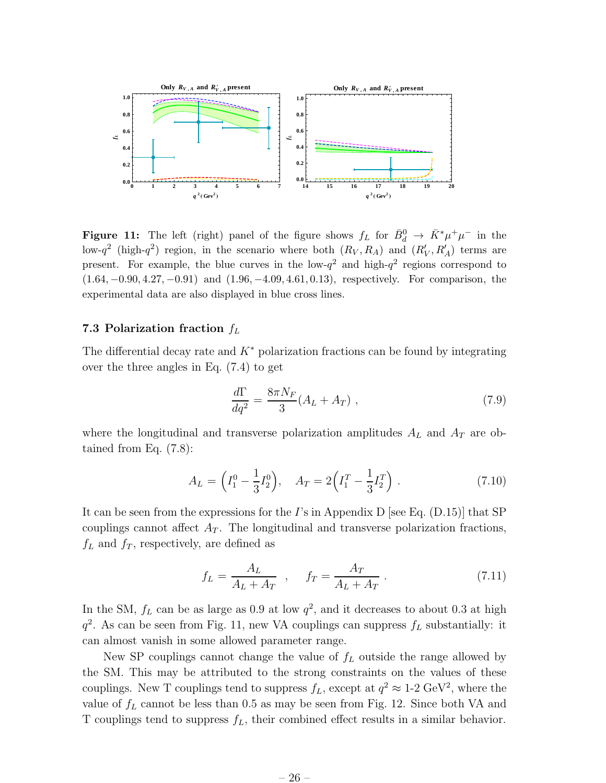

**Figure 11:** The left (right) panel of the figure shows  $f_L$  for  $\bar{B}_d^0 \to \bar{K}^* \mu^+ \mu^-$  in the low- $q^2$  (high- $q^2$ ) region, in the scenario where both  $(R_V, R_A)$  and  $(R'_V, R'_A)$  terms are present. For example, the blue curves in the low- $q^2$  and high- $q^2$  regions correspond to (1.64, −0.90, 4.27, −0.91) and (1.96, −4.09, 4.61, 0.13), respectively. For comparison, the experimental data are also displayed in blue cross lines.

### 7.3 Polarization fraction  $f_L$

The differential decay rate and  $K^*$  polarization fractions can be found by integrating over the three angles in Eq. (7.4) to get

$$
\frac{d\Gamma}{dq^2} = \frac{8\pi N_F}{3} (A_L + A_T) , \qquad (7.9)
$$

where the longitudinal and transverse polarization amplitudes  $A_L$  and  $A_T$  are obtained from Eq. (7.8):

$$
A_L = \left(I_1^0 - \frac{1}{3}I_2^0\right), \quad A_T = 2\left(I_1^T - \frac{1}{3}I_2^T\right). \tag{7.10}
$$

It can be seen from the expressions for the I's in Appendix D [see Eq.  $(D.15)$ ] that SP couplings cannot affect  $A_T$ . The longitudinal and transverse polarization fractions,  $f<sub>L</sub>$  and  $f<sub>T</sub>$ , respectively, are defined as

$$
f_L = \frac{A_L}{A_L + A_T} \quad , \quad f_T = \frac{A_T}{A_L + A_T} \tag{7.11}
$$

In the SM,  $f_L$  can be as large as 0.9 at low  $q^2$ , and it decreases to about 0.3 at high  $q^2$ . As can be seen from Fig. 11, new VA couplings can suppress  $f_L$  substantially: it can almost vanish in some allowed parameter range.

New SP couplings cannot change the value of  $f<sub>L</sub>$  outside the range allowed by the SM. This may be attributed to the strong constraints on the values of these couplings. New T couplings tend to suppress  $f_L$ , except at  $q^2 \approx 1$ -2 GeV<sup>2</sup>, where the value of  $f_L$  cannot be less than 0.5 as may be seen from Fig. 12. Since both VA and T couplings tend to suppress  $f_L$ , their combined effect results in a similar behavior.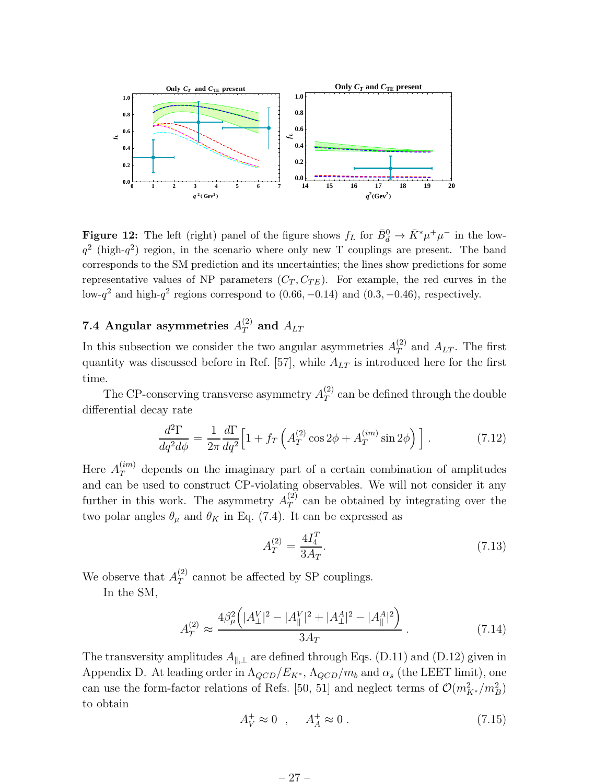

**Figure 12:** The left (right) panel of the figure shows  $f_L$  for  $\bar{B}_d^0 \to \bar{K}^* \mu^+ \mu^-$  in the low $q^2$  (high- $q^2$ ) region, in the scenario where only new T couplings are present. The band corresponds to the SM prediction and its uncertainties; the lines show predictions for some representative values of NP parameters  $(C_T, C_{TE})$ . For example, the red curves in the low- $q^2$  and high- $q^2$  regions correspond to  $(0.66, -0.14)$  and  $(0.3, -0.46)$ , respectively.

### 7.4 Angular asymmetries  $A_T^{(2)}$  and  $A_{LT}$

In this subsection we consider the two angular asymmetries  $A_T^{(2)}$  $T$  and  $A_{LT}$ . The first quantity was discussed before in Ref. [57], while  $A_{LT}$  is introduced here for the first time.

The CP-conserving transverse asymmetry  $A_T^{(2)}$  $T(T)$  can be defined through the double differential decay rate

$$
\frac{d^2\Gamma}{dq^2 d\phi} = \frac{1}{2\pi} \frac{d\Gamma}{dq^2} \Big[ 1 + f_T \left( A_T^{(2)} \cos 2\phi + A_T^{(im)} \sin 2\phi \right) \Big] \,. \tag{7.12}
$$

Here  $A_T^{(im)}$  depends on the imaginary part of a certain combination of amplitudes and can be used to construct CP-violating observables. We will not consider it any further in this work. The asymmetry  $A_T^{(2)}$  $T$ <sup>(2)</sup> can be obtained by integrating over the two polar angles  $\theta_{\mu}$  and  $\theta_{K}$  in Eq. (7.4). It can be expressed as

$$
A_T^{(2)} = \frac{4I_4^T}{3A_T}.\tag{7.13}
$$

We observe that  $A_T^{(2)}$  $T<sup>(2)</sup>$  cannot be affected by SP couplings.

In the SM,

$$
A_T^{(2)} \approx \frac{4\beta_\mu^2 \left( |A_\perp^V|^2 - |A_\parallel^V|^2 + |A_\perp^A|^2 - |A_\parallel^A|^2 \right)}{3A_T} \,. \tag{7.14}
$$

The transversity amplitudes  $A_{\parallel,\perp}$  are defined through Eqs. (D.11) and (D.12) given in Appendix D. At leading order in  $\Lambda_{QCD}/E_{K^*}$ ,  $\Lambda_{QCD}/m_b$  and  $\alpha_s$  (the LEET limit), one can use the form-factor relations of Refs. [50, 51] and neglect terms of  $\mathcal{O}(m_{K^*}^2/m_B^2)$ to obtain

$$
A_V^+ \approx 0 \quad , \quad A_A^+ \approx 0 \tag{7.15}
$$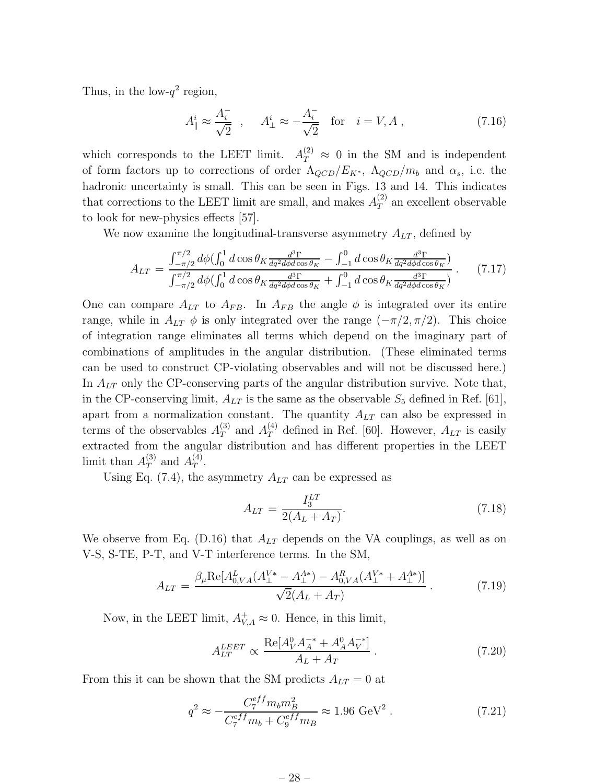Thus, in the low- $q^2$  region,

$$
A_{\parallel}^{i} \approx \frac{A_{i}^{-}}{\sqrt{2}} , \quad A_{\perp}^{i} \approx -\frac{A_{i}^{-}}{\sqrt{2}} \quad \text{for} \quad i = V, A , \qquad (7.16)
$$

which corresponds to the LEET limit.  $A_T^{(2)} \approx 0$  in the SM and is independent of form factors up to corrections of order  $\Lambda_{QCD}/E_{K^*}$ ,  $\Lambda_{QCD}/m_b$  and  $\alpha_s$ , i.e. the hadronic uncertainty is small. This can be seen in Figs. 13 and 14. This indicates that corrections to the LEET limit are small, and makes  $A_T^{(2)}$  $T^{(2)}$  an excellent observable to look for new-physics effects [57].

We now examine the longitudinal-transverse asymmetry  $A_{LT}$ , defined by

$$
A_{LT} = \frac{\int_{-\pi/2}^{\pi/2} d\phi (\int_0^1 d\cos\theta_K \frac{d^3 \Gamma}{dq^2 d\phi d\cos\theta_K} - \int_{-1}^0 d\cos\theta_K \frac{d^3 \Gamma}{dq^2 d\phi d\cos\theta_K})}{\int_{-\pi/2}^{\pi/2} d\phi (\int_0^1 d\cos\theta_K \frac{d^3 \Gamma}{dq^2 d\phi d\cos\theta_K} + \int_{-1}^0 d\cos\theta_K \frac{d^3 \Gamma}{dq^2 d\phi d\cos\theta_K})} . \tag{7.17}
$$

One can compare  $A_{LT}$  to  $A_{FB}$ . In  $A_{FB}$  the angle  $\phi$  is integrated over its entire range, while in  $A_{LT} \phi$  is only integrated over the range  $(-\pi/2, \pi/2)$ . This choice of integration range eliminates all terms which depend on the imaginary part of combinations of amplitudes in the angular distribution. (These eliminated terms can be used to construct CP-violating observables and will not be discussed here.) In  $A_{LT}$  only the CP-conserving parts of the angular distribution survive. Note that, in the CP-conserving limit,  $A_{LT}$  is the same as the observable  $S_5$  defined in Ref. [61], apart from a normalization constant. The quantity  $A_{LT}$  can also be expressed in terms of the observables  $A_T^{(3)}$  $T_T^{(3)}$  and  $A_T^{(4)}$  defined in Ref. [60]. However,  $A_{LT}$  is easily extracted from the angular distribution and has different properties in the LEET limit than  $A_T^{(3)}$  $T^{(3)}$  and  $A_T^{(4)}$  $T^{(4)}$ .

Using Eq. (7.4), the asymmetry  $A_{LT}$  can be expressed as

$$
A_{LT} = \frac{I_3^{LT}}{2(A_L + A_T)}.\t(7.18)
$$

We observe from Eq. (D.16) that  $A_{LT}$  depends on the VA couplings, as well as on V-S, S-TE, P-T, and V-T interference terms. In the SM,

$$
A_{LT} = \frac{\beta_{\mu} \text{Re}[A_{0,VA}^{L}(A_{\perp}^{V*} - A_{\perp}^{A*}) - A_{0,VA}^{R}(A_{\perp}^{V*} + A_{\perp}^{A*})]}{\sqrt{2}(A_{L} + A_{T})} \tag{7.19}
$$

Now, in the LEET limit,  $A_{V,A}^+ \approx 0$ . Hence, in this limit,

$$
A_{LT}^{LEET} \propto \frac{\text{Re}[A_V^0 A_A^{-*} + A_A^0 A_V^{-*}]}{A_L + A_T} \,. \tag{7.20}
$$

From this it can be shown that the SM predicts  $A_{LT} = 0$  at

$$
q^2 \approx -\frac{C_7^{eff} m_b m_B^2}{C_7^{eff} m_b + C_9^{eff} m_B} \approx 1.96 \text{ GeV}^2. \tag{7.21}
$$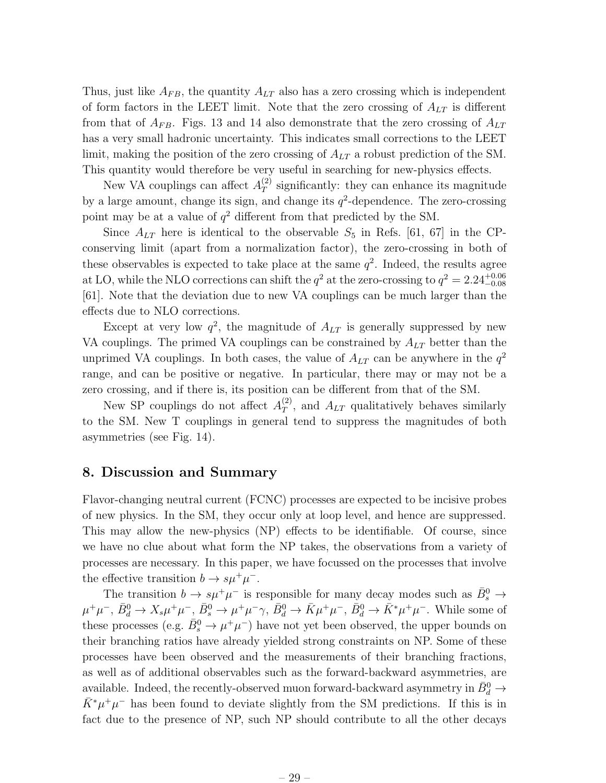Thus, just like  $A_{FB}$ , the quantity  $A_{LT}$  also has a zero crossing which is independent of form factors in the LEET limit. Note that the zero crossing of  $A_{LT}$  is different from that of  $A_{FB}$ . Figs. 13 and 14 also demonstrate that the zero crossing of  $A_{LT}$ has a very small hadronic uncertainty. This indicates small corrections to the LEET limit, making the position of the zero crossing of  $A_{LT}$  a robust prediction of the SM. This quantity would therefore be very useful in searching for new-physics effects.

New VA couplings can affect  $A_T^{(2)}$  $T<sup>(2)</sup>$  significantly: they can enhance its magnitude by a large amount, change its sign, and change its  $q^2$ -dependence. The zero-crossing point may be at a value of  $q^2$  different from that predicted by the SM.

Since  $A_{LT}$  here is identical to the observable  $S_5$  in Refs. [61, 67] in the CPconserving limit (apart from a normalization factor), the zero-crossing in both of these observables is expected to take place at the same  $q^2$ . Indeed, the results agree at LO, while the NLO corrections can shift the  $q^2$  at the zero-crossing to  $q^2 = 2.24^{+0.06}_{-0.08}$ [61]. Note that the deviation due to new VA couplings can be much larger than the effects due to NLO corrections.

Except at very low  $q^2$ , the magnitude of  $A_{LT}$  is generally suppressed by new VA couplings. The primed VA couplings can be constrained by  $A_{LT}$  better than the unprimed VA couplings. In both cases, the value of  $A_{LT}$  can be anywhere in the  $q^2$ range, and can be positive or negative. In particular, there may or may not be a zero crossing, and if there is, its position can be different from that of the SM.

New SP couplings do not affect  $A_T^{(2)}$  $T$ , and  $A_{LT}$  qualitatively behaves similarly to the SM. New T couplings in general tend to suppress the magnitudes of both asymmetries (see Fig. 14).

### 8. Discussion and Summary

Flavor-changing neutral current (FCNC) processes are expected to be incisive probes of new physics. In the SM, they occur only at loop level, and hence are suppressed. This may allow the new-physics (NP) effects to be identifiable. Of course, since we have no clue about what form the NP takes, the observations from a variety of processes are necessary. In this paper, we have focussed on the processes that involve the effective transition  $b \to s\mu^+\mu^-$ .

The transition  $b \to s\mu^+\mu^-$  is responsible for many decay modes such as  $\bar{B}^0_s \to$  $\mu^+\mu^-$ ,  $\bar{B}_d^0 \to X_s\mu^+\mu^-$ ,  $\bar{B}_s^0 \to \mu^+\mu^-\gamma$ ,  $\bar{B}_d^0 \to \bar{K}\mu^+\mu^-$ ,  $\bar{B}_d^0 \to \bar{K}^*\mu^+\mu^-$ . While some of these processes (e.g.  $\bar{B}_s^0 \to \mu^+ \mu^-$ ) have not yet been observed, the upper bounds on their branching ratios have already yielded strong constraints on NP. Some of these processes have been observed and the measurements of their branching fractions, as well as of additional observables such as the forward-backward asymmetries, are available. Indeed, the recently-observed muon forward-backward asymmetry in  $\bar{B}^0_d \rightarrow$  $\bar{K}^* \mu^+ \mu^-$  has been found to deviate slightly from the SM predictions. If this is in fact due to the presence of NP, such NP should contribute to all the other decays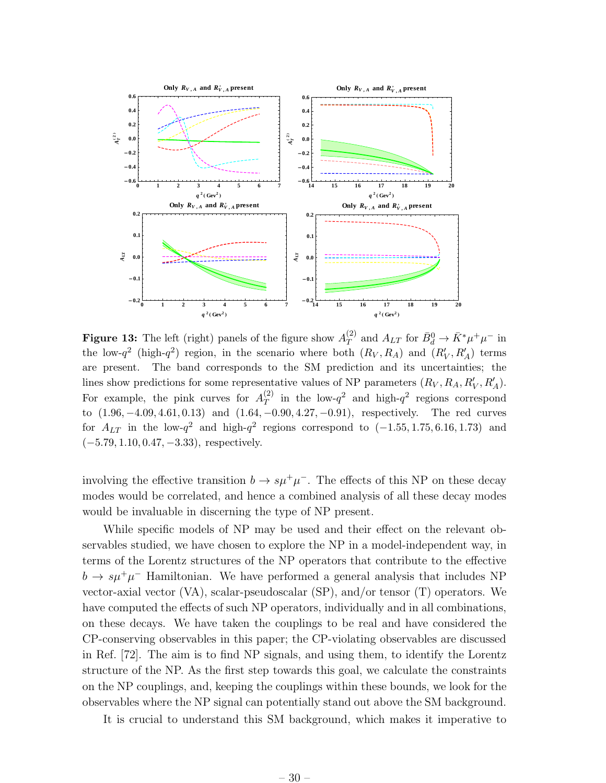

**Figure 13:** The left (right) panels of the figure show  $A_T^{(2)}$  $T(T^{(2)}$  and  $A_{LT}$  for  $\bar{B}_d^0 \to \bar{K}^* \mu^+ \mu^-$  in the low- $q^2$  (high- $q^2$ ) region, in the scenario where both  $(R_V, R_A)$  and  $(R'_V, R'_A)$  terms are present. The band corresponds to the SM prediction and its uncertainties; the lines show predictions for some representative values of NP parameters  $(R_V, R_A, R'_V, R'_A)$ . For example, the pink curves for  $A_T^{(2)}$  $T$  in the low- $q^2$  and high- $q^2$  regions correspond to (1.96, −4.09, 4.61, 0.13) and (1.64, −0.90, 4.27, −0.91), respectively. The red curves for  $A_{LT}$  in the low- $q^2$  and high- $q^2$  regions correspond to  $(-1.55, 1.75, 6.16, 1.73)$  and  $(-5.79, 1.10, 0.47, -3.33)$ , respectively.

involving the effective transition  $b \to s\mu^+\mu^-$ . The effects of this NP on these decay modes would be correlated, and hence a combined analysis of all these decay modes would be invaluable in discerning the type of NP present.

While specific models of NP may be used and their effect on the relevant observables studied, we have chosen to explore the NP in a model-independent way, in terms of the Lorentz structures of the NP operators that contribute to the effective  $b \to s\mu^+\mu^-$  Hamiltonian. We have performed a general analysis that includes NP vector-axial vector (VA), scalar-pseudoscalar (SP), and/or tensor (T) operators. We have computed the effects of such NP operators, individually and in all combinations, on these decays. We have taken the couplings to be real and have considered the CP-conserving observables in this paper; the CP-violating observables are discussed in Ref. [72]. The aim is to find NP signals, and using them, to identify the Lorentz structure of the NP. As the first step towards this goal, we calculate the constraints on the NP couplings, and, keeping the couplings within these bounds, we look for the observables where the NP signal can potentially stand out above the SM background.

It is crucial to understand this SM background, which makes it imperative to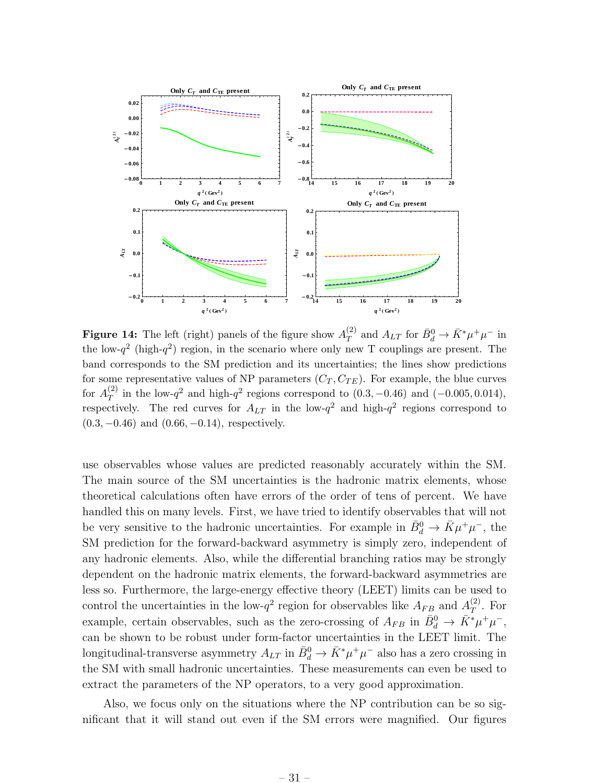

**Figure 14:** The left (right) panels of the figure show  $A_T^{(2)}$  $T(T^{(2)}$  and  $A_{LT}$  for  $\bar{B}_d^0 \to \bar{K}^* \mu^+ \mu^-$  in the low- $q^2$  (high- $q^2$ ) region, in the scenario where only new T couplings are present. The band corresponds to the SM prediction and its uncertainties; the lines show predictions for some representative values of NP parameters  $(C_T, C_{TE})$ . For example, the blue curves for  $A_T^{(2)}$  $T(T)$  in the low- $q^2$  and high- $q^2$  regions correspond to  $(0.3, -0.46)$  and  $(-0.005, 0.014)$ , respectively. The red curves for  $A_{LT}$  in the low- $q^2$  and high- $q^2$  regions correspond to  $(0.3, -0.46)$  and  $(0.66, -0.14)$ , respectively.

use observables whose values are predicted reasonably accurately within the SM. The main source of the SM uncertainties is the hadronic matrix elements, whose theoretical calculations often have errors of the order of tens of percent. We have handled this on many levels. First, we have tried to identify observables that will not be very sensitive to the hadronic uncertainties. For example in  $\bar{B}_d^0 \to \bar{K} \mu^+ \mu^-$ , the SM prediction for the forward-backward asymmetry is simply zero, independent of any hadronic elements. Also, while the differential branching ratios may be strongly dependent on the hadronic matrix elements, the forward-backward asymmetries are less so. Furthermore, the large-energy effective theory (LEET) limits can be used to control the uncertainties in the low- $q^2$  region for observables like  $A_{FB}$  and  $A_T^{(2)}$  $T^{(2)}$ . For example, certain observables, such as the zero-crossing of  $A_{FB}$  in  $\bar{B}^0_d \to \bar{K}^* \mu^+ \mu^-$ , can be shown to be robust under form-factor uncertainties in the LEET limit. The longitudinal-transverse asymmetry  $A_{LT}$  in  $\bar{B}^0_d \to \bar{K}^* \mu^+ \mu^-$  also has a zero crossing in the SM with small hadronic uncertainties. These measurements can even be used to extract the parameters of the NP operators, to a very good approximation.

Also, we focus only on the situations where the NP contribution can be so significant that it will stand out even if the SM errors were magnified. Our figures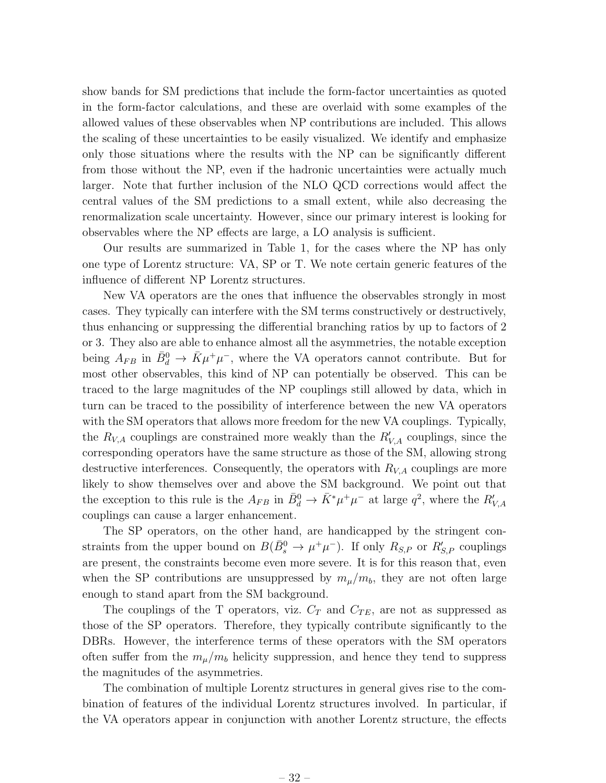show bands for SM predictions that include the form-factor uncertainties as quoted in the form-factor calculations, and these are overlaid with some examples of the allowed values of these observables when NP contributions are included. This allows the scaling of these uncertainties to be easily visualized. We identify and emphasize only those situations where the results with the NP can be significantly different from those without the NP, even if the hadronic uncertainties were actually much larger. Note that further inclusion of the NLO QCD corrections would affect the central values of the SM predictions to a small extent, while also decreasing the renormalization scale uncertainty. However, since our primary interest is looking for observables where the NP effects are large, a LO analysis is sufficient.

Our results are summarized in Table 1, for the cases where the NP has only one type of Lorentz structure: VA, SP or T. We note certain generic features of the influence of different NP Lorentz structures.

New VA operators are the ones that influence the observables strongly in most cases. They typically can interfere with the SM terms constructively or destructively, thus enhancing or suppressing the differential branching ratios by up to factors of 2 or 3. They also are able to enhance almost all the asymmetries, the notable exception being  $A_{FB}$  in  $\bar{B}^0_d \to \bar{K}\mu^+\mu^-$ , where the VA operators cannot contribute. But for most other observables, this kind of NP can potentially be observed. This can be traced to the large magnitudes of the NP couplings still allowed by data, which in turn can be traced to the possibility of interference between the new VA operators with the SM operators that allows more freedom for the new VA couplings. Typically, the  $R_{V,A}$  couplings are constrained more weakly than the  $R'_{V,A}$  couplings, since the corresponding operators have the same structure as those of the SM, allowing strong destructive interferences. Consequently, the operators with  $R_{VA}$  couplings are more likely to show themselves over and above the SM background. We point out that the exception to this rule is the  $A_{FB}$  in  $\bar{B}^0_d \to \bar{K}^* \mu^+ \mu^-$  at large  $q^2$ , where the  $R'_{V,A}$ couplings can cause a larger enhancement.

The SP operators, on the other hand, are handicapped by the stringent constraints from the upper bound on  $B(\bar{B}^0_s \to \mu^+\mu^-)$ . If only  $R_{S,P}$  or  $R'_{S,P}$  couplings are present, the constraints become even more severe. It is for this reason that, even when the SP contributions are unsuppressed by  $m_{\mu}/m_b$ , they are not often large enough to stand apart from the SM background.

The couplings of the T operators, viz.  $C_T$  and  $C_{TE}$ , are not as suppressed as those of the SP operators. Therefore, they typically contribute significantly to the DBRs. However, the interference terms of these operators with the SM operators often suffer from the  $m_{\mu}/m_b$  helicity suppression, and hence they tend to suppress the magnitudes of the asymmetries.

The combination of multiple Lorentz structures in general gives rise to the combination of features of the individual Lorentz structures involved. In particular, if the VA operators appear in conjunction with another Lorentz structure, the effects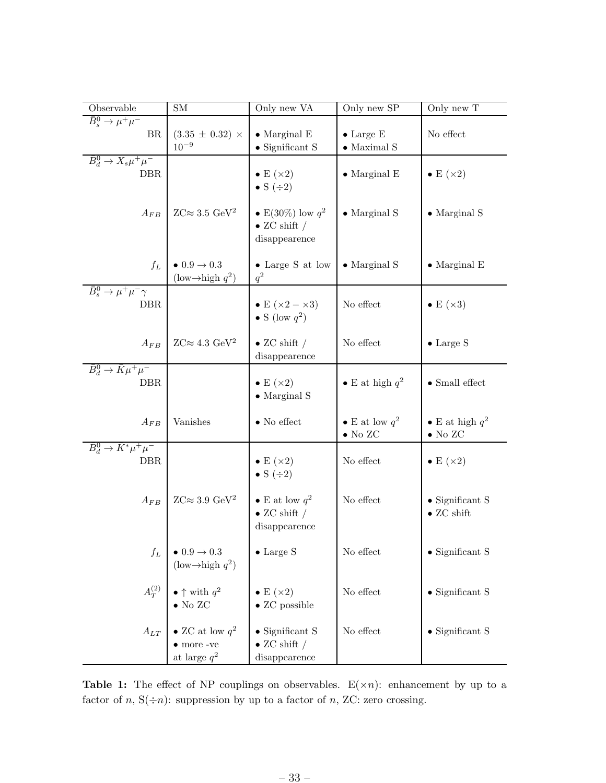| Observable                                          | <b>SM</b>                                                                      | Only new VA                                                      | Only new SP                              | Only new T                                    |
|-----------------------------------------------------|--------------------------------------------------------------------------------|------------------------------------------------------------------|------------------------------------------|-----------------------------------------------|
| $\bar{B}_s^0 \to \mu^+ \mu^-$<br><b>BR</b>          | $(3.35 \pm 0.32) \times$<br>$10^{-9}$                                          | $\bullet$ Marginal E<br>$\bullet$ Significant S                  | $\bullet$ Large E<br>$\bullet$ Maximal S | No effect                                     |
| $\bar{B}_d^0 \to X_s \mu^+ \mu^-$<br><b>DBR</b>     |                                                                                | $\bullet$ E $(\times 2)$ $\bullet$ S $(\div 2)$                  | $\bullet$ Marginal E                     | $\bullet$ E $(\times 2)$                      |
| $A_{FB}$                                            | $ZC \approx 3.5 \text{ GeV}^2$                                                 | • E(30%) low $q^2$<br>$\bullet$ ZC shift /<br>disappearence      | $\bullet$ Marginal S                     | $\bullet$ Marginal S                          |
| $f_L$                                               | $\bullet$ 0.9 $\rightarrow$ 0.3<br>$(\text{low} \rightarrow \text{high } q^2)$ | • Large S at low<br>$q^2$                                        | $\bullet$ Marginal S                     | $\bullet$ Marginal E                          |
| $\bar{B}_s^0 \to \mu^+ \mu^- \gamma$<br><b>DBR</b>  |                                                                                | • E ( $\times 2 - \times 3$ )<br>• S (low $q^2$ )                | No effect                                | $\bullet$ E $(\times 3)$                      |
| $A_{FB}$                                            | $ZC \approx 4.3 \text{ GeV}^2$                                                 | $\bullet$ ZC shift /<br>disappearence                            | No effect                                | $\bullet$ Large S                             |
| $\bar{B}_d^0 \to \bar{K} \mu^+ \mu^-$<br><b>DBR</b> |                                                                                | $\bullet$ E $(\times 2)$<br>$\bullet$ Marginal S                 | • E at high $q^2$                        | $\bullet$ Small effect                        |
| $A_{FB}$                                            | Vanishes                                                                       | $\bullet$ No effect                                              | • E at low $q^2$<br>$\bullet$ No ZC      | • E at high $q^2$<br>$\bullet$ No ZC          |
| $\bar{B}_d^0 \to \bar{K}^* \mu^+ \mu^-$<br>DBR.     |                                                                                | $\bullet$ E $(\times 2)$ $\bullet$ S $(\div 2)$                  | No effect                                | $\bullet$ E $(\times 2)$                      |
| $A_{FB}$                                            | $ZC \approx 3.9 \text{ GeV}^2$                                                 | • E at low $q^2$<br>$\bullet$ ZC shift /<br>disappearence        | $\rm No$ effect                          | $\bullet$ Significant S<br>$\bullet$ ZC shift |
| $f_L$                                               | $\bullet$ $0.9\rightarrow0.3$<br>(low $\rightarrow$ high $q^2$ )               | $\bullet$ Large S                                                | No effect                                | $\bullet$ Significant S                       |
| $A_T^{(2)}$                                         | $\bullet$ $\uparrow$ with $q^2$<br>$\bullet$ No ZC                             | $\bullet$ E $(\times 2)$<br>$\bullet$ ZC possible                | No effect                                | $\bullet$ Significant S                       |
| $A_{LT}$                                            | • ZC at low $q^2$<br>$\bullet$ more -ve<br>at large $q^2$                      | $\bullet$ Significant S<br>$\bullet$ ZC shift /<br>disappearence | No effect                                | $\bullet$ Significant S                       |

**Table 1:** The effect of NP couplings on observables.  $E(xn)$ : enhancement by up to a factor of  $n, S(\div n)$ : suppression by up to a factor of  $n, ZC$ : zero crossing.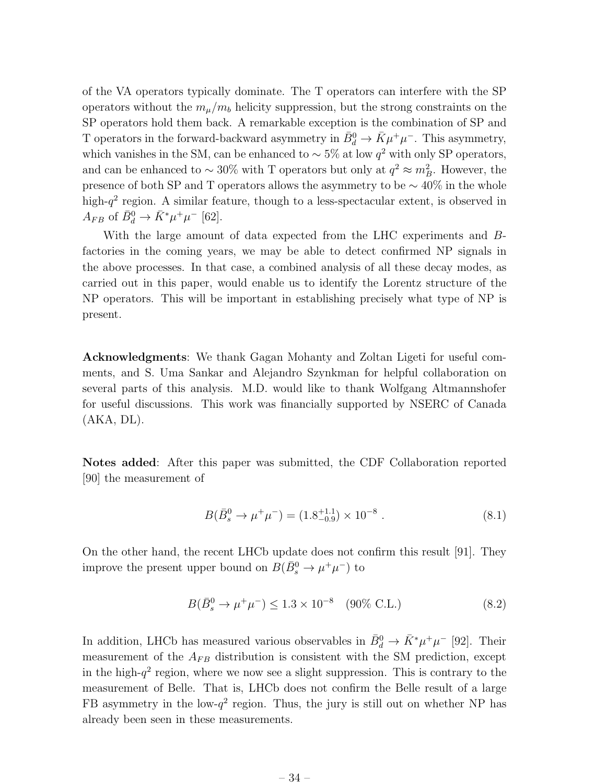of the VA operators typically dominate. The T operators can interfere with the SP operators without the  $m_{\mu}/m_b$  helicity suppression, but the strong constraints on the SP operators hold them back. A remarkable exception is the combination of SP and T operators in the forward-backward asymmetry in  $\bar{B}^0_d \to \bar{K} \mu^+ \mu^-$ . This asymmetry, which vanishes in the SM, can be enhanced to  $\sim 5\%$  at low  $q^2$  with only SP operators, and can be enhanced to  $\sim 30\%$  with T operators but only at  $q^2 \approx m_B^2$ . However, the presence of both SP and T operators allows the asymmetry to be  $\sim$  40% in the whole high- $q^2$  region. A similar feature, though to a less-spectacular extent, is observed in  $A_{FB}$  of  $\bar{B}^0_d \to \bar{K}^* \mu^+ \mu^-$  [62].

With the large amount of data expected from the LHC experiments and Bfactories in the coming years, we may be able to detect confirmed NP signals in the above processes. In that case, a combined analysis of all these decay modes, as carried out in this paper, would enable us to identify the Lorentz structure of the NP operators. This will be important in establishing precisely what type of NP is present.

Acknowledgments: We thank Gagan Mohanty and Zoltan Ligeti for useful comments, and S. Uma Sankar and Alejandro Szynkman for helpful collaboration on several parts of this analysis. M.D. would like to thank Wolfgang Altmannshofer for useful discussions. This work was financially supported by NSERC of Canada  $(AKA, DL)$ .

Notes added: After this paper was submitted, the CDF Collaboration reported [90] the measurement of

$$
B(\bar{B}_s^0 \to \mu^+ \mu^-) = (1.8^{+1.1}_{-0.9}) \times 10^{-8} . \tag{8.1}
$$

On the other hand, the recent LHCb update does not confirm this result [91]. They improve the present upper bound on  $B(\bar{B}^0_s \to \mu^+ \mu^-)$  to

$$
B(\bar{B}_s^0 \to \mu^+ \mu^-) \le 1.3 \times 10^{-8} \quad (90\% \text{ C.L.})
$$
 (8.2)

In addition, LHCb has measured various observables in  $\bar{B}_d^0 \to \bar{K}^* \mu^+ \mu^-$  [92]. Their measurement of the  $A_{FB}$  distribution is consistent with the SM prediction, except in the high- $q^2$  region, where we now see a slight suppression. This is contrary to the measurement of Belle. That is, LHCb does not confirm the Belle result of a large FB asymmetry in the low- $q^2$  region. Thus, the jury is still out on whether NP has already been seen in these measurements.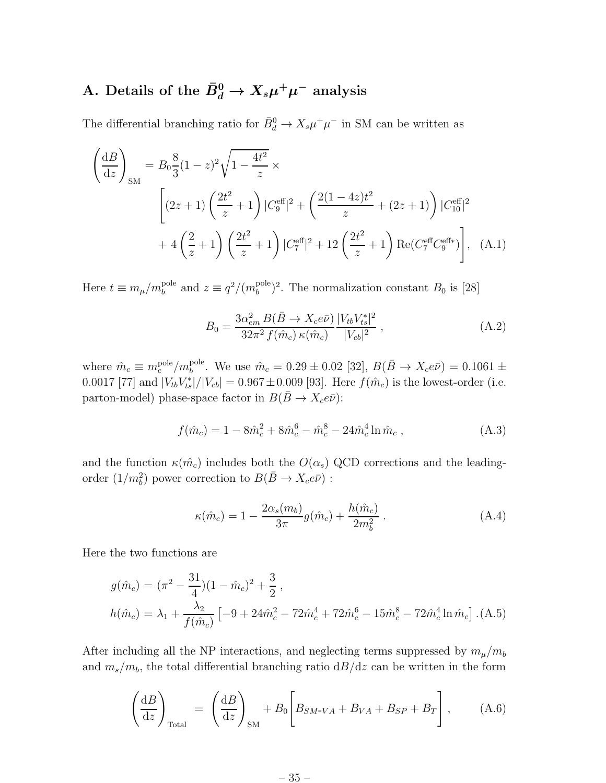## A. Details of the  $\bar{B}^0_d \to X_s \mu^+ \mu^-$  analysis

The differential branching ratio for  $\bar{B}_d^0 \to X_s \mu^+ \mu^-$  in SM can be written as

$$
\left(\frac{dB}{dz}\right)_{SM} = B_0 \frac{8}{3} (1-z)^2 \sqrt{1-\frac{4t^2}{z}} \times
$$
\n
$$
\left[ (2z+1) \left( \frac{2t^2}{z} + 1 \right) |C_9^{\text{eff}}|^2 + \left( \frac{2(1-4z)t^2}{z} + (2z+1) \right) |C_{10}^{\text{eff}}|^2 + 4 \left( \frac{2}{z} + 1 \right) \left( \frac{2t^2}{z} + 1 \right) |C_7^{\text{eff}}|^2 + 12 \left( \frac{2t^2}{z} + 1 \right) \text{Re}(C_7^{\text{eff}} C_9^{\text{eff}}) \right], \quad (A.1)
$$

Here  $t \equiv m_{\mu}/m_{b}^{\text{pole}}$  and  $z \equiv q^2/(m_{b}^{\text{pole}})$  $b^{\text{pole}}$ )<sup>2</sup>. The normalization constant  $B_0$  is [28]

$$
B_0 = \frac{3\alpha_{em}^2 B(\bar{B} \to X_c e \bar{\nu})}{32\pi^2 f(\hat{m}_c) \kappa(\hat{m}_c)} \frac{|V_{tb}V_{ts}^*|^2}{|V_{cb}|^2} , \qquad (A.2)
$$

where  $\hat{m}_c \equiv m_c^{\text{pole}}/m_b^{\text{pole}}$ . We use  $\hat{m}_c = 0.29 \pm 0.02$  [32],  $B(\bar{B} \to X_c e \bar{\nu}) = 0.1061 \pm$ 0.0017 [77] and  $|V_{tb}V_{ts}^*|/|V_{cb}| = 0.967 \pm 0.009$  [93]. Here  $f(\hat{m}_c)$  is the lowest-order (i.e. parton-model) phase-space factor in  $B(\bar{B}\to X_c e \bar{\nu})$ :

$$
f(\hat{m}_c) = 1 - 8\hat{m}_c^2 + 8\hat{m}_c^6 - \hat{m}_c^8 - 24\hat{m}_c^4 \ln \hat{m}_c , \qquad (A.3)
$$

and the function  $\kappa(\hat{m}_c)$  includes both the  $O(\alpha_s)$  QCD corrections and the leadingorder  $(1/m_b^2)$  power correction to  $B(\bar{B} \to X_c e \bar{\nu})$ :

$$
\kappa(\hat{m}_c) = 1 - \frac{2\alpha_s(m_b)}{3\pi}g(\hat{m}_c) + \frac{h(\hat{m}_c)}{2m_b^2}.
$$
\n(A.4)

Here the two functions are

$$
g(\hat{m}_c) = (\pi^2 - \frac{31}{4})(1 - \hat{m}_c)^2 + \frac{3}{2},
$$
  
\n
$$
h(\hat{m}_c) = \lambda_1 + \frac{\lambda_2}{f(\hat{m}_c)} \left[ -9 + 24\hat{m}_c^2 - 72\hat{m}_c^4 + 72\hat{m}_c^6 - 15\hat{m}_c^8 - 72\hat{m}_c^4 \ln \hat{m}_c \right].
$$
 (A.5)

After including all the NP interactions, and neglecting terms suppressed by  $m_{\mu}/m_b$ and  $m_s/m_b$ , the total differential branching ratio  $dB/dz$  can be written in the form

$$
\left(\frac{\mathrm{d}B}{\mathrm{d}z}\right)_{\text{Total}} = \left(\frac{\mathrm{d}B}{\mathrm{d}z}\right)_{\text{SM}} + B_0 \left[B_{SM\text{-}VA} + B_{VA} + B_{SP} + B_T\right],\tag{A.6}
$$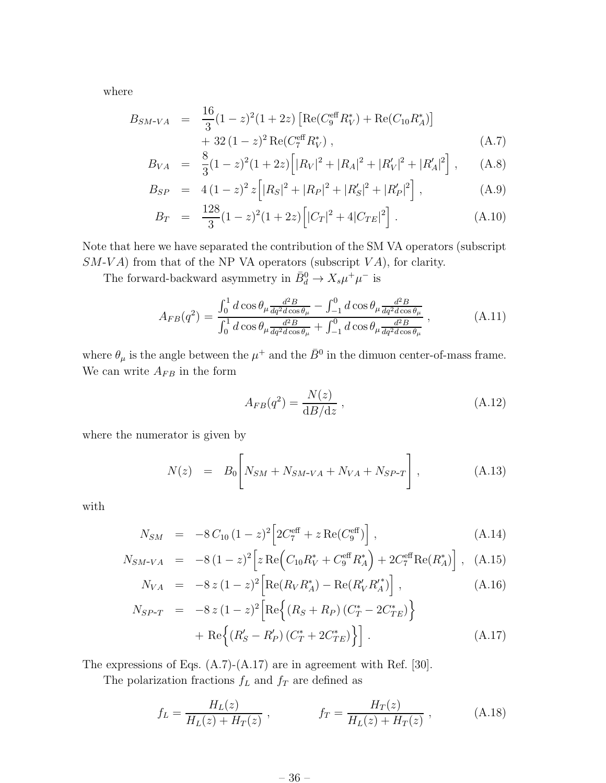where

$$
B_{SM-VA} = \frac{16}{3} (1 - z)^2 (1 + 2z) \left[ \text{Re}(C_9^{\text{eff}} R_V^*) + \text{Re}(C_{10} R_A^*) \right] + 32 (1 - z)^2 \text{Re}(C_7^{\text{eff}} R_V^*) , \tag{A.7}
$$

$$
B_{VA} = \frac{8}{3}(1-z)^2(1+2z)\left[|R_V|^2 + |R_A|^2 + |R_V'|^2 + |R_A'|^2\right], \quad (A.8)
$$

$$
B_{SP} = 4(1-z)^2 z \left[ |R_S|^2 + |R_P|^2 + |R_S'|^2 + |R_P'|^2 \right], \tag{A.9}
$$

$$
B_T = \frac{128}{3} (1-z)^2 (1+2z) \left[ |C_T|^2 + 4|C_{TE}|^2 \right]. \tag{A.10}
$$

Note that here we have separated the contribution of the SM VA operators (subscript  $SM-VA$ ) from that of the NP VA operators (subscript  $VA$ ), for clarity.

The forward-backward asymmetry in  $\bar{B}_d^0 \to X_s \mu^+ \mu^-$  is

$$
A_{FB}(q^2) = \frac{\int_0^1 d\cos\theta_\mu \frac{d^2 B}{dq^2 d\cos\theta_\mu} - \int_{-1}^0 d\cos\theta_\mu \frac{d^2 B}{dq^2 d\cos\theta_\mu}}{\int_0^1 d\cos\theta_\mu \frac{d^2 B}{dq^2 d\cos\theta_\mu} + \int_{-1}^0 d\cos\theta_\mu \frac{d^2 B}{dq^2 d\cos\theta_\mu}},
$$
(A.11)

where  $\theta_{\mu}$  is the angle between the  $\mu^{+}$  and the  $\bar{B}^{0}$  in the dimuon center-of-mass frame. We can write  $A_{FB}$  in the form

$$
A_{FB}(q^2) = \frac{N(z)}{\mathrm{d}B/\mathrm{d}z},\tag{A.12}
$$

where the numerator is given by

$$
N(z) = B_0 \left[ N_{SM} + N_{SM-VA} + N_{VA} + N_{SP-T} \right], \tag{A.13}
$$

with

$$
N_{SM} = -8 C_{10} (1-z)^2 \left[ 2C_7^{\text{eff}} + z \operatorname{Re}(C_9^{\text{eff}}) \right], \tag{A.14}
$$

$$
N_{SM\text{-}VA} = -8(1-z)^2 \left[ z \operatorname{Re} \left( C_{10} R_V^* + C_9^{\text{eff}} R_A^* \right) + 2C_7^{\text{eff}} \operatorname{Re} (R_A^*) \right], \quad (A.15)
$$

$$
N_{VA} = -8 z (1 - z)^{2} \left[ \text{Re}(R_{V} R_{A}^{*}) - \text{Re}(R_{V}' R_{A}'^{*}) \right], \qquad (A.16)
$$

$$
N_{SP-T} = -8 z (1 - z)^{2} \left[ \text{Re} \left\{ (R_{S} + R_{P}) (C_{T}^{*} - 2C_{TE}^{*}) \right\} + \text{Re} \left\{ (R_{S}' - R_{P}') (C_{T}^{*} + 2C_{TE}^{*}) \right\} \right].
$$
\n(A.17)

The expressions of Eqs. (A.7)-(A.17) are in agreement with Ref. [30].

The polarization fractions  $f_L$  and  $f_T$  are defined as

$$
f_L = \frac{H_L(z)}{H_L(z) + H_T(z)}, \qquad f_T = \frac{H_T(z)}{H_L(z) + H_T(z)}, \qquad (A.18)
$$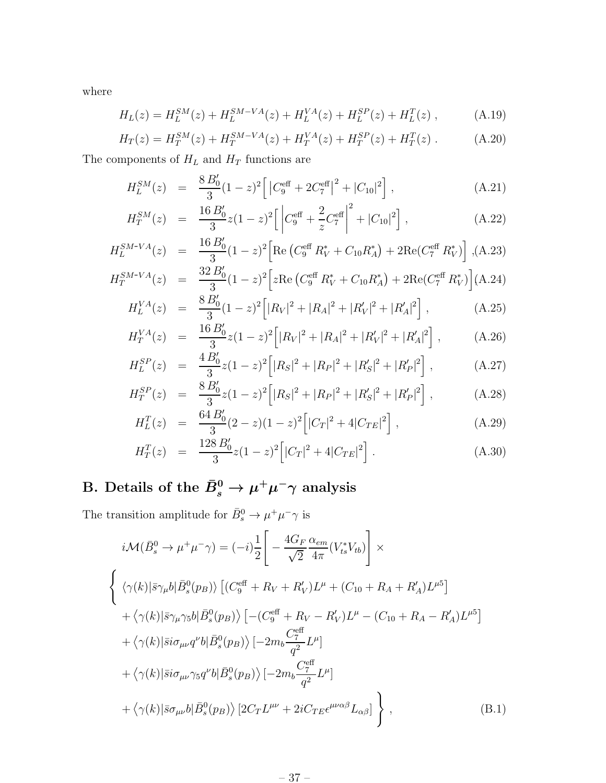where

$$
H_L(z) = H_L^{SM}(z) + H_L^{SM-VA}(z) + H_L^{VA}(z) + H_L^{SP}(z) + H_L^{T}(z) , \qquad (A.19)
$$

$$
H_T(z) = H_T^{SM}(z) + H_T^{SM-VA}(z) + H_T^{VA}(z) + H_T^{SP}(z) + H_T^{T}(z) . \tag{A.20}
$$

The components of  ${\cal H}_L$  and  ${\cal H}_T$  functions are

$$
H_L^{SM}(z) = \frac{8 B_0'}{3} (1 - z)^2 \left[ \left| C_9^{\text{eff}} + 2 C_7^{\text{eff}} \right|^2 + \left| C_{10} \right|^2 \right], \tag{A.21}
$$

$$
H_T^{SM}(z) = \frac{16 B_0'}{3} z (1 - z)^2 \left[ \left| C_9^{\text{eff}} + \frac{2}{z} C_7^{\text{eff}} \right|^2 + |C_{10}|^2 \right], \tag{A.22}
$$

$$
H_L^{SM-VA}(z) = \frac{16 B_0'}{3} (1-z)^2 \left[ \text{Re} \left( C_9^{\text{eff}} R_V^* + C_{10} R_A^* \right) + 2 \text{Re} (C_7^{\text{eff}} R_V^*) \right], \text{(A.23)}
$$

$$
H_T^{SM-VA}(z) = \frac{32 B_0'}{3} (1-z)^2 \left[ z \text{Re} \left( C_9^{\text{eff}} R_V^* + C_{10} R_A^* \right) + 2 \text{Re} (C_7^{\text{eff}} R_V^*) \right] (A.24)
$$

$$
H_L^{VA}(z) = \frac{8 B_0'}{3} (1 - z)^2 \left[ |R_V|^2 + |R_A|^2 + |R_V'|^2 + |R_A'|^2 \right], \tag{A.25}
$$

$$
H_T^{VA}(z) = \frac{16 B_0'}{3} z (1 - z)^2 \left[ |R_V|^2 + |R_A|^2 + |R_V'|^2 + |R_A'|^2 \right], \quad (A.26)
$$

$$
H_L^{SP}(z) = \frac{4 B_0'}{3} z (1 - z)^2 \Big[ |R_S|^2 + |R_P|^2 + |R_S'|^2 + |R_P'|^2 \Big], \tag{A.27}
$$

$$
H_T^{SP}(z) = \frac{8 B_0'}{3} z (1 - z)^2 \Big[ |R_S|^2 + |R_P|^2 + |R_S'|^2 + |R_P'|^2 \Big], \tag{A.28}
$$

$$
H_L^T(z) = \frac{64 B_0'}{3} (2 - z)(1 - z)^2 \left[ |C_T|^2 + 4|C_{TE}|^2 \right], \tag{A.29}
$$

$$
H_T^T(z) = \frac{128 B_0'}{3} z (1-z)^2 \left[ |C_T|^2 + 4|C_{TE}|^2 \right]. \tag{A.30}
$$

## B. Details of the  $\bar{B}^0_s \to \mu^+ \mu^- \gamma$  analysis

The transition amplitude for  $\bar{B}_s^0 \to \mu^+ \mu^- \gamma$  is

$$
i\mathcal{M}(\bar{B}_{s}^{0} \to \mu^{+}\mu^{-}\gamma) = (-i)\frac{1}{2}\left[-\frac{4G_{F}}{\sqrt{2}}\frac{\alpha_{em}}{4\pi}(V_{ts}^{*}V_{tb})\right] \times
$$
  

$$
\left\{\n\langle\gamma(k)|\bar{s}\gamma_{\mu}b|\bar{B}_{s}^{0}(p_{B})\rangle\left[(C_{9}^{\text{eff}}+R_{V}+R_{V}^{\prime})L^{\mu}+(C_{10}+R_{A}+R_{A}^{\prime})L^{\mu5}\right]\n+\langle\gamma(k)|\bar{s}\gamma_{\mu}\gamma_{5}b|\bar{B}_{s}^{0}(p_{B})\rangle\left[-(C_{9}^{\text{eff}}+R_{V}-R_{V}^{\prime})L^{\mu}-(C_{10}+R_{A}-R_{A}^{\prime})L^{\mu5}\right]\n+\langle\gamma(k)|\bar{s}i\sigma_{\mu\nu}q^{\nu}b|\bar{B}_{s}^{0}(p_{B})\rangle\left[-2m_{b}\frac{C_{7}^{\text{eff}}}{q^{2}}L^{\mu}\right]\n+\langle\gamma(k)|\bar{s}i\sigma_{\mu\nu}\gamma_{5}q^{\nu}b|\bar{B}_{s}^{0}(p_{B})\rangle\left[-2m_{b}\frac{C_{7}^{\text{eff}}}{q^{2}}L^{\mu}\right]\n+\langle\gamma(k)|\bar{s}\sigma_{\mu\nu}b|\bar{B}_{s}^{0}(p_{B})\rangle\left[2C_{T}L^{\mu\nu}+2iC_{TE}\epsilon^{\mu\nu\alpha\beta}L_{\alpha\beta}\right]\n\tag{B.1}
$$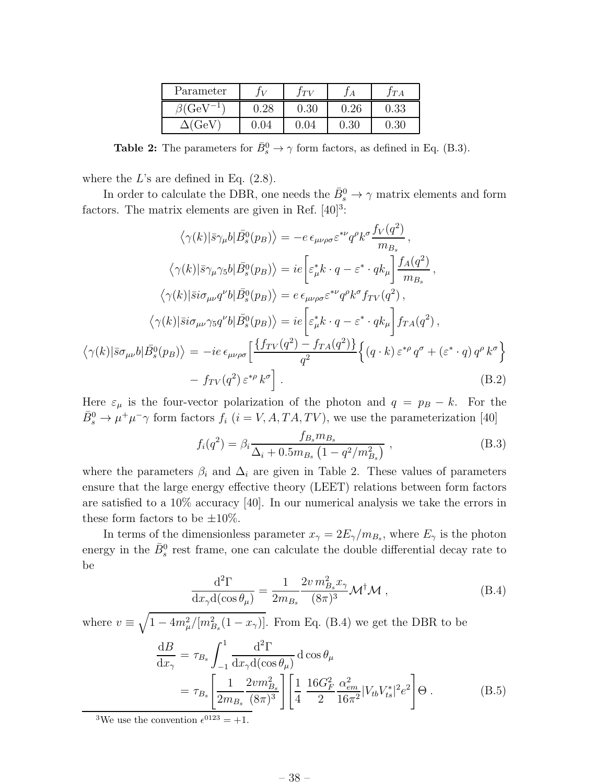| Parameter |     | T V  |            | TA         |
|-----------|-----|------|------------|------------|
| B(Ge)     | .28 | 0.30 | $\rm 0.26$ | $\rm 0.33$ |
| $(C_4)$   | 04  |      | 0.30       | 0.30       |

**Table 2:** The parameters for  $\bar{B}_s^0 \to \gamma$  form factors, as defined in Eq. (B.3).

where the  $L$ 's are defined in Eq.  $(2.8)$ .

In order to calculate the DBR, one needs the  $\bar{B}^0_s \to \gamma$  matrix elements and form factors. The matrix elements are given in Ref.  $[40]^3$ :

$$
\langle \gamma(k)|\bar{s}\gamma_{\mu}b|\bar{B}^{0}_{s}(p_{B})\rangle = -e \epsilon_{\mu\nu\rho\sigma}\varepsilon^{*\nu}q^{\rho}k^{\sigma}\frac{f_V(q^2)}{m_{B_s}},
$$

$$
\langle \gamma(k)|\bar{s}\gamma_{\mu}\gamma_{5}b|\bar{B}^{0}_{s}(p_{B})\rangle = ie\left[\varepsilon_{\mu}^{*}k \cdot q - \varepsilon^{*} \cdot qk_{\mu}\right]\frac{f_A(q^2)}{m_{B_s}},
$$

$$
\langle \gamma(k)|\bar{s}i\sigma_{\mu\nu}q^{\nu}b|\bar{B}^{0}_{s}(p_{B})\rangle = e \epsilon_{\mu\nu\rho\sigma}\varepsilon^{*\nu}q^{\rho}k^{\sigma}f_{TV}(q^2),
$$

$$
\langle \gamma(k)|\bar{s}i\sigma_{\mu\nu}\gamma_{5}q^{\nu}b|\bar{B}^{0}_{s}(p_{B})\rangle = ie\left[\varepsilon_{\mu}^{*}k \cdot q - \varepsilon^{*} \cdot qk_{\mu}\right]f_{TA}(q^2),
$$

$$
\langle \gamma(k)|\bar{s}\sigma_{\mu\nu}b|\bar{B}^{0}_{s}(p_{B})\rangle = -ie \epsilon_{\mu\nu\rho\sigma}\left[\frac{\{f_{TV}(q^2) - f_{TA}(q^2)\}}{q^2}\right\{(q \cdot k) \varepsilon^{*\rho}q^{\sigma} + (\varepsilon^{*} \cdot q)q^{\rho}k^{\sigma}\right]
$$

$$
-f_{TV}(q^2) \varepsilon^{*\rho}k^{\sigma}\right].
$$
(B.2)

Here  $\varepsilon_{\mu}$  is the four-vector polarization of the photon and  $q = p_B - k$ . For the  $\bar{B}^0_s \to \mu^+ \mu^- \gamma$  form factors  $f_i$  ( $i = V, A, TA, TV$ ), we use the parameterization [40]

$$
f_i(q^2) = \beta_i \frac{f_{B_s} m_{B_s}}{\Delta_i + 0.5 m_{B_s} \left(1 - q^2 / m_{B_s}^2\right)} , \qquad (B.3)
$$

where the parameters  $\beta_i$  and  $\Delta_i$  are given in Table 2. These values of parameters ensure that the large energy effective theory (LEET) relations between form factors are satisfied to a 10% accuracy [40]. In our numerical analysis we take the errors in these form factors to be  $\pm 10\%$ .

In terms of the dimensionless parameter  $x_{\gamma} = 2E_{\gamma}/m_{B_s}$ , where  $E_{\gamma}$  is the photon energy in the  $\bar{B}^0_s$  rest frame, one can calculate the double differential decay rate to be

$$
\frac{\mathrm{d}^2 \Gamma}{\mathrm{d}x_\gamma \mathrm{d}(\cos \theta_\mu)} = \frac{1}{2m_{B_s}} \frac{2v \, m_{B_s}^2 x_\gamma}{(8\pi)^3} \mathcal{M}^\dagger \mathcal{M} \,, \tag{B.4}
$$

where  $v \equiv \sqrt{1-4m_{\mu}^2/[m_{B_s}^2(1-x_{\gamma})]}$ . From Eq. (B.4) we get the DBR to be

$$
\frac{dB}{dx_{\gamma}} = \tau_{B_s} \int_{-1}^{1} \frac{d^2 \Gamma}{dx_{\gamma} d(\cos \theta_{\mu})} d \cos \theta_{\mu} \n= \tau_{B_s} \left[ \frac{1}{2m_{B_s}} \frac{2 v m_{B_s}^2}{(8\pi)^3} \right] \left[ \frac{1}{4} \frac{16 G_F^2}{2} \frac{\alpha_{em}^2}{16\pi^2} |V_{tb} V_{ts}^*|^2 e^2 \right] \Theta .
$$
\n(B.5)

<sup>3</sup>We use the convention  $\epsilon^{0123} = +1$ .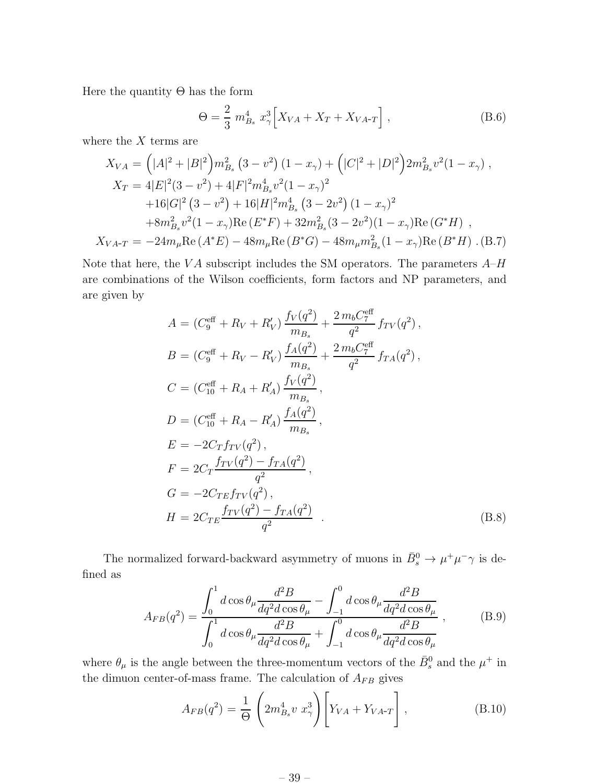Here the quantity  $\Theta$  has the form

$$
\Theta = \frac{2}{3} m_{Bs}^4 x_{\gamma}^3 \Big[ X_{VA} + X_T + X_{VA-T} \Big] , \qquad (B.6)
$$

where the  $X$  terms are

$$
X_{VA} = (|A|^2 + |B|^2) m_{Bs}^2 (3 - v^2) (1 - x_\gamma) + (|C|^2 + |D|^2) 2 m_{Bs}^2 v^2 (1 - x_\gamma) ,
$$
  
\n
$$
X_T = 4|E|^2 (3 - v^2) + 4|F|^2 m_{Bs}^4 v^2 (1 - x_\gamma)^2
$$
  
\n
$$
+ 16|G|^2 (3 - v^2) + 16|H|^2 m_{Bs}^4 (3 - 2v^2) (1 - x_\gamma)^2
$$
  
\n
$$
+ 8m_{Bs}^2 v^2 (1 - x_\gamma) \text{Re}(E^*F) + 32m_{Bs}^2 (3 - 2v^2) (1 - x_\gamma) \text{Re}(G^*H) ,
$$
  
\n
$$
X_{VA-T} = -24m_\mu \text{Re}(A^*E) - 48m_\mu \text{Re}(B^*G) - 48m_\mu m_{Bs}^2 (1 - x_\gamma) \text{Re}(B^*H) .
$$
 (B.7)

Note that here, the VA subscript includes the SM operators. The parameters  $A-H$ are combinations of the Wilson coefficients, form factors and NP parameters, and are given by

$$
A = (C_9^{\text{eff}} + R_V + R'_V) \frac{f_V(q^2)}{m_{B_s}} + \frac{2 m_b C_7^{\text{eff}}}{q^2} f_{TV}(q^2),
$$
  
\n
$$
B = (C_9^{\text{eff}} + R_V - R'_V) \frac{f_A(q^2)}{m_{B_s}} + \frac{2 m_b C_7^{\text{eff}}}{q^2} f_{TA}(q^2),
$$
  
\n
$$
C = (C_{10}^{\text{eff}} + R_A + R'_A) \frac{f_V(q^2)}{m_{B_s}},
$$
  
\n
$$
D = (C_{10}^{\text{eff}} + R_A - R'_A) \frac{f_A(q^2)}{m_{B_s}},
$$
  
\n
$$
E = -2C_T f_{TV}(q^2),
$$
  
\n
$$
F = 2C_T \frac{f_{TV}(q^2) - f_{TA}(q^2)}{q^2},
$$
  
\n
$$
G = -2C_{TE} f_{TV}(q^2),
$$
  
\n
$$
H = 2C_{TE} \frac{f_{TV}(q^2) - f_{TA}(q^2)}{q^2}.
$$
  
\n(B.8)

The normalized forward-backward asymmetry of muons in  $\bar{B}_s^0 \to \mu^+ \mu^- \gamma$  is defined as

$$
A_{FB}(q^2) = \frac{\int_0^1 d\cos\theta_\mu \frac{d^2B}{dq^2d\cos\theta_\mu} - \int_{-1}^0 d\cos\theta_\mu \frac{d^2B}{dq^2d\cos\theta_\mu}}{\int_0^1 d\cos\theta_\mu \frac{d^2B}{dq^2d\cos\theta_\mu} + \int_{-1}^0 d\cos\theta_\mu \frac{d^2B}{dq^2d\cos\theta_\mu}},
$$
(B.9)

where  $\theta_{\mu}$  is the angle between the three-momentum vectors of the  $\bar{B}^0_s$  and the  $\mu^+$  in the dimuon center-of-mass frame. The calculation of  $A_{FB}$  gives

$$
A_{FB}(q^2) = \frac{1}{\Theta} \left( 2m_{B_s}^4 v x_{\gamma}^3 \right) \left[ Y_{VA} + Y_{VA \neg T} \right], \tag{B.10}
$$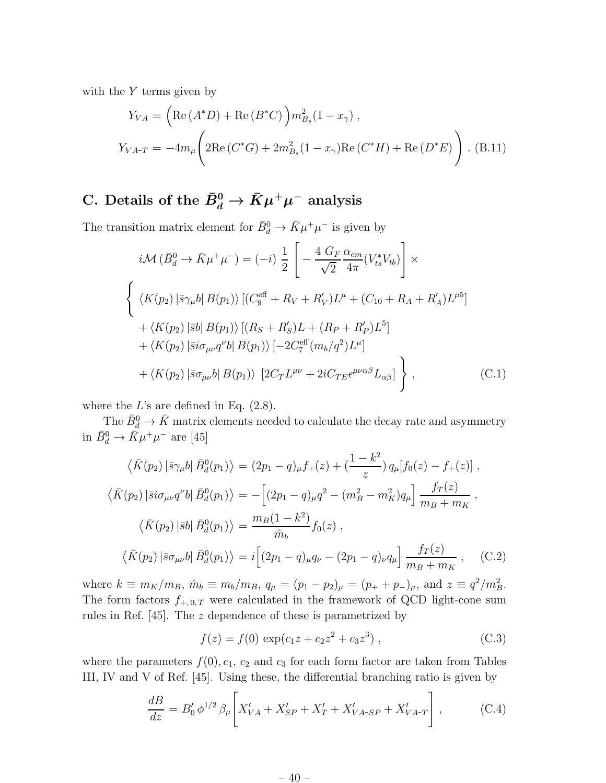with the  $Y$  terms given by

$$
Y_{VA} = \left( \text{Re} \left( A^* D \right) + \text{Re} \left( B^* C \right) \right) m_{B_s}^2 (1 - x_\gamma) ,
$$
  

$$
Y_{VA-T} = -4m_\mu \left( 2 \text{Re} \left( C^* G \right) + 2m_{B_s}^2 (1 - x_\gamma) \text{Re} \left( C^* H \right) + \text{Re} \left( D^* E \right) \right) .
$$
 (B.11)

## C. Details of the  $\bar{B}^0_d \to \bar{K} \mu^+ \mu^-$  analysis

The transition matrix element for  $\bar{B}_d^0 \to \bar{K} \mu^+ \mu^-$  is given by

$$
i\mathcal{M} (\bar{B}_{d}^{0} \to \bar{K}\mu^{+}\mu^{-}) = (-i) \frac{1}{2} \left[ -\frac{4 G_{F}}{\sqrt{2}} \frac{\alpha_{em}}{4\pi} (V_{ts}^{*} V_{tb}) \right] \times
$$
  

$$
\left\{ \langle K(p_{2}) | \bar{s}\gamma_{\mu} b | B(p_{1}) \rangle \left[ (C_{9}^{\text{eff}} + R_{V} + R_{V}^{\prime}) L^{\mu} + (C_{10} + R_{A} + R_{A}^{\prime}) L^{\mu 5} \right] \right. \\ \left. + \langle K(p_{2}) | \bar{s} b | B(p_{1}) \rangle \left[ (R_{S} + R_{S}^{\prime}) L + (R_{P} + R_{P}^{\prime}) L^{5} \right] \right. \\ \left. + \langle K(p_{2}) | \bar{s} i\sigma_{\mu\nu} q^{\nu} b | B(p_{1}) \rangle \left[ -2 C_{7}^{\text{eff}} (m_{b}/q^{2}) L^{\mu} \right] \right. \\ \left. + \langle K(p_{2}) | \bar{s}\sigma_{\mu\nu} b | B(p_{1}) \rangle \left[ 2 C_{T} L^{\mu\nu} + 2i C_{T E} \epsilon^{\mu\nu\alpha\beta} L_{\alpha\beta} \right] \right\} , \tag{C.1}
$$

where the  $L$ 's are defined in Eq.  $(2.8)$ .

The  $\bar{B}^0_d \to \bar{K}$  matrix elements needed to calculate the decay rate and asymmetry in  $\bar{B}^0_d \to \bar{K} \mu^+ \mu^-$  are [45]

$$
\langle \bar{K}(p_2) | \bar{s} \gamma_\mu b | \bar{B}_d^0(p_1) \rangle = (2p_1 - q)_\mu f_+(z) + (\frac{1 - k^2}{z}) q_\mu [f_0(z) - f_+(z)] ,
$$
  

$$
\langle \bar{K}(p_2) | \bar{s} i \sigma_{\mu\nu} q^\nu b | \bar{B}_d^0(p_1) \rangle = -[(2p_1 - q)_\mu q^2 - (m_B^2 - m_K^2) q_\mu] \frac{f_T(z)}{m_B + m_K},
$$
  

$$
\langle \bar{K}(p_2) | \bar{s} b | \bar{B}_d^0(p_1) \rangle = \frac{m_B(1 - k^2)}{\hat{m}_b} f_0(z) ,
$$
  

$$
\langle \bar{K}(p_2) | \bar{s} \sigma_{\mu\nu} b | \bar{B}_d^0(p_1) \rangle = i[(2p_1 - q)_\mu q_\nu - (2p_1 - q)_\nu q_\mu] \frac{f_T(z)}{m_B + m_K}, \quad (C.2)
$$

where  $k \equiv m_K/m_B$ ,  $\hat{m}_b \equiv m_b/m_B$ ,  $q_\mu = (p_1 - p_2)_\mu = (p_+ + p_-)_\mu$ , and  $z \equiv q^2/m_B^2$ . The form factors  $f_{+,0,T}$  were calculated in the framework of QCD light-cone sum rules in Ref. [45]. The z dependence of these is parametrized by

$$
f(z) = f(0) \exp(c_1 z + c_2 z^2 + c_3 z^3), \qquad (C.3)
$$

where the parameters  $f(0), c_1, c_2$  and  $c_3$  for each form factor are taken from Tables III, IV and V of Ref. [45]. Using these, the differential branching ratio is given by

$$
\frac{dB}{dz} = B_0' \phi^{1/2} \beta_\mu \left[ X_{VA}' + X_{SP}' + X_T' + X_{VA-SP}' + X_{VA-T}' \right],\tag{C.4}
$$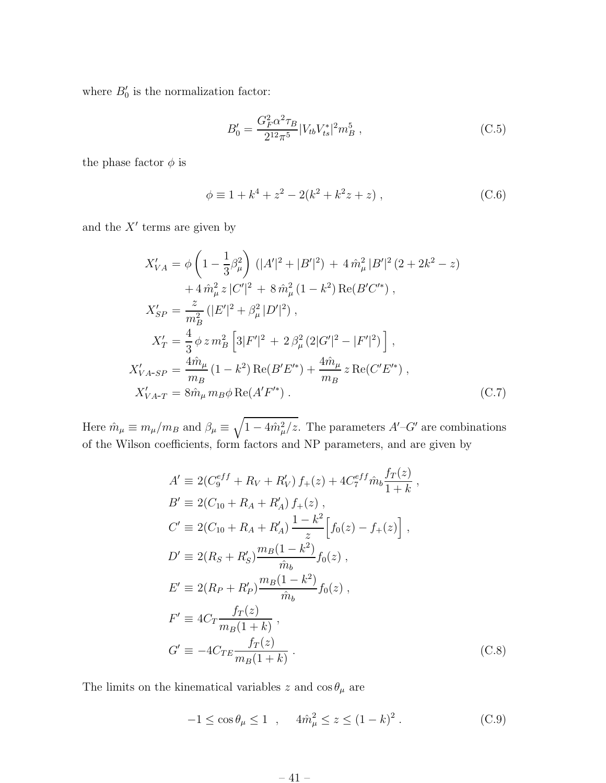where  $B'_0$  is the normalization factor:

$$
B_0' = \frac{G_F^2 \alpha^2 \tau_B}{2^{12} \pi^5} |V_{tb} V_{ts}^*|^2 m_B^5 , \qquad (C.5)
$$

the phase factor  $\phi$  is

$$
\phi \equiv 1 + k^4 + z^2 - 2(k^2 + k^2 z + z) , \qquad (C.6)
$$

and the  $X'$  terms are given by

$$
X'_{VA} = \phi \left( 1 - \frac{1}{3} \beta_{\mu}^{2} \right) \left( |A'|^{2} + |B'|^{2} \right) + 4 \hat{m}_{\mu}^{2} |B'|^{2} (2 + 2k^{2} - z)
$$
  
+ 
$$
4 \hat{m}_{\mu}^{2} z |C'|^{2} + 8 \hat{m}_{\mu}^{2} (1 - k^{2}) \operatorname{Re}(B'C'^{*}) ,
$$
  

$$
X'_{SP} = \frac{z}{m_{B}^{2}} (|E'|^{2} + \beta_{\mu}^{2} |D'|^{2}) ,
$$
  

$$
X'_{T} = \frac{4}{3} \phi z m_{B}^{2} \left[ 3|F'|^{2} + 2 \beta_{\mu}^{2} (2|G'|^{2} - |F'|^{2}) \right] ,
$$
  

$$
X'_{VA-SP} = \frac{4 \hat{m}_{\mu}}{m_{B}} (1 - k^{2}) \operatorname{Re}(B'E'^{*}) + \frac{4 \hat{m}_{\mu}}{m_{B}} z \operatorname{Re}(C'E'^{*}) ,
$$
  

$$
X'_{VA-T} = 8 \hat{m}_{\mu} m_{B} \phi \operatorname{Re}(A'F'^{*}) .
$$
 (C.7)

Here  $\hat{m}_{\mu} \equiv m_{\mu}/m_B$  and  $\beta_{\mu} \equiv \sqrt{1-4\hat{m}_{\mu}^2/z}$ . The parameters  $A'-G'$  are combinations of the Wilson coefficients, form factors and NP parameters, and are given by

$$
A' \equiv 2(C_9^{eff} + R_V + R'_V) f_+(z) + 4C_7^{eff} \hat{m}_b \frac{f_T(z)}{1+k},
$$
  
\n
$$
B' \equiv 2(C_{10} + R_A + R'_A) f_+(z),
$$
  
\n
$$
C' \equiv 2(C_{10} + R_A + R'_A) \frac{1 - k^2}{z} [f_0(z) - f_+(z)],
$$
  
\n
$$
D' \equiv 2(R_S + R'_S) \frac{m_B(1 - k^2)}{\hat{m}_b} f_0(z),
$$
  
\n
$$
E' \equiv 2(R_P + R'_P) \frac{m_B(1 - k^2)}{\hat{m}_b} f_0(z),
$$
  
\n
$$
F' \equiv 4C_T \frac{f_T(z)}{m_B(1 + k)},
$$
  
\n
$$
G' \equiv -4C_{TE} \frac{f_T(z)}{m_B(1 + k)}.
$$
\n(C.8)

The limits on the kinematical variables  $z$  and  $\cos\theta_\mu$  are

$$
-1 \le \cos \theta_{\mu} \le 1 \quad , \quad 4\hat{m}_{\mu}^{2} \le z \le (1 - k)^{2} \ . \tag{C.9}
$$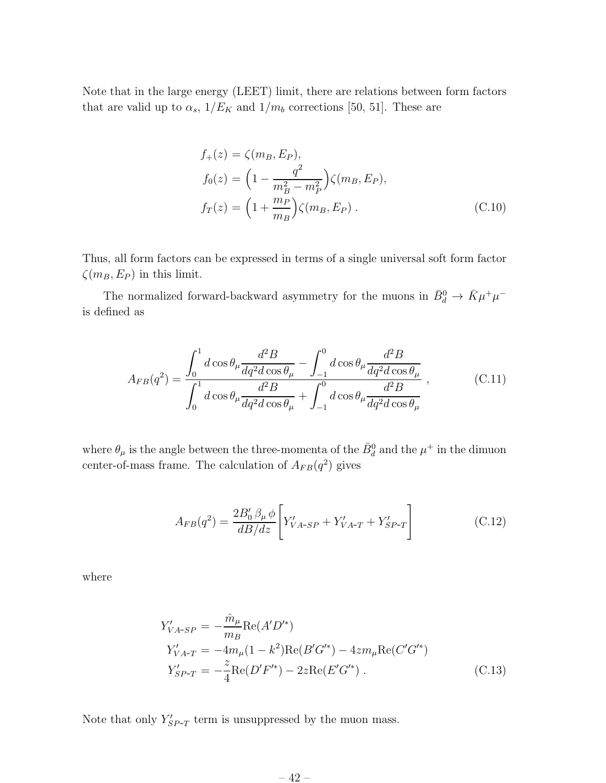Note that in the large energy (LEET) limit, there are relations between form factors that are valid up to  $\alpha_s$ ,  $1/E_K$  and  $1/m_b$  corrections [50, 51]. These are

$$
f_{+}(z) = \zeta(m_{B}, E_{P}),
$$
  
\n
$$
f_{0}(z) = \left(1 - \frac{q^{2}}{m_{B}^{2} - m_{P}^{2}}\right) \zeta(m_{B}, E_{P}),
$$
  
\n
$$
f_{T}(z) = \left(1 + \frac{m_{P}}{m_{B}}\right) \zeta(m_{B}, E_{P}).
$$
\n(C.10)

Thus, all form factors can be expressed in terms of a single universal soft form factor  $\zeta(m_B, E_P)$  in this limit.

The normalized forward-backward asymmetry for the muons in  $\bar{B}^0_d \to \bar{K} \mu^+ \mu^$ is defined as

$$
A_{FB}(q^2) = \frac{\int_0^1 d\cos\theta_\mu \frac{d^2B}{dq^2d\cos\theta_\mu} - \int_{-1}^0 d\cos\theta_\mu \frac{d^2B}{dq^2d\cos\theta_\mu}}{\int_0^1 d\cos\theta_\mu \frac{d^2B}{dq^2d\cos\theta_\mu} + \int_{-1}^0 d\cos\theta_\mu \frac{d^2B}{dq^2d\cos\theta_\mu}},
$$
(C.11)

where  $\theta_{\mu}$  is the angle between the three-momenta of the  $\bar{B}^0_d$  and the  $\mu^+$  in the dimuon center-of-mass frame. The calculation of  $A_{FB}(q^2)$  gives

$$
A_{FB}(q^2) = \frac{2B_0' \beta_\mu \phi}{dB/dz} \left[ Y'_{VA-SP} + Y'_{VA-T} + Y'_{SP-T} \right]
$$
 (C.12)

where

$$
Y'_{VA-SP} = -\frac{\hat{m}_{\mu}}{m_B} \text{Re}(A'D'^*)
$$
  
\n
$$
Y'_{VA-T} = -4m_{\mu}(1 - k^2) \text{Re}(B'G'^*) - 4zm_{\mu} \text{Re}(C'G'^*)
$$
  
\n
$$
Y'_{SP-T} = -\frac{z}{4} \text{Re}(D'F'^*) - 2z \text{Re}(E'G'^*)
$$
 (C.13)

Note that only  $Y'_{SP-T}$  term is unsuppressed by the muon mass.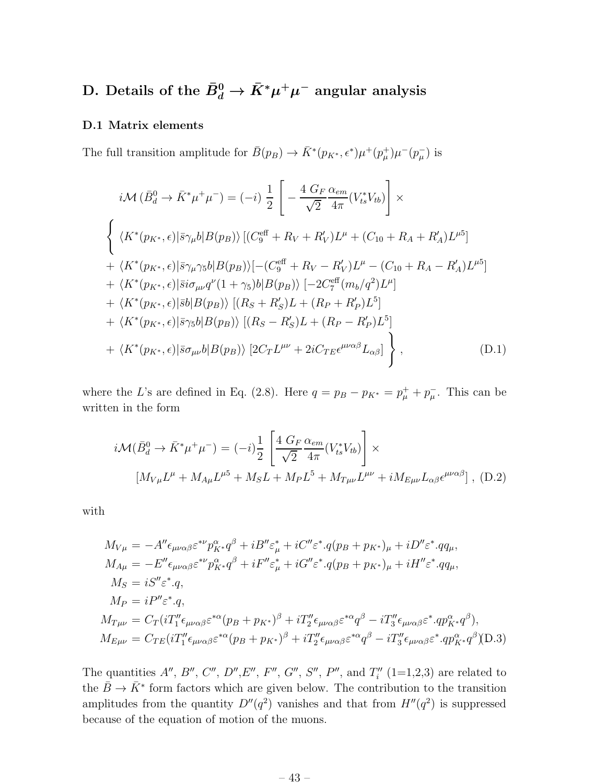## D. Details of the  $\bar{B}^0_d\to \bar{K}^*\mu^+\mu^-$  angular analysis

### D.1 Matrix elements

The full transition amplitude for  $\bar{B}(p_B) \to \bar{K}^*(p_{K^*}, \epsilon^*) \mu^+(p^+_\mu) \mu^-(p^-_\mu)$  is

$$
i\mathcal{M} (\bar{B}_{d}^{0} \to \bar{K}^{*} \mu^{+} \mu^{-}) = (-i) \frac{1}{2} \left[ -\frac{4 G_{F}}{\sqrt{2}} \frac{\alpha_{em}}{4\pi} (V_{ts}^{*} V_{tb}) \right] \times
$$
  

$$
\left\{ \langle K^{*}(p_{K^{*}}, \epsilon) | \bar{s} \gamma_{\mu} b | B(p_{B}) \rangle \left[ (C_{g}^{\text{eff}} + R_{V} + R'_{V}) L^{\mu} + (C_{10} + R_{A} + R'_{A}) L^{\mu 5} \right] \right. +\langle K^{*}(p_{K^{*}}, \epsilon) | \bar{s} \gamma_{\mu} \gamma_{5} b | B(p_{B}) \rangle \left[ - (C_{g}^{\text{eff}} + R_{V} - R'_{V}) L^{\mu} - (C_{10} + R_{A} - R'_{A}) L^{\mu 5} \right] + \langle K^{*}(p_{K^{*}}, \epsilon) | \bar{s} i \sigma_{\mu \nu} q^{\nu} (1 + \gamma_{5}) b | B(p_{B}) \rangle \left[ -2 C_{7}^{\text{eff}} (m_{b}/q^{2}) L^{\mu} \right] + \langle K^{*}(p_{K^{*}}, \epsilon) | \bar{s} b | B(p_{B}) \rangle \left[ (R_{S} + R'_{S}) L + (R_{P} + R'_{P}) L^{5} \right] + \langle K^{*}(p_{K^{*}}, \epsilon) | \bar{s} \gamma_{5} b | B(p_{B}) \rangle \left[ (R_{S} - R'_{S}) L + (R_{P} - R'_{P}) L^{5} \right] + \langle K^{*}(p_{K^{*}}, \epsilon) | \bar{s} \sigma_{\mu \nu} b | B(p_{B}) \rangle \left[ 2 C_{T} L^{\mu \nu} + 2 i C_{T E} \epsilon^{\mu \nu \alpha \beta} L_{\alpha \beta} \right] \right\}, \qquad (D.1)
$$

where the L's are defined in Eq. (2.8). Here  $q = p_B - p_{K^*} = p_{\mu}^+ + p_{\mu}^-$ . This can be written in the form

$$
i\mathcal{M}(\bar{B}_d^0 \to \bar{K}^* \mu^+ \mu^-) = (-i)\frac{1}{2} \left[ \frac{4 G_F}{\sqrt{2}} \frac{\alpha_{em}}{4\pi} (V_{ts}^* V_{tb}) \right] \times
$$
  

$$
[M_{V\mu} L^{\mu} + M_{A\mu} L^{\mu 5} + M_S L + M_P L^5 + M_{T\mu\nu} L^{\mu\nu} + i M_{E\mu\nu} L_{\alpha\beta} \epsilon^{\mu\nu\alpha\beta}],
$$
 (D.2)

with

$$
M_{V\mu} = -A''\epsilon_{\mu\nu\alpha\beta}\varepsilon^{*\nu}p_{K*}^{\alpha}q^{\beta} + iB''\varepsilon_{\mu}^{*} + iC''\varepsilon^{*}.q(p_{B} + p_{K*})_{\mu} + iD''\varepsilon^{*}.qq_{\mu},
$$
  
\n
$$
M_{A\mu} = -E''\epsilon_{\mu\nu\alpha\beta}\varepsilon^{*\nu}p_{K*}^{\alpha}q^{\beta} + iF''\varepsilon_{\mu}^{*} + iG''\varepsilon^{*}.q(p_{B} + p_{K*})_{\mu} + iH''\varepsilon^{*}.qq_{\mu},
$$
  
\n
$$
M_{S} = iS''\varepsilon^{*}.q,
$$
  
\n
$$
M_{P} = iP''\varepsilon^{*}.q,
$$
  
\n
$$
M_{T\mu\nu} = C_{T}(iT''_{1}\epsilon_{\mu\nu\alpha\beta}\varepsilon^{*\alpha}(p_{B} + p_{K*})^{\beta} + iT''_{2}\epsilon_{\mu\nu\alpha\beta}\varepsilon^{*\alpha}q^{\beta} - iT''_{3}\epsilon_{\mu\nu\alpha\beta}\varepsilon^{*}.qp_{K*}^{\alpha}q^{\beta}),
$$
  
\n
$$
M_{E\mu\nu} = C_{TE}(iT''_{1}\epsilon_{\mu\nu\alpha\beta}\varepsilon^{*\alpha}(p_{B} + p_{K*})^{\beta} + iT''_{2}\epsilon_{\mu\nu\alpha\beta}\varepsilon^{*\alpha}q^{\beta} - iT''_{3}\epsilon_{\mu\nu\alpha\beta}\varepsilon^{*}.qp_{K*}^{\alpha}q^{\beta})(D.3)
$$

The quantities  $A''$ ,  $B''$ ,  $C''$ ,  $D''$ ,  $E''$ ,  $F''$ ,  $G''$ ,  $S''$ ,  $P''$ , and  $T''_i$   $(1=1,2,3)$  are related to the  $\bar{B} \to \bar{K}^*$  form factors which are given below. The contribution to the transition amplitudes from the quantity  $D''(q^2)$  vanishes and that from  $H''(q^2)$  is suppressed because of the equation of motion of the muons.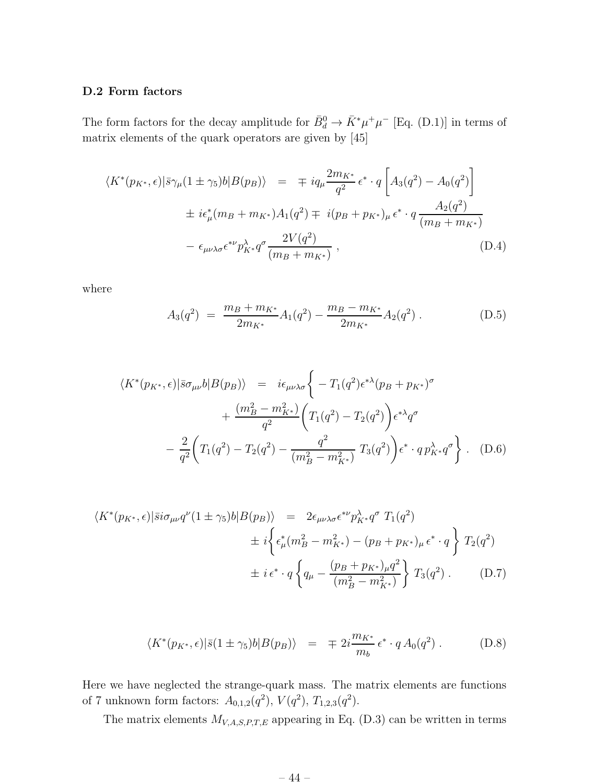### D.2 Form factors

The form factors for the decay amplitude for  $\bar{B}_d^0 \to \bar{K}^* \mu^+ \mu^-$  [Eq. (D.1)] in terms of matrix elements of the quark operators are given by [45]

$$
\langle K^*(p_{K^*}, \epsilon) | \bar{s} \gamma_\mu (1 \pm \gamma_5) b | B(p_B) \rangle = \mp i q_\mu \frac{2m_{K^*}}{q^2} \epsilon^* \cdot q \left[ A_3(q^2) - A_0(q^2) \right]
$$
  

$$
\pm i \epsilon^*_\mu (m_B + m_{K^*}) A_1(q^2) \mp i (p_B + p_{K^*})_\mu \epsilon^* \cdot q \frac{A_2(q^2)}{(m_B + m_{K^*})}
$$
  

$$
- \epsilon_{\mu\nu\lambda\sigma} \epsilon^{*\nu} p_{K^*}^{\lambda} q^{\sigma} \frac{2V(q^2)}{(m_B + m_{K^*})}, \tag{D.4}
$$

where

$$
A_3(q^2) = \frac{m_B + m_{K^*}}{2m_{K^*}} A_1(q^2) - \frac{m_B - m_{K^*}}{2m_{K^*}} A_2(q^2) .
$$
 (D.5)

$$
\langle K^*(p_{K^*}, \epsilon) | \bar{s} \sigma_{\mu\nu} b | B(p_B) \rangle = i \epsilon_{\mu\nu\lambda\sigma} \left\{ -T_1(q^2) \epsilon^{*\lambda} (p_B + p_{K^*})^{\sigma} + \frac{(m_B^2 - m_{K^*}^2)}{q^2} \left( T_1(q^2) - T_2(q^2) \right) \epsilon^{*\lambda} q^{\sigma} - \frac{2}{q^2} \left( T_1(q^2) - T_2(q^2) - \frac{q^2}{(m_B^2 - m_{K^*}^2)} T_3(q^2) \right) \epsilon^* \cdot q p_{K^*}^{\lambda} q^{\sigma} \right\}.
$$
 (D.6)

$$
\langle K^*(p_{K^*}, \epsilon) | \bar{s} i \sigma_{\mu\nu} q^{\nu} (1 \pm \gamma_5) b | B(p_B) \rangle = 2 \epsilon_{\mu\nu\lambda\sigma} \epsilon^{*\nu} p_{K^*}^{\lambda} q^{\sigma} T_1(q^2) \n\pm i \left\{ \epsilon_{\mu}^*(m_B^2 - m_{K^*}^2) - (p_B + p_{K^*})_{\mu} \epsilon^* \cdot q \right\} T_2(q^2) \n\pm i \epsilon^* \cdot q \left\{ q_{\mu} - \frac{(p_B + p_{K^*})_{\mu} q^2}{(m_B^2 - m_{K^*}^2)} \right\} T_3(q^2) .
$$
\n(D.7)

$$
\langle K^*(p_{K^*}, \epsilon) | \bar{s} (1 \pm \gamma_5) b | B(p_B) \rangle = \mp 2i \frac{m_{K^*}}{m_b} \epsilon^* \cdot q A_0(q^2) . \tag{D.8}
$$

Here we have neglected the strange-quark mass. The matrix elements are functions of 7 unknown form factors:  $A_{0,1,2}(q^2)$ ,  $V(q^2)$ ,  $T_{1,2,3}(q^2)$ .

The matrix elements  $M_{V,A,S,P,T,E}$  appearing in Eq. (D.3) can be written in terms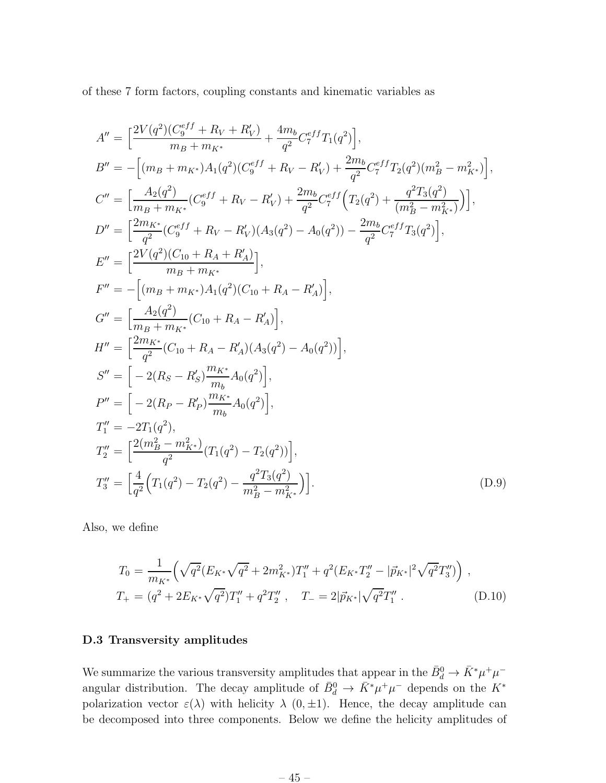of these 7 form factors, coupling constants and kinematic variables as

$$
A'' = \left[ \frac{2V(q^2)(C_9^{eff} + R_V + R'_V)}{m_B + m_{K^*}} + \frac{4m_b}{q^2} C_7^{eff} T_1(q^2) \right],
$$
  
\n
$$
B'' = -\left[ (m_B + m_{K^*}) A_1(q^2)(C_9^{eff} + R_V - R'_V) + \frac{2m_b}{q^2} C_7^{eff} T_2(q^2)(m_B^2 - m_{K^*}^2) \right],
$$
  
\n
$$
C'' = \left[ \frac{A_2(q^2)}{m_B + m_{K^*}} (C_9^{eff} + R_V - R'_V) + \frac{2m_b}{q^2} C_7^{eff} \left( T_2(q^2) + \frac{q^2 T_3(q^2)}{(m_B^2 - m_{K^*}^2)} \right) \right],
$$
  
\n
$$
D'' = \left[ \frac{2m_{K^*}}{q^2} (C_9^{eff} + R_V - R'_V) (A_3(q^2) - A_0(q^2)) - \frac{2m_b}{q^2} C_7^{eff} T_3(q^2) \right],
$$
  
\n
$$
E'' = \left[ \frac{2V(q^2)(C_{10} + R_A + R'_A)}{m_B + m_{K^*}} \right],
$$
  
\n
$$
F'' = -\left[ (m_B + m_{K^*}) A_1(q^2)(C_{10} + R_A - R'_A) \right],
$$
  
\n
$$
G'' = \left[ \frac{A_2(q^2)}{m_B + m_{K^*}} (C_{10} + R_A - R'_A) (A_3(q^2) - A_0(q^2)) \right],
$$
  
\n
$$
S'' = \left[ -2(R_S - R'_S) \frac{m_{K^*}}{m_b} A_0(q^2) \right],
$$
  
\n
$$
P'' = \left[ -2(R_P - R'_P) \frac{m_{K^*}}{m_b} A_0(q^2) \right],
$$
  
\n
$$
T''_1 = -2T_1(q^2),
$$
  
\n
$$
T''_2 = \left[ \frac{2(m_B^2 - m_{K^*}^2)}{q^2} (T_1(q^2) - T_2(q^2)) \right],
$$
  
\n
$$
T''_3 = \left[ \frac{4}{q^2
$$

Also, we define

$$
T_0 = \frac{1}{m_{K^*}} \Big( \sqrt{q^2} (E_{K^*} \sqrt{q^2} + 2m_{K^*}^2) T_1'' + q^2 (E_{K^*} T_2'' - |\vec{p}_{K^*}|^2 \sqrt{q^2} T_3'') \Big) ,
$$
  
\n
$$
T_+ = (q^2 + 2E_{K^*} \sqrt{q^2}) T_1'' + q^2 T_2'' , \quad T_- = 2|\vec{p}_{K^*}| \sqrt{q^2} T_1'' .
$$
 (D.10)

### D.3 Transversity amplitudes

We summarize the various transversity amplitudes that appear in the  $\bar{B}_d^0 \to \bar{K}^* \mu^+ \mu^$ angular distribution. The decay amplitude of  $\bar{B}_d^0 \to \bar{K}^* \mu^+ \mu^-$  depends on the  $K^*$ polarization vector  $\varepsilon(\lambda)$  with helicity  $\lambda$  (0,  $\pm$ 1). Hence, the decay amplitude can be decomposed into three components. Below we define the helicity amplitudes of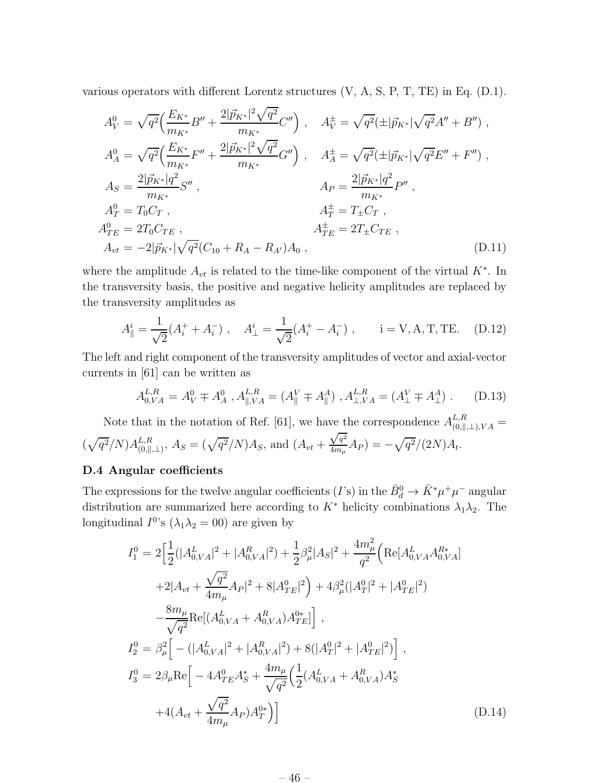various operators with different Lorentz structures (V, A, S, P, T, TE) in Eq. (D.1).

$$
A_V^0 = \sqrt{q^2} \Big( \frac{E_{K^*}}{m_{K^*}} B'' + \frac{2|\vec{p}_{K^*}|^2 \sqrt{q^2}}{m_{K^*}} C'' \Big) , \quad A_V^{\pm} = \sqrt{q^2} (\pm |\vec{p}_{K^*}| \sqrt{q^2} A'' + B'') ,
$$
  
\n
$$
A_A^0 = \sqrt{q^2} \Big( \frac{E_{K^*}}{m_{K^*}} F'' + \frac{2|\vec{p}_{K^*}|^2 \sqrt{q^2}}{m_{K^*}} G'' \Big) , \quad A_A^{\pm} = \sqrt{q^2} (\pm |\vec{p}_{K^*}| \sqrt{q^2} E'' + F'') ,
$$
  
\n
$$
A_S = \frac{2|\vec{p}_{K^*}| q^2}{m_{K^*}} S'' , \qquad A_P = \frac{2|\vec{p}_{K^*}| q^2}{m_{K^*}} P'' ,
$$
  
\n
$$
A_T^0 = T_0 C_T , \qquad A_T^{\pm} = T_{\pm} C_T ,
$$
  
\n
$$
A_{TE}^0 = 2T_0 C_{TE} , \qquad A_{TE}^{\pm} = 2T_{\pm} C_{TE} ,
$$
  
\n
$$
A_{vt} = -2|\vec{p}_{K^*}| \sqrt{q^2} (C_{10} + R_A - R_{A'}) A_0 , \qquad (D.11)
$$

where the amplitude  $A_{vt}$  is related to the time-like component of the virtual  $K^*$ . In the transversity basis, the positive and negative helicity amplitudes are replaced by the transversity amplitudes as

$$
A_{\parallel}^{i} = \frac{1}{\sqrt{2}} (A_{i}^{+} + A_{i}^{-}) , \quad A_{\perp}^{i} = \frac{1}{\sqrt{2}} (A_{i}^{+} - A_{i}^{-}) , \quad i = \text{V}, \text{A}, \text{T}, \text{TE}. \quad \text{(D.12)}
$$

The left and right component of the transversity amplitudes of vector and axial-vector currents in [61] can be written as

$$
A_{0,VA}^{L,R} = A_V^0 \mp A_A^0, A_{\parallel, VA}^{L,R} = (A_{\parallel}^V \mp A_{\parallel}^A), A_{\perp, VA}^{L,R} = (A_{\perp}^V \mp A_{\perp}^A). \tag{D.13}
$$

Note that in the notation of Ref. [61], we have the correspondence  $A_{(0,\parallel,\perp),VA}^{L,R}$  =  $(\sqrt{q^2}/N)A_{(0,\parallel}^{L,R}$  $L_{,R}^{L,R}$ <sub>(0,||,⊥)</sub>,  $A_S = (\sqrt{q^2}/N)A_S$ , and  $(A_{vt} +$  $\sqrt{q^2}$  $\frac{{\cal V}^{q^2}}{4m_{\mu}} A_P) = -\sqrt{q^2}/(2N) A_t.$ 

### D.4 Angular coefficients

The expressions for the twelve angular coefficients (*I*'s) in the  $\bar{B}_d^0 \to \bar{K}^* \mu^+ \mu^-$  angular distribution are summarized here according to  $K^*$  helicity combinations  $\lambda_1\lambda_2$ . The longitudinal  $I^{0}$ 's  $(\lambda_1 \lambda_2 = 00)$  are given by

$$
I_1^0 = 2 \left[ \frac{1}{2} (|A_{0,VA}^L|^2 + |A_{0,VA}^R|^2) + \frac{1}{2} \beta_\mu^2 |A_S|^2 + \frac{4m_\mu^2}{q^2} \left( \text{Re}[A_{0,VA}^L A_{0,VA}^{R*}] \right) \right]
$$
  
+2|A\_{vt} + \frac{\sqrt{q^2}}{4m\_\mu} A\_P|^2 + 8|A\_{TE}^0|^2 \right) + 4\beta\_\mu^2 (|A\_T^0|^2 + |A\_{TE}^0|^2)   
- \frac{8m\_\mu}{\sqrt{q^2}} \text{Re}[ (A\_{0,VA}^L + A\_{0,VA}^R) A\_{TE}^{q\*}] \right],  

$$
I_2^0 = \beta_\mu^2 \left[ - (|A_{0,VA}^L|^2 + |A_{0,VA}^R|^2) + 8(|A_T^0|^2 + |A_{TE}^0|^2) \right],
$$

$$
I_3^0 = 2\beta_\mu \text{Re} \left[ -4A_{TE}^0 A_S^* + \frac{4m_\mu}{\sqrt{q^2}} \left( \frac{1}{2} (A_{0,VA}^L + A_{0,VA}^R) A_S^* \right) + 4(A_{vt} + \frac{\sqrt{q^2}}{4m_\mu} A_P) A_T^{q*} \right) \right]
$$
(D.14)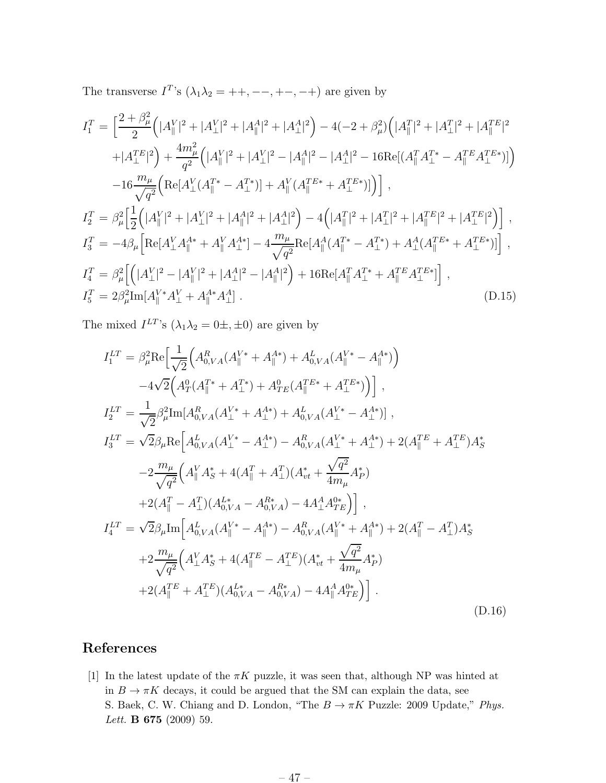The transverse  $I^T$ 's  $(\lambda_1 \lambda_2 = ++, --, +-, -+)$  are given by

$$
I_1^T = \left[ \frac{2 + \beta_{\mu}^2}{2} \left( |A_{\parallel}^V|^2 + |A_{\perp}^V|^2 + |A_{\parallel}^A|^2 + |A_{\perp}^A|^2 \right) - 4(-2 + \beta_{\mu}^2) \left( |A_{\parallel}^T|^2 + |A_{\perp}^T|^2 + |A_{\parallel}^T|^2 \right) \right.
$$
  
\n
$$
+ |A_{\perp}^T|^2 \right) + \frac{4m_{\mu}^2}{q^2} \left( |A_{\parallel}^V|^2 + |A_{\perp}^V|^2 - |A_{\parallel}^A|^2 - |A_{\perp}^A|^2 - 16 \text{Re}[(A_{\parallel}^T A_{\perp}^T - A_{\parallel}^T B_{\perp}^T)] \right)
$$
  
\n
$$
- 16 \frac{m_{\mu}}{\sqrt{q^2}} \left( \text{Re}[A_{\perp}^V (A_{\parallel}^T^* - A_{\perp}^T^*)] + A_{\parallel}^V (A_{\parallel}^{TE*} + A_{\perp}^{TE*})] \right),
$$
  
\n
$$
I_2^T = \beta_{\mu}^2 \left[ \frac{1}{2} \left( |A_{\parallel}^V|^2 + |A_{\perp}^V|^2 + |A_{\parallel}^A|^2 + |A_{\perp}^A|^2 \right) - 4 \left( |A_{\parallel}^T|^2 + |A_{\perp}^T|^2 + |A_{\perp}^T|^2 + |A_{\perp}^T|^2 \right) \right],
$$
  
\n
$$
I_3^T = -4\beta_{\mu} \left[ \text{Re}[A_{\perp}^V A_{\parallel}^{A*} + A_{\parallel}^V A_{\perp}^{A*}] - 4 \frac{m_{\mu}}{\sqrt{q^2}} \text{Re}[A_{\parallel}^A (A_{\parallel}^{T*} - A_{\perp}^{T*}) + A_{\perp}^A (A_{\parallel}^{TE*} + A_{\perp}^{TE*})] \right],
$$
  
\n
$$
I_4^T = \beta_{\mu}^2 \left[ \left( |A_{\perp}^V|^2 - |A_{\parallel}^V|^2 + |A_{\perp}^A|^2 - |A_{\parallel}^A|^2 \right) + 16 \text{Re}[A
$$

The mixed  $I^{LT}$ 's  $(\lambda_1 \lambda_2 = 0 \pm, \pm 0)$  are given by

$$
I_{1}^{LT} = \beta_{\mu}^{2} \text{Re} \Big[ \frac{1}{\sqrt{2}} \Big( A_{0,VA}^{R}(A_{\parallel}^{V*} + A_{\parallel}^{A*}) + A_{0,VA}^{L}(A_{\parallel}^{V*} - A_{\parallel}^{A*}) \Big) -4\sqrt{2} \Big( A_{T}^{0}(A_{\parallel}^{T*} + A_{\perp}^{T*}) + A_{TE}^{0}(A_{\parallel}^{TE*} + A_{\perp}^{TE*}) \Big) \Big],
$$
  
\n
$$
I_{2}^{LT} = \frac{1}{\sqrt{2}} \beta_{\mu}^{2} \text{Im} [A_{0,VA}^{R}(A_{\perp}^{V*} + A_{\perp}^{A*}) + A_{0,VA}^{L}(A_{\perp}^{V*} - A_{\perp}^{A*})] ,
$$
  
\n
$$
I_{3}^{LT} = \sqrt{2} \beta_{\mu} \text{Re} \Big[ A_{0,VA}^{L}(A_{\perp}^{V*} - A_{\perp}^{A*}) - A_{0,VA}^{R}(A_{\perp}^{V*} + A_{\perp}^{A*}) + 2(A_{\parallel}^{TE} + A_{\perp}^{TE}) A_{S}^{*} -2 \frac{m_{\mu}}{\sqrt{q^{2}}} \Big( A_{\parallel}^{V} A_{S}^{*} + 4(A_{\parallel}^{T} + A_{\perp}^{T}) (A_{vt}^{*} + \frac{\sqrt{q^{2}}}{4m_{\mu}} A_{P}^{*}) +2(A_{\parallel}^{T} - A_{\perp}^{T}) (A_{0,VA}^{L*} - A_{0,VA}^{R*}) - 4A_{\perp}^{A} A_{TE}^{0*} \Big) \Big],
$$
  
\n
$$
I_{4}^{LT} = \sqrt{2} \beta_{\mu} \text{Im} \Big[ A_{0,VA}^{L}(A_{\parallel}^{V*} - A_{\parallel}^{A*}) - A_{0,VA}^{R}(A_{\parallel}^{V*} + A_{\parallel}^{A*}) + 2(A_{\parallel}^{T} - A_{\perp}^{T}) A_{S}^{*} +2\frac{m_{\mu}}{\sqrt{q^{2}}} \Big( A_{\perp}^{V} A_{S}^{*} + 4(A_{\parallel}^{TE} - A_{\perp}^{TE}) (A_{vt}^{*} +
$$

### References

[1] In the latest update of the  $\pi K$  puzzle, it was seen that, although NP was hinted at in  $B \to \pi K$  decays, it could be argued that the SM can explain the data, see S. Baek, C. W. Chiang and D. London, "The  $B \to \pi K$  Puzzle: 2009 Update," *Phys. Lett.* B 675 (2009) 59.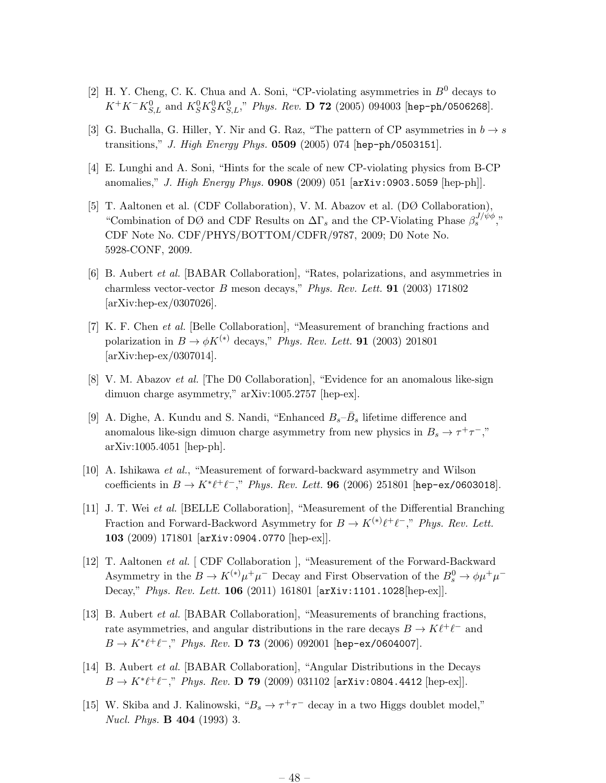- [2] H. Y. Cheng, C. K. Chua and A. Soni, "CP-violating asymmetries in  $B^0$  decays to  $K^+K^-K^0_{S,L}$  and  $K^0_SK^0_{S,L}$ ," *Phys. Rev.* **D 72** (2005) 094003 [hep-ph/0506268].
- [3] G. Buchalla, G. Hiller, Y. Nir and G. Raz, "The pattern of CP asymmetries in  $b \to s$ transitions," *J. High Energy Phys.* 0509 (2005) 074 [hep-ph/0503151].
- [4] E. Lunghi and A. Soni, "Hints for the scale of new CP-violating physics from B-CP anomalies," *J. High Energy Phys.* 0908 (2009) 051 [arXiv:0903.5059 [hep-ph]].
- [5] T. Aaltonen et al. (CDF Collaboration), V. M. Abazov et al. (DØ Collaboration), "Combination of DØ and CDF Results on  $\Delta\Gamma_s$  and the CP-Violating Phase  $\beta_s^{J/\psi\phi}$ ," CDF Note No. CDF/PHYS/BOTTOM/CDFR/9787, 2009; D0 Note No. 5928-CONF, 2009.
- [6] B. Aubert *et al.* [BABAR Collaboration], "Rates, polarizations, and asymmetries in charmless vector-vector B meson decays," *Phys. Rev. Lett.* 91 (2003) 171802 [arXiv:hep-ex/0307026].
- [7] K. F. Chen *et al.* [Belle Collaboration], "Measurement of branching fractions and polarization in  $B \to \phi K^{(*)}$  decays," *Phys. Rev. Lett.* **91** (2003) 201801 [arXiv:hep-ex/0307014].
- [8] V. M. Abazov *et al.* [The D0 Collaboration], "Evidence for an anomalous like-sign dimuon charge asymmetry," arXiv:1005.2757 [hep-ex].
- [9] A. Dighe, A. Kundu and S. Nandi, "Enhanced  $B_s \bar{B}_s$  lifetime difference and anomalous like-sign dimuon charge asymmetry from new physics in  $B_s \to \tau^+\tau^-$ ," arXiv:1005.4051 [hep-ph].
- [10] A. Ishikawa *et al.*, "Measurement of forward-backward asymmetry and Wilson coefficients in  $B \to K^* \ell^+ \ell^-$ ," *Phys. Rev. Lett.* **96** (2006) 251801 [hep-ex/0603018].
- [11] J. T. Wei *et al.* [BELLE Collaboration], "Measurement of the Differential Branching Fraction and Forward-Backword Asymmetry for  $B \to K^{(*)} \ell^+ \ell^-$ ," *Phys. Rev. Lett.* 103 (2009) 171801 [arXiv:0904.0770 [hep-ex]].
- [12] T. Aaltonen *et al.* [ CDF Collaboration ], "Measurement of the Forward-Backward Asymmetry in the  $B \to K^{(*)} \mu^+ \mu^-$  Decay and First Observation of the  $B^0_s \to \phi \mu^+ \mu^-$ Decay," *Phys. Rev. Lett.* 106 (2011) 161801 [arXiv:1101.1028[hep-ex]].
- [13] B. Aubert *et al.* [BABAR Collaboration], "Measurements of branching fractions, rate asymmetries, and angular distributions in the rare decays  $B \to K \ell^+ \ell^-$  and  $B \to K^* \ell^+ \ell^-,$ " *Phys. Rev.* **D 73** (2006) 092001 [hep-ex/0604007].
- [14] B. Aubert *et al.* [BABAR Collaboration], "Angular Distributions in the Decays  $B \to K^* \ell^+ \ell^-,$ " *Phys. Rev.* **D 79** (2009) 031102 [arXiv:0804.4412 [hep-ex]].
- [15] W. Skiba and J. Kalinowski, " $B_s \to \tau^+\tau^-$  decay in a two Higgs doublet model," *Nucl. Phys.* B 404 (1993) 3.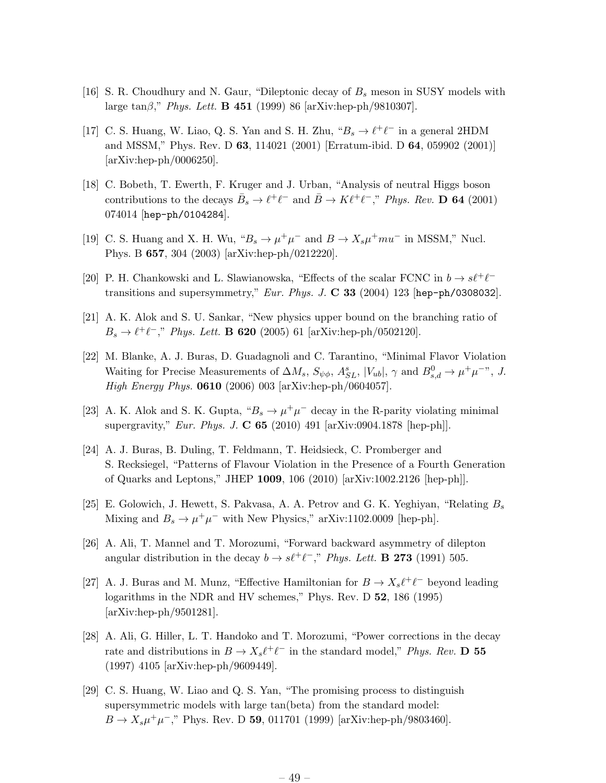- [16] S. R. Choudhury and N. Gaur, "Dileptonic decay of  $B_s$  meson in SUSY models with large tanβ," *Phys. Lett.* B 451 (1999) 86 [arXiv:hep-ph/9810307].
- [17] C. S. Huang, W. Liao, Q. S. Yan and S. H. Zhu,  ${}^{\omega}B_s \to \ell^+ \ell^-$  in a general 2HDM and MSSM," Phys. Rev. D 63, 114021 (2001) [Erratum-ibid. D 64, 059902 (2001)] [arXiv:hep-ph/0006250].
- [18] C. Bobeth, T. Ewerth, F. Kruger and J. Urban, "Analysis of neutral Higgs boson contributions to the decays  $\bar{B}_s \to \ell^+ \ell^-$  and  $\bar{B} \to K \ell^+ \ell^-$ ," *Phys. Rev.* **D 64** (2001) 074014 [hep-ph/0104284].
- [19] C. S. Huang and X. H. Wu, " $B_s \to \mu^+\mu^-$  and  $B \to X_s\mu^+mu^-$  in MSSM," Nucl. Phys. B 657, 304 (2003) [arXiv:hep-ph/0212220].
- [20] P. H. Chankowski and L. Slawianowska, "Effects of the scalar FCNC in  $b\to s\ell^+\ell^$ transitions and supersymmetry," *Eur. Phys. J.* C 33 (2004) 123 [hep-ph/0308032].
- [21] A. K. Alok and S. U. Sankar, "New physics upper bound on the branching ratio of  $B_s \to \ell^+ \ell^-,$ " *Phys. Lett.* **B 620** (2005) 61 [arXiv:hep-ph/0502120].
- [22] M. Blanke, A. J. Buras, D. Guadagnoli and C. Tarantino, "Minimal Flavor Violation Waiting for Precise Measurements of  $\Delta M_s$ ,  $S_{\psi\phi}$ ,  $A_{SL}^s$ ,  $|V_{ub}|$ ,  $\gamma$  and  $B_{s,d}^0 \to \mu^+\mu^-$ ", *J. High Energy Phys.* 0610 (2006) 003 [arXiv:hep-ph/0604057].
- [23] A. K. Alok and S. K. Gupta, " $B_s \to \mu^+\mu^-$  decay in the R-parity violating minimal supergravity," *Eur. Phys. J.* C 65 (2010) 491 [arXiv:0904.1878 [hep-ph]].
- [24] A. J. Buras, B. Duling, T. Feldmann, T. Heidsieck, C. Promberger and S. Recksiegel, "Patterns of Flavour Violation in the Presence of a Fourth Generation of Quarks and Leptons," JHEP 1009, 106 (2010) [arXiv:1002.2126 [hep-ph]].
- [25] E. Golowich, J. Hewett, S. Pakvasa, A. A. Petrov and G. K. Yeghiyan, "Relating  $B_s$ Mixing and  $B_s \to \mu^+\mu^-$  with New Physics," arXiv:1102.0009 [hep-ph].
- [26] A. Ali, T. Mannel and T. Morozumi, "Forward backward asymmetry of dilepton angular distribution in the decay  $b \to s\ell^+\ell^-$ ," *Phys. Lett.* **B 273** (1991) 505.
- [27] A. J. Buras and M. Munz, "Effective Hamiltonian for  $B \to X_s \ell^+ \ell^-$  beyond leading logarithms in the NDR and HV schemes," Phys. Rev. D 52, 186 (1995) [arXiv:hep-ph/9501281].
- [28] A. Ali, G. Hiller, L. T. Handoko and T. Morozumi, "Power corrections in the decay rate and distributions in  $B \to X_s \ell^+ \ell^-$  in the standard model," *Phys. Rev.* **D** 55 (1997) 4105 [arXiv:hep-ph/9609449].
- [29] C. S. Huang, W. Liao and Q. S. Yan, "The promising process to distinguish supersymmetric models with large tan(beta) from the standard model:  $B \to X_s \mu^+ \mu^-,$ " Phys. Rev. D 59, 011701 (1999) [arXiv:hep-ph/9803460].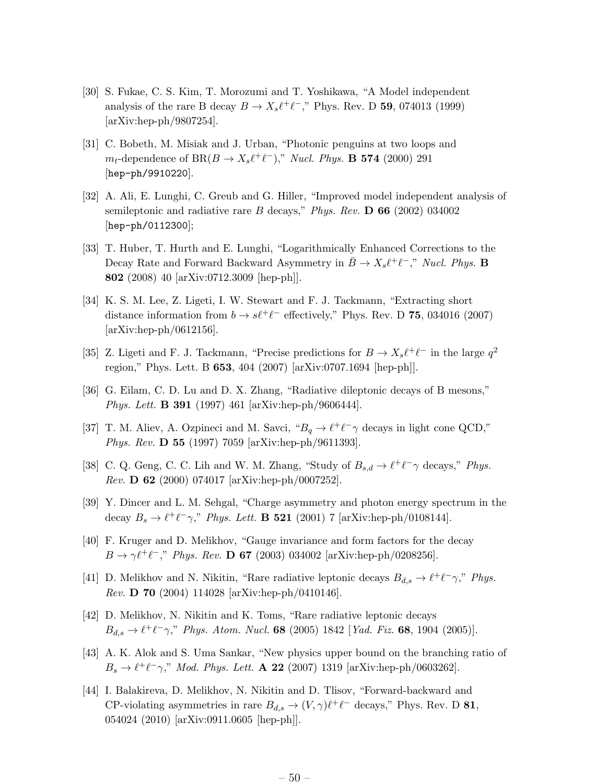- [30] S. Fukae, C. S. Kim, T. Morozumi and T. Yoshikawa, "A Model independent analysis of the rare B decay  $B \to X_s \ell^+ \ell^-$ ," Phys. Rev. D **59**, 074013 (1999) [arXiv:hep-ph/9807254].
- [31] C. Bobeth, M. Misiak and J. Urban, "Photonic penguins at two loops and  $m_t$ -dependence of BR( $B \to X_s \ell^+ \ell^-$ )," *Nucl. Phys.* **B 574** (2000) 291 [hep-ph/9910220].
- [32] A. Ali, E. Lunghi, C. Greub and G. Hiller, "Improved model independent analysis of semileptonic and radiative rare B decays," *Phys. Rev.* D 66 (2002) 034002 [hep-ph/0112300];
- [33] T. Huber, T. Hurth and E. Lunghi, "Logarithmically Enhanced Corrections to the Decay Rate and Forward Backward Asymmetry in  $\bar{B} \to X_s \ell^+ \ell^-,$ " *Nucl. Phys.* **B** 802 (2008) 40 [arXiv:0712.3009 [hep-ph]].
- [34] K. S. M. Lee, Z. Ligeti, I. W. Stewart and F. J. Tackmann, "Extracting short distance information from  $b \to s\ell^+\ell^-$  effectively," Phys. Rev. D 75, 034016 (2007) [arXiv:hep-ph/0612156].
- [35] Z. Ligeti and F. J. Tackmann, "Precise predictions for  $B \to X_s \ell^+ \ell^-$  in the large  $q^2$ region," Phys. Lett. B 653, 404 (2007) [arXiv:0707.1694 [hep-ph]].
- [36] G. Eilam, C. D. Lu and D. X. Zhang, "Radiative dileptonic decays of B mesons," *Phys. Lett.* B 391 (1997) 461 [arXiv:hep-ph/9606444].
- [37] T. M. Aliev, A. Ozpineci and M. Savci,  $B_q \to \ell^+ \ell^- \gamma$  decays in light cone QCD," *Phys. Rev.* D 55 (1997) 7059 [arXiv:hep-ph/9611393].
- [38] C. Q. Geng, C. C. Lih and W. M. Zhang, "Study of  $B_{s,d} \to \ell^+ \ell^- \gamma$  decays," Phys. *Rev.* D 62 (2000) 074017 [arXiv:hep-ph/0007252].
- [39] Y. Dincer and L. M. Sehgal, "Charge asymmetry and photon energy spectrum in the decay  $B_s \to \ell^+ \ell^- \gamma$ ," *Phys. Lett.* **B 521** (2001) 7 [arXiv:hep-ph/0108144].
- [40] F. Kruger and D. Melikhov, "Gauge invariance and form factors for the decay  $B \to \gamma \ell^+ \ell^-$ ," *Phys. Rev.* **D 67** (2003) 034002 [arXiv:hep-ph/0208256].
- [41] D. Melikhov and N. Nikitin, "Rare radiative leptonic decays  $B_{d,s} \to \ell^+ \ell^- \gamma$ ," *Phys. Rev.* D 70 (2004) 114028 [arXiv:hep-ph/0410146].
- [42] D. Melikhov, N. Nikitin and K. Toms, "Rare radiative leptonic decays  $B_{d,s} \to \ell^+ \ell^- \gamma$ ," *Phys. Atom. Nucl.* **68** (2005) 1842 [*Yad. Fiz.* **68**, 1904 (2005)].
- [43] A. K. Alok and S. Uma Sankar, "New physics upper bound on the branching ratio of  $B_s \to \ell^+ \ell^- \gamma$ ," *Mod. Phys. Lett.* **A 22** (2007) 1319 [arXiv:hep-ph/0603262].
- [44] I. Balakireva, D. Melikhov, N. Nikitin and D. Tlisov, "Forward-backward and CP-violating asymmetries in rare  $B_{d,s} \to (V,\gamma)\ell^+\ell^-$  decays," Phys. Rev. D 81, 054024 (2010) [arXiv:0911.0605 [hep-ph]].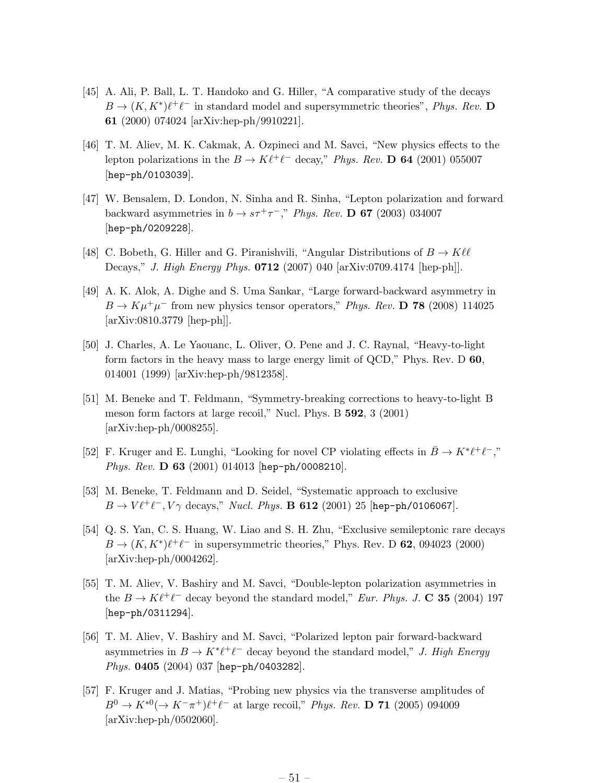- [45] A. Ali, P. Ball, L. T. Handoko and G. Hiller, "A comparative study of the decays  $B \to (K, K^*)\ell^+\ell^-$  in standard model and supersymmetric theories", *Phys. Rev.* **D** 61 (2000) 074024 [arXiv:hep-ph/9910221].
- [46] T. M. Aliev, M. K. Cakmak, A. Ozpineci and M. Savci, "New physics effects to the lepton polarizations in the  $B \to K \ell^+ \ell^-$  decay," *Phys. Rev.* **D 64** (2001) 055007 [hep-ph/0103039].
- [47] W. Bensalem, D. London, N. Sinha and R. Sinha, "Lepton polarization and forward backward asymmetries in  $b \rightarrow s\tau^{+}\tau^{-}$ ," *Phys. Rev.* **D 67** (2003) 034007 [hep-ph/0209228].
- [48] C. Bobeth, G. Hiller and G. Piranishvili, "Angular Distributions of  $B \to K \ell \ell$ Decays," *J. High Energy Phys.* 0712 (2007) 040 [arXiv:0709.4174 [hep-ph]].
- [49] A. K. Alok, A. Dighe and S. Uma Sankar, "Large forward-backward asymmetry in  $B \to K \mu^+ \mu^-$  from new physics tensor operators," *Phys. Rev.* **D 78** (2008) 114025 [arXiv:0810.3779 [hep-ph]].
- [50] J. Charles, A. Le Yaouanc, L. Oliver, O. Pene and J. C. Raynal, "Heavy-to-light form factors in the heavy mass to large energy limit of QCD," Phys. Rev. D 60, 014001 (1999) [arXiv:hep-ph/9812358].
- [51] M. Beneke and T. Feldmann, "Symmetry-breaking corrections to heavy-to-light B meson form factors at large recoil," Nucl. Phys. B 592, 3 (2001) [arXiv:hep-ph/0008255].
- [52] F. Kruger and E. Lunghi, "Looking for novel CP violating effects in  $\bar{B} \to K^* \ell^+ \ell^-,$ " *Phys. Rev.* D 63 (2001) 014013 [hep-ph/0008210].
- [53] M. Beneke, T. Feldmann and D. Seidel, "Systematic approach to exclusive  $B \to V \ell^+ \ell^-, V \gamma$  decays," *Nucl. Phys.* **B 612** (2001) 25 [hep-ph/0106067].
- [54] Q. S. Yan, C. S. Huang, W. Liao and S. H. Zhu, "Exclusive semileptonic rare decays  $B \to (K, K^*)\ell^+\ell^-$  in supersymmetric theories," Phys. Rev. D 62, 094023 (2000) [arXiv:hep-ph/0004262].
- [55] T. M. Aliev, V. Bashiry and M. Savci, "Double-lepton polarization asymmetries in the  $B \to K \ell^+ \ell^-$  decay beyond the standard model," *Eur. Phys. J.* **C** 35 (2004) 197 [hep-ph/0311294].
- [56] T. M. Aliev, V. Bashiry and M. Savci, "Polarized lepton pair forward-backward asymmetries in  $B \to K^* \ell^+ \ell^-$  decay beyond the standard model," *J. High Energy Phys.* 0405 (2004) 037 [hep-ph/0403282].
- [57] F. Kruger and J. Matias, "Probing new physics via the transverse amplitudes of  $B^0 \to K^{*0} (\to K^- \pi^+) \ell^+ \ell^-$  at large recoil," *Phys. Rev.* **D 71** (2005) 094009 [arXiv:hep-ph/0502060].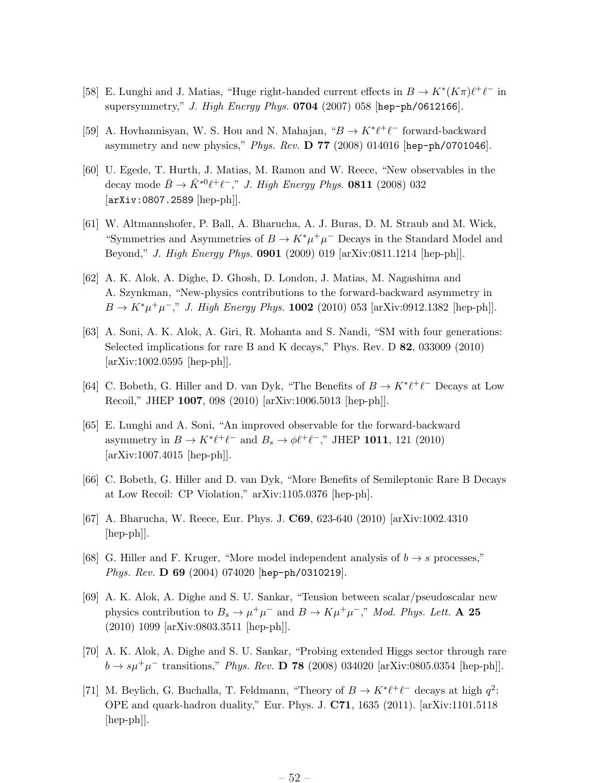- [58] E. Lunghi and J. Matias, "Huge right-handed current effects in  $B \to K^*(K\pi) \ell^+ \ell^-$  in supersymmetry," *J. High Energy Phys.* 0704 (2007) 058 [hep-ph/0612166].
- [59] A. Hovhannisyan, W. S. Hou and N. Mahajan, " $B \to K^* \ell^+ \ell^-$  forward-backward asymmetry and new physics," *Phys. Rev.* D 77 (2008) 014016 [hep-ph/0701046].
- [60] U. Egede, T. Hurth, J. Matias, M. Ramon and W. Reece, "New observables in the decay mode  $\bar{B} \to \bar{K}^{*0} \ell^+ \ell^-,$ " *J. High Energy Phys.* **0811** (2008) 032 [arXiv:0807.2589 [hep-ph]].
- [61] W. Altmannshofer, P. Ball, A. Bharucha, A. J. Buras, D. M. Straub and M. Wick, "Symmetries and Asymmetries of  $B \to K^* \mu^+ \mu^-$  Decays in the Standard Model and Beyond," *J. High Energy Phys.* 0901 (2009) 019 [arXiv:0811.1214 [hep-ph]].
- [62] A. K. Alok, A. Dighe, D. Ghosh, D. London, J. Matias, M. Nagashima and A. Szynkman, "New-physics contributions to the forward-backward asymmetry in  $B \to K^* \mu^+ \mu^-,$ " *J. High Energy Phys.* **1002** (2010) 053 [arXiv:0912.1382 [hep-ph]].
- [63] A. Soni, A. K. Alok, A. Giri, R. Mohanta and S. Nandi, "SM with four generations: Selected implications for rare B and K decays," Phys. Rev. D 82, 033009 (2010) [arXiv:1002.0595 [hep-ph]].
- [64] C. Bobeth, G. Hiller and D. van Dyk, "The Benefits of  $B \to K^* \ell^+ \ell^-$  Decays at Low Recoil," JHEP 1007, 098 (2010) [arXiv:1006.5013 [hep-ph]].
- [65] E. Lunghi and A. Soni, "An improved observable for the forward-backward asymmetry in  $B \to K^* \ell^+ \ell^-$  and  $B_s \to \phi \ell^+ \ell^-$ ," JHEP 1011, 121 (2010) [arXiv:1007.4015 [hep-ph]].
- [66] C. Bobeth, G. Hiller and D. van Dyk, "More Benefits of Semileptonic Rare B Decays at Low Recoil: CP Violation," arXiv:1105.0376 [hep-ph].
- [67] A. Bharucha, W. Reece, Eur. Phys. J. C69, 623-640 (2010) [arXiv:1002.4310 [hep-ph]].
- [68] G. Hiller and F. Kruger, "More model independent analysis of  $b \rightarrow s$  processes," *Phys. Rev.* D 69 (2004) 074020 [hep-ph/0310219].
- [69] A. K. Alok, A. Dighe and S. U. Sankar, "Tension between scalar/pseudoscalar new physics contribution to  $B_s \to \mu^+\mu^-$  and  $B \to K\mu^+\mu^-$ ," *Mod. Phys. Lett.* **A 25** (2010) 1099 [arXiv:0803.3511 [hep-ph]].
- [70] A. K. Alok, A. Dighe and S. U. Sankar, "Probing extended Higgs sector through rare  $b \to s\mu^{+}\mu^{-}$  transitions," *Phys. Rev.* **D 78** (2008) 034020 [arXiv:0805.0354 [hep-ph]].
- [71] M. Beylich, G. Buchalla, T. Feldmann, "Theory of  $B \to K^* \ell^+ \ell^-$  decays at high  $q^2$ : OPE and quark-hadron duality," Eur. Phys. J. C71, 1635 (2011). [arXiv:1101.5118 [hep-ph]].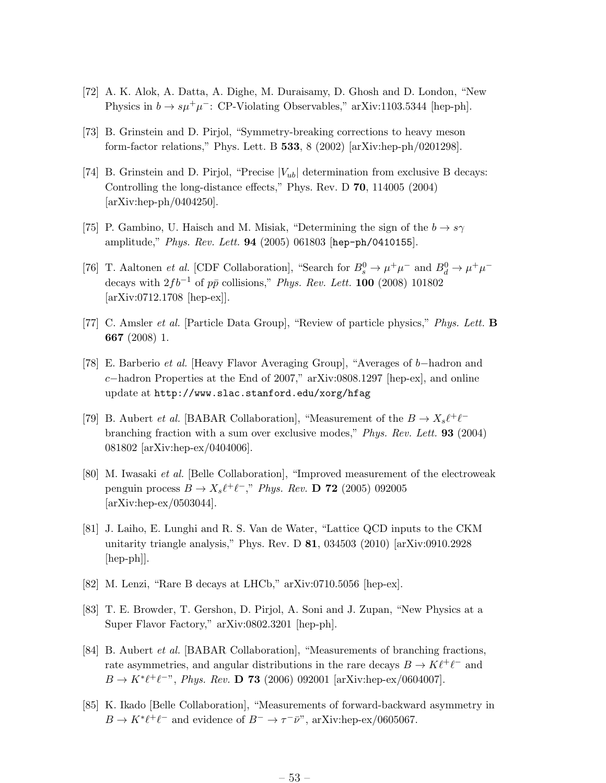- [72] A. K. Alok, A. Datta, A. Dighe, M. Duraisamy, D. Ghosh and D. London, "New Physics in  $b \to s\mu^+\mu^-$ : CP-Violating Observables," arXiv:1103.5344 [hep-ph].
- [73] B. Grinstein and D. Pirjol, "Symmetry-breaking corrections to heavy meson form-factor relations," Phys. Lett. B 533, 8 (2002) [arXiv:hep-ph/0201298].
- [74] B. Grinstein and D. Pirjol, "Precise  $|V_{ub}|$  determination from exclusive B decays: Controlling the long-distance effects," Phys. Rev. D 70, 114005 (2004) [arXiv:hep-ph/0404250].
- [75] P. Gambino, U. Haisch and M. Misiak, "Determining the sign of the  $b \to s\gamma$ amplitude," *Phys. Rev. Lett.* 94 (2005) 061803 [hep-ph/0410155].
- [76] T. Aaltonen *et al.* [CDF Collaboration], "Search for  $B_s^0 \to \mu^+\mu^-$  and  $B_d^0 \to \mu^+\mu^$ decays with  $2fb^{-1}$  of  $p\bar{p}$  collisions," *Phys. Rev. Lett.* **100** (2008) 101802 [arXiv:0712.1708 [hep-ex]].
- [77] C. Amsler *et al.* [Particle Data Group], "Review of particle physics," *Phys. Lett.* B 667 (2008) 1.
- [78] E. Barberio *et al.* [Heavy Flavor Averaging Group], "Averages of b−hadron and c−hadron Properties at the End of 2007," arXiv:0808.1297 [hep-ex], and online update at http://www.slac.stanford.edu/xorg/hfag
- [79] B. Aubert *et al.* [BABAR Collaboration], "Measurement of the  $B \to X_s \ell^+ \ell^$ branching fraction with a sum over exclusive modes," *Phys. Rev. Lett.* 93 (2004) 081802 [arXiv:hep-ex/0404006].
- [80] M. Iwasaki *et al.* [Belle Collaboration], "Improved measurement of the electroweak penguin process  $B \to X_s \ell^+ \ell^-$ ," *Phys. Rev.* **D** 72 (2005) 092005 [arXiv:hep-ex/0503044].
- [81] J. Laiho, E. Lunghi and R. S. Van de Water, "Lattice QCD inputs to the CKM unitarity triangle analysis," Phys. Rev. D 81, 034503 (2010) [arXiv:0910.2928 [hep-ph]].
- [82] M. Lenzi, "Rare B decays at LHCb," arXiv:0710.5056 [hep-ex].
- [83] T. E. Browder, T. Gershon, D. Pirjol, A. Soni and J. Zupan, "New Physics at a Super Flavor Factory," arXiv:0802.3201 [hep-ph].
- [84] B. Aubert *et al.* [BABAR Collaboration], "Measurements of branching fractions, rate asymmetries, and angular distributions in the rare decays  $B \to K \ell^+ \ell^-$  and  $B \to K^* \ell^+ \ell^-$ ", *Phys. Rev.* **D 73** (2006) 092001 [arXiv:hep-ex/0604007].
- [85] K. Ikado [Belle Collaboration], "Measurements of forward-backward asymmetry in  $B \to K^* \ell^+ \ell^-$  and evidence of  $B^- \to \tau^- \bar{\nu}$ ", arXiv:hep-ex/0605067.